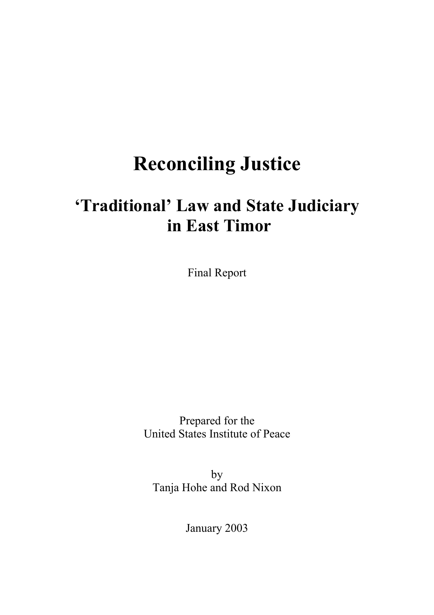# **Reconciling Justice**

# **'Traditional' Law and State Judiciary in East Timor**

Final Report

Prepared for the United States Institute of Peace

by Tanja Hohe and Rod Nixon

January 2003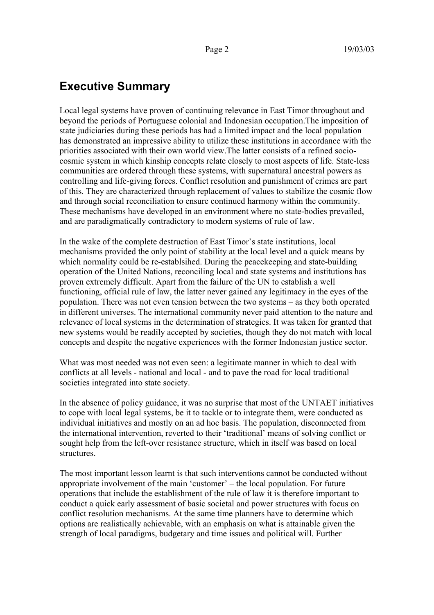# **Executive Summary**

Local legal systems have proven of continuing relevance in East Timor throughout and beyond the periods of Portuguese colonial and Indonesian occupation.The imposition of state judiciaries during these periods has had a limited impact and the local population has demonstrated an impressive ability to utilize these institutions in accordance with the priorities associated with their own world view.The latter consists of a refined sociocosmic system in which kinship concepts relate closely to most aspects of life. State-less communities are ordered through these systems, with supernatural ancestral powers as controlling and life-giving forces. Conflict resolution and punishment of crimes are part of this. They are characterized through replacement of values to stabilize the cosmic flow and through social reconciliation to ensure continued harmony within the community. These mechanisms have developed in an environment where no state-bodies prevailed, and are paradigmatically contradictory to modern systems of rule of law.

In the wake of the complete destruction of East Timor's state institutions, local mechanisms provided the only point of stability at the local level and a quick means by which normality could be re-establsihed. During the peacekeeping and state-building operation of the United Nations, reconciling local and state systems and institutions has proven extremely difficult. Apart from the failure of the UN to establish a well functioning, official rule of law, the latter never gained any legitimacy in the eyes of the population. There was not even tension between the two systems – as they both operated in different universes. The international community never paid attention to the nature and relevance of local systems in the determination of strategies. It was taken for granted that new systems would be readily accepted by societies, though they do not match with local concepts and despite the negative experiences with the former Indonesian justice sector.

What was most needed was not even seen: a legitimate manner in which to deal with conflicts at all levels - national and local - and to pave the road for local traditional societies integrated into state society.

In the absence of policy guidance, it was no surprise that most of the UNTAET initiatives to cope with local legal systems, be it to tackle or to integrate them, were conducted as individual initiatives and mostly on an ad hoc basis. The population, disconnected from the international intervention, reverted to their 'traditional' means of solving conflict or sought help from the left-over resistance structure, which in itself was based on local **structures** 

The most important lesson learnt is that such interventions cannot be conducted without appropriate involvement of the main 'customer' – the local population. For future operations that include the establishment of the rule of law it is therefore important to conduct a quick early assessment of basic societal and power structures with focus on conflict resolution mechanisms. At the same time planners have to determine which options are realistically achievable, with an emphasis on what is attainable given the strength of local paradigms, budgetary and time issues and political will. Further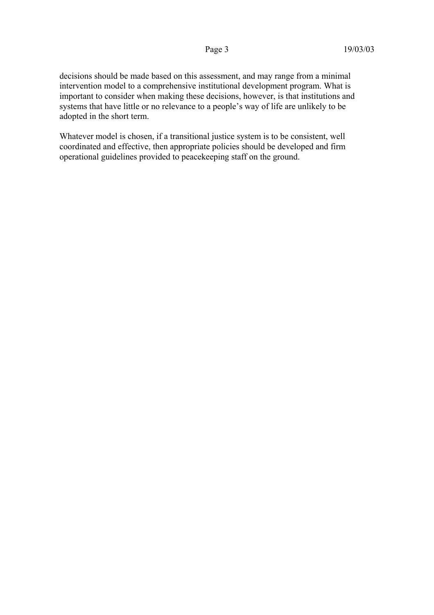decisions should be made based on this assessment, and may range from a minimal intervention model to a comprehensive institutional development program. What is important to consider when making these decisions, however, is that institutions and systems that have little or no relevance to a people's way of life are unlikely to be adopted in the short term.

Whatever model is chosen, if a transitional justice system is to be consistent, well coordinated and effective, then appropriate policies should be developed and firm operational guidelines provided to peacekeeping staff on the ground.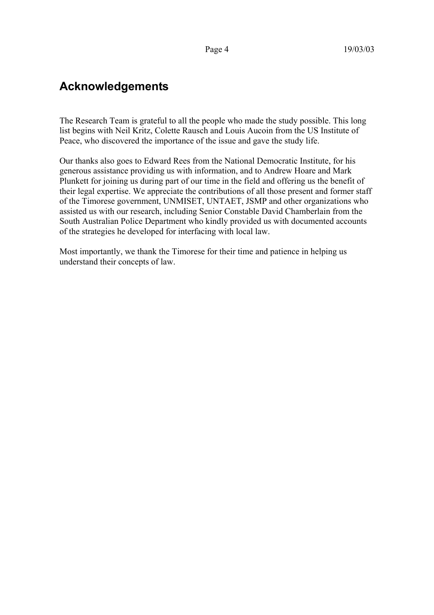# **Acknowledgements**

The Research Team is grateful to all the people who made the study possible. This long list begins with Neil Kritz, Colette Rausch and Louis Aucoin from the US Institute of Peace, who discovered the importance of the issue and gave the study life.

Our thanks also goes to Edward Rees from the National Democratic Institute, for his generous assistance providing us with information, and to Andrew Hoare and Mark Plunkett for joining us during part of our time in the field and offering us the benefit of their legal expertise. We appreciate the contributions of all those present and former staff of the Timorese government, UNMISET, UNTAET, JSMP and other organizations who assisted us with our research, including Senior Constable David Chamberlain from the South Australian Police Department who kindly provided us with documented accounts of the strategies he developed for interfacing with local law.

Most importantly, we thank the Timorese for their time and patience in helping us understand their concepts of law.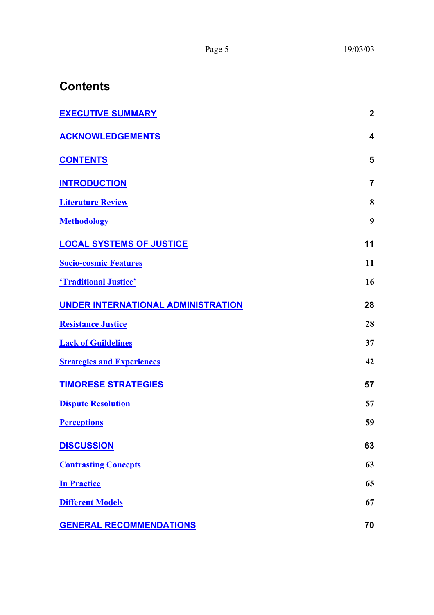# **Contents**

| <b>EXECUTIVE SUMMARY</b>                  | $\mathbf{2}$   |
|-------------------------------------------|----------------|
| <b>ACKNOWLEDGEMENTS</b>                   | 4              |
| <b>CONTENTS</b>                           | 5              |
| <b>INTRODUCTION</b>                       | $\overline{7}$ |
| <b>Literature Review</b>                  | 8              |
| <b>Methodology</b>                        | 9              |
| <b>LOCAL SYSTEMS OF JUSTICE</b>           | 11             |
| <b>Socio-cosmic Features</b>              | 11             |
| <b>'Traditional Justice'</b>              | 16             |
| <b>UNDER INTERNATIONAL ADMINISTRATION</b> | 28             |
| <b>Resistance Justice</b>                 | 28             |
| <b>Lack of Guildelines</b>                | 37             |
| <b>Strategies and Experiences</b>         | 42             |
| <b>TIMORESE STRATEGIES</b>                | 57             |
| <b>Dispute Resolution</b>                 | 57             |
| <b>Perceptions</b>                        | 59             |
| <b>DISCUSSION</b>                         | 63             |
| <b>Contrasting Concepts</b>               | 63             |
| <b>In Practice</b>                        | 65             |
| <b>Different Models</b>                   | 67             |
| <b>GENERAL RECOMMENDATIONS</b>            | 70             |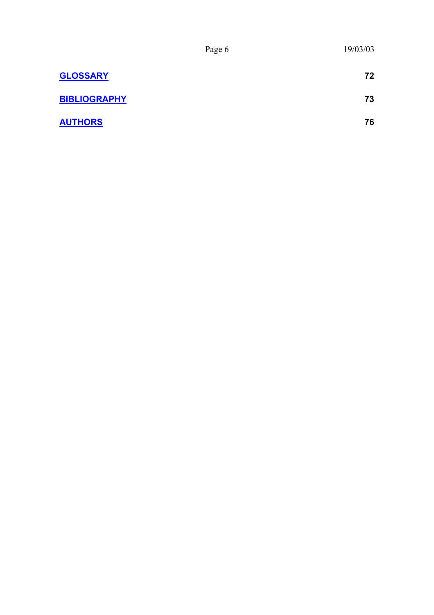|                     | Page 6 | 19/03/03 |
|---------------------|--------|----------|
| <b>GLOSSARY</b>     |        | 72       |
| <b>BIBLIOGRAPHY</b> |        | 73       |
| <b>AUTHORS</b>      |        | 76       |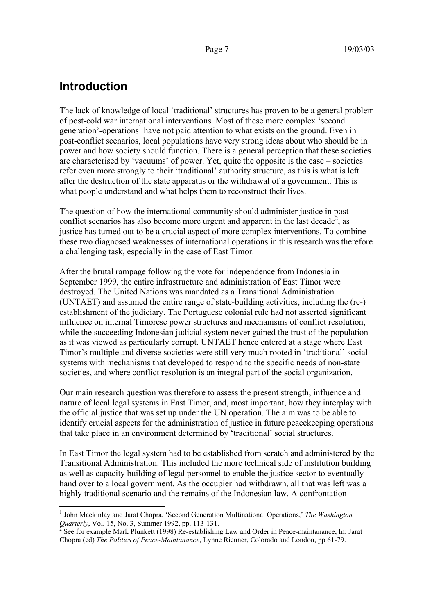# **Introduction**

 $\overline{a}$ 

The lack of knowledge of local 'traditional' structures has proven to be a general problem of post-cold war international interventions. Most of these more complex 'second generation'-operations<sup>1</sup> have not paid attention to what exists on the ground. Even in post-conflict scenarios, local populations have very strong ideas about who should be in power and how society should function. There is a general perception that these societies are characterised by 'vacuums' of power. Yet, quite the opposite is the case – societies refer even more strongly to their 'traditional' authority structure, as this is what is left after the destruction of the state apparatus or the withdrawal of a government. This is what people understand and what helps them to reconstruct their lives.

The question of how the international community should administer justice in postconflict scenarios has also become more urgent and apparent in the last decade<sup>2</sup>, as justice has turned out to be a crucial aspect of more complex interventions. To combine these two diagnosed weaknesses of international operations in this research was therefore a challenging task, especially in the case of East Timor.

After the brutal rampage following the vote for independence from Indonesia in September 1999, the entire infrastructure and administration of East Timor were destroyed. The United Nations was mandated as a Transitional Administration (UNTAET) and assumed the entire range of state-building activities, including the (re-) establishment of the judiciary. The Portuguese colonial rule had not asserted significant influence on internal Timorese power structures and mechanisms of conflict resolution, while the succeeding Indonesian judicial system never gained the trust of the population as it was viewed as particularly corrupt. UNTAET hence entered at a stage where East Timor's multiple and diverse societies were still very much rooted in 'traditional' social systems with mechanisms that developed to respond to the specific needs of non-state societies, and where conflict resolution is an integral part of the social organization.

Our main research question was therefore to assess the present strength, influence and nature of local legal systems in East Timor, and, most important, how they interplay with the official justice that was set up under the UN operation. The aim was to be able to identify crucial aspects for the administration of justice in future peacekeeping operations that take place in an environment determined by 'traditional' social structures.

In East Timor the legal system had to be established from scratch and administered by the Transitional Administration. This included the more technical side of institution building as well as capacity building of legal personnel to enable the justice sector to eventually hand over to a local government. As the occupier had withdrawn, all that was left was a highly traditional scenario and the remains of the Indonesian law. A confrontation

<sup>&</sup>lt;sup>1</sup> John Mackinlay and Jarat Chopra, 'Second Generation Multinational Operations,' The Washington *Quarterly*, Vol. 15, No. 3, Summer 1992, pp. 113-131.

See for example Mark Plunkett (1998) Re-establishing Law and Order in Peace-maintanance, In: Jarat Chopra (ed) *The Politics of Peace-Maintanance*, Lynne Rienner, Colorado and London, pp 61-79.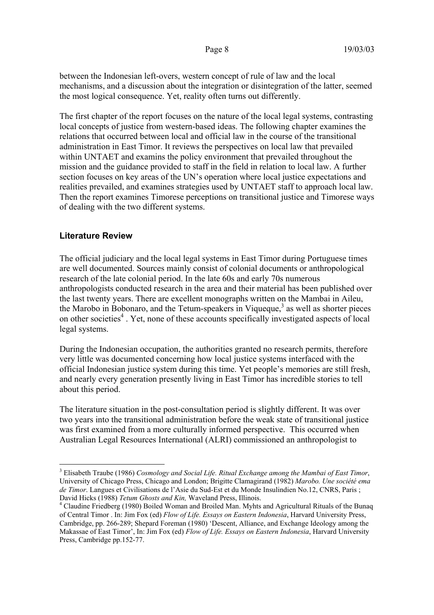between the Indonesian left-overs, western concept of rule of law and the local mechanisms, and a discussion about the integration or disintegration of the latter, seemed the most logical consequence. Yet, reality often turns out differently.

The first chapter of the report focuses on the nature of the local legal systems, contrasting local concepts of justice from western-based ideas. The following chapter examines the relations that occurred between local and official law in the course of the transitional administration in East Timor. It reviews the perspectives on local law that prevailed within UNTAET and examins the policy environment that prevailed throughout the mission and the guidance provided to staff in the field in relation to local law. A further section focuses on key areas of the UN's operation where local justice expectations and realities prevailed, and examines strategies used by UNTAET staff to approach local law. Then the report examines Timorese perceptions on transitional justice and Timorese ways of dealing with the two different systems.

### **Literature Review**

 $\overline{a}$ 

The official judiciary and the local legal systems in East Timor during Portuguese times are well documented. Sources mainly consist of colonial documents or anthropological research of the late colonial period. In the late 60s and early 70s numerous anthropologists conducted research in the area and their material has been published over the last twenty years. There are excellent monographs written on the Mambai in Aileu, the Marobo in Bobonaro, and the Tetum-speakers in Viqueque,<sup>3</sup> as well as shorter pieces on other societies<sup>4</sup>. Yet, none of these accounts specifically investigated aspects of local legal systems.

During the Indonesian occupation, the authorities granted no research permits, therefore very little was documented concerning how local justice systems interfaced with the official Indonesian justice system during this time. Yet people's memories are still fresh, and nearly every generation presently living in East Timor has incredible stories to tell about this period.

The literature situation in the post-consultation period is slightly different. It was over two years into the transitional administration before the weak state of transitional justice was first examined from a more culturally informed perspective. This occurred when Australian Legal Resources International (ALRI) commissioned an anthropologist to

<sup>3</sup> Elisabeth Traube (1986) *Cosmology and Social Life. Ritual Exchange among the Mambai of East Timor*, University of Chicago Press, Chicago and London; Brigitte Clamagirand (1982) *Marobo. Une société ema de Timor*. Langues et Civilisations de l'Asie du Sud-Est et du Monde Insulindien No.12, CNRS, Paris ; David Hicks (1988) *Tetum Ghosts and Kin,* Waveland Press, Illinois. <sup>4</sup>

Claudine Friedberg (1980) Boiled Woman and Broiled Man. Myhts and Agricultural Rituals of the Bunaq of Central Timor . In: Jim Fox (ed) *Flow of Life. Essays on Eastern Indonesia*, Harvard University Press, Cambridge, pp. 266-289; Shepard Foreman (1980) 'Descent, Alliance, and Exchange Ideology among the Makassae of East Timor', In: Jim Fox (ed) *Flow of Life. Essays on Eastern Indonesia*, Harvard University Press, Cambridge pp.152-77.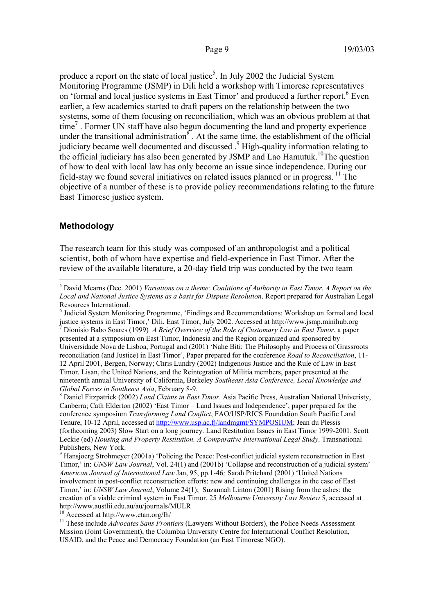produce a report on the state of local justice<sup>5</sup>. In July 2002 the Judicial System Monitoring Programme (JSMP) in Dili held a workshop with Timorese representatives on 'formal and local justice systems in East Timor' and produced a further report.<sup>6</sup> Even earlier, a few academics started to draft papers on the relationship between the two systems, some of them focusing on reconciliation, which was an obvious problem at that time<sup>7</sup>. Former UN staff have also begun documenting the land and property experience under the transitional administration $\delta$ . At the same time, the establishment of the official judiciary became well documented and discussed .<sup>9</sup> High-quality information relating to the official judiciary has also been generated by JSMP and Lao Hamutuk.<sup>10</sup>The question of how to deal with local law has only become an issue since independence. During our field-stay we found several initiatives on related issues planned or in progress.  $\frac{11}{1}$  The objective of a number of these is to provide policy recommendations relating to the future East Timorese justice system.

### **Methodology**

 $\overline{a}$ 

The research team for this study was composed of an anthropologist and a political scientist, both of whom have expertise and field-experience in East Timor. After the review of the available literature, a 20-day field trip was conducted by the two team

<sup>6</sup> Judicial System Monitoring Programme, 'Findings and Recommendations: Workshop on formal and local justice systems in East Timor,' Dili, East Timor, July 2002. Accessed at http://www.jsmp.minihub.org <sup>7</sup> Dionisio Babo Soares (1999) *A Brief Overview of the Role of Customary Law in East Timor*, a paper presented at a symposium on East Timor, Indonesia and the Region organized and sponsored by Universidade Nova de Lisboa, Portugal and (2001) 'Nahe Biti: The Philosophy and Process of Grassroots reconciliation (and Justice) in East Timor', Paper prepared for the conference *Road to Reconciliation*, 11- 12 April 2001, Bergen, Norway; Chris Lundry (2002) Indigenous Justice and the Rule of Law in East Timor. Lisan, the United Nations, and the Reintegration of Militia members, paper presented at the nineteenth annual University of California, Berkeley *Southeast Asia Conference, Local Knowledge and Global Forces in Southeast Asia*, February 8-9.

10 Accessed at http://www.etan.org/lh/

<sup>5</sup> David Mearns (Dec. 2001) *Variations on a theme: Coalitions of Authority in East Timor. A Report on the Local and National Justice Systems as a basis for Dispute Resolution*. Report prepared for Australian Legal Resources International.

Daniel Fitzpatrick (2002) *Land Claims in East Timor*. Asia Pacific Press, Australian National Univeristy, Canberra; Cath Elderton (2002) 'East Timor – Land Issues and Independence', paper prepared for the conference symposium *Transforming Land Conflict*, FAO/USP/RICS Foundation South Pacific Land Tenure, 10-12 April, accessed at http://www.usp.ac.fj/landmgmt/SYMPOSIUM; Jean du Plessis (forthcoming 2003) Slow Start on a long journey. Land Restitution Issues in East Timor 1999-2001. Scott Leckie (ed) *Housing and Property Restitution. A Comparative International Legal Study*. Transnational Publishers, New York.

<sup>&</sup>lt;sup>9</sup> Hansjoerg Strohmeyer (2001a) 'Policing the Peace: Post-conflict judicial system reconstruction in East Timor,' in: *UNSW Law Journal*, Vol. 24(1) and (2001b) 'Collapse and reconstruction of a judicial system' *American Journal of International Law* Jan, 95, pp.1-46*;* Sarah Pritchard (2001) 'United Nations involvement in post-conflict reconstruction efforts: new and continuing challenges in the case of East Timor,' in: *UNSW Law Journal*, Volume 24(1); Suzannah Linton (2001) Rising from the ashes: the creation of a viable criminal system in East Timor. 25 *Melbourne University Law Review* 5, accessed at http://www.austlii.edu.au/au/journals/MULR

<sup>&</sup>lt;sup>11</sup> These include *Advocates Sans Frontiers* (Lawyers Without Borders), the Police Needs Assessment Mission (Joint Government), the Columbia University Centre for International Conflict Resolution, USAID, and the Peace and Democracy Foundation (an East Timorese NGO).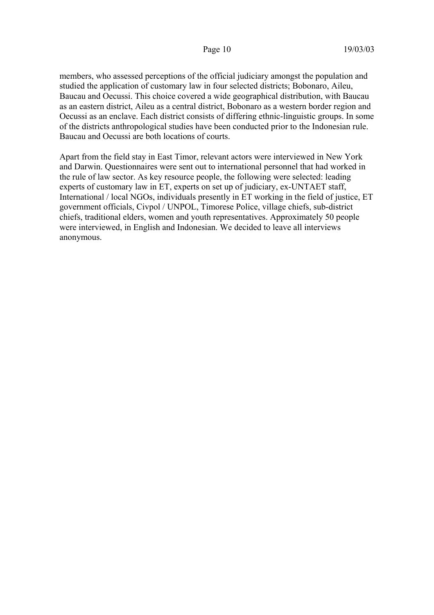members, who assessed perceptions of the official judiciary amongst the population and studied the application of customary law in four selected districts; Bobonaro, Aileu, Baucau and Oecussi. This choice covered a wide geographical distribution, with Baucau as an eastern district, Aileu as a central district, Bobonaro as a western border region and Oecussi as an enclave. Each district consists of differing ethnic-linguistic groups. In some of the districts anthropological studies have been conducted prior to the Indonesian rule. Baucau and Oecussi are both locations of courts.

Apart from the field stay in East Timor, relevant actors were interviewed in New York and Darwin. Questionnaires were sent out to international personnel that had worked in the rule of law sector. As key resource people, the following were selected: leading experts of customary law in ET, experts on set up of judiciary, ex-UNTAET staff, International / local NGOs, individuals presently in ET working in the field of justice, ET government officials, Civpol / UNPOL, Timorese Police, village chiefs, sub-district chiefs, traditional elders, women and youth representatives. Approximately 50 people were interviewed, in English and Indonesian. We decided to leave all interviews anonymous.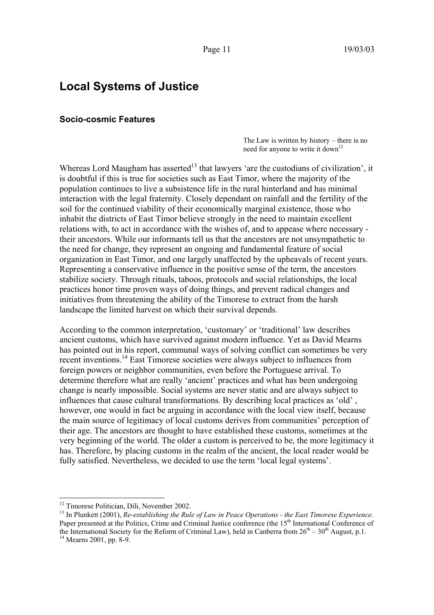## **Local Systems of Justice**

### **Socio-cosmic Features**

The Law is written by history – there is no need for anyone to write it down<sup>12</sup>

Whereas Lord Maugham has asserted<sup>13</sup> that lawyers 'are the custodians of civilization', it is doubtful if this is true for societies such as East Timor, where the majority of the population continues to live a subsistence life in the rural hinterland and has minimal interaction with the legal fraternity. Closely dependant on rainfall and the fertility of the soil for the continued viability of their economically marginal existence, those who inhabit the districts of East Timor believe strongly in the need to maintain excellent relations with, to act in accordance with the wishes of, and to appease where necessary their ancestors. While our informants tell us that the ancestors are not unsympathetic to the need for change, they represent an ongoing and fundamental feature of social organization in East Timor, and one largely unaffected by the upheavals of recent years. Representing a conservative influence in the positive sense of the term, the ancestors stabilize society. Through rituals, taboos, protocols and social relationships, the local practices honor time proven ways of doing things, and prevent radical changes and initiatives from threatening the ability of the Timorese to extract from the harsh landscape the limited harvest on which their survival depends.

According to the common interpretation, 'customary' or 'traditional' law describes ancient customs, which have survived against modern influence. Yet as David Mearns has pointed out in his report, communal ways of solving conflict can sometimes be very recent inventions.14 East Timorese societies were always subject to influences from foreign powers or neighbor communities, even before the Portuguese arrival. To determine therefore what are really 'ancient' practices and what has been undergoing change is nearly impossible. Social systems are never static and are always subject to influences that cause cultural transformations. By describing local practices as 'old' , however, one would in fact be arguing in accordance with the local view itself, because the main source of legitimacy of local customs derives from communities' perception of their age. The ancestors are thought to have established these customs, sometimes at the very beginning of the world. The older a custom is perceived to be, the more legitimacy it has. Therefore, by placing customs in the realm of the ancient, the local reader would be fully satisfied. Nevertheless, we decided to use the term 'local legal systems'.

<sup>&</sup>lt;sup>12</sup> Timorese Politician, Dili, November 2002.

<sup>13</sup> In Plunkett (2001), *Re-establishing the Rule of Law in Peace Operations - the East Timorese Experience*. Paper presented at the Politics, Crime and Criminal Justice conference (the 15<sup>th</sup> International Conference of the International Society for the Reform of Criminal Law), held in Canberra from  $26^{th} - 30^{th}$  August, p.1. <sup>14</sup> Mearns 2001, pp. 8-9.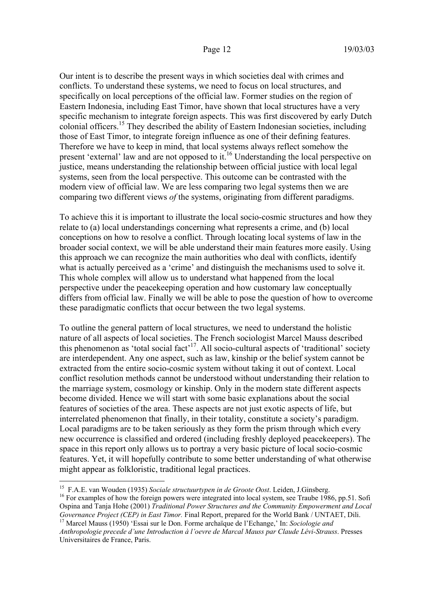Our intent is to describe the present ways in which societies deal with crimes and conflicts. To understand these systems, we need to focus on local structures, and specifically on local perceptions of the official law. Former studies on the region of Eastern Indonesia, including East Timor, have shown that local structures have a very specific mechanism to integrate foreign aspects. This was first discovered by early Dutch colonial officers.15 They described the ability of Eastern Indonesian societies, including those of East Timor, to integrate foreign influence as one of their defining features. Therefore we have to keep in mind, that local systems always reflect somehow the present 'external' law and are not opposed to it.<sup>16</sup> Understanding the local perspective on justice, means understanding the relationship between official justice with local legal systems, seen from the local perspective. This outcome can be contrasted with the modern view of official law. We are less comparing two legal systems then we are comparing two different views *of* the systems, originating from different paradigms.

To achieve this it is important to illustrate the local socio-cosmic structures and how they relate to (a) local understandings concerning what represents a crime, and (b) local conceptions on how to resolve a conflict. Through locating local systems of law in the broader social context, we will be able understand their main features more easily. Using this approach we can recognize the main authorities who deal with conflicts, identify what is actually perceived as a 'crime' and distinguish the mechanisms used to solve it. This whole complex will allow us to understand what happened from the local perspective under the peacekeeping operation and how customary law conceptually differs from official law. Finally we will be able to pose the question of how to overcome these paradigmatic conflicts that occur between the two legal systems.

To outline the general pattern of local structures, we need to understand the holistic nature of all aspects of local societies. The French sociologist Marcel Mauss described this phenomenon as 'total social fact'<sup>17</sup>. All socio-cultural aspects of 'traditional' society are interdependent. Any one aspect, such as law, kinship or the belief system cannot be extracted from the entire socio-cosmic system without taking it out of context. Local conflict resolution methods cannot be understood without understanding their relation to the marriage system, cosmology or kinship. Only in the modern state different aspects become divided. Hence we will start with some basic explanations about the social features of societies of the area. These aspects are not just exotic aspects of life, but interrelated phenomenon that finally, in their totality, constitute a society's paradigm. Local paradigms are to be taken seriously as they form the prism through which every new occurrence is classified and ordered (including freshly deployed peacekeepers). The space in this report only allows us to portray a very basic picture of local socio-cosmic features. Yet, it will hopefully contribute to some better understanding of what otherwise might appear as folkloristic, traditional legal practices.

<sup>&</sup>lt;sup>15</sup> F.A.E. van Wouden (1935) Sociale structuurtypen in de Groote Oost. Leiden, J.Ginsberg.

<sup>&</sup>lt;sup>16</sup> For examples of how the foreign powers were integrated into local system, see Traube 1986, pp.51. Sofi Ospina and Tanja Hohe (2001) *Traditional Power Structures and the Community Empowerment and Local Governance Project (CEP) in East Timor.* Final Report, prepared for the World Bank / UNTAET, Dili. 17 Marcel Mauss (1950) 'Essai sur le Don. Forme archaïque de l'Echange,' In: *Sociologie and*

*Anthropologie precede d'une Introduction à l'oevre de Marcal Mauss par Claude Lévi-Strauss*. Presses Universitaires de France, Paris.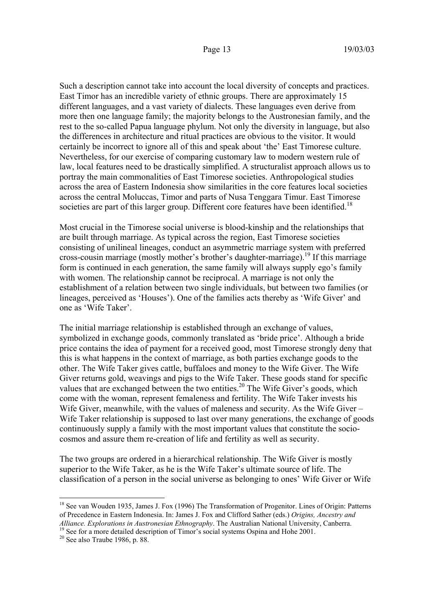Such a description cannot take into account the local diversity of concepts and practices. East Timor has an incredible variety of ethnic groups. There are approximately 15 different languages, and a vast variety of dialects. These languages even derive from more then one language family; the majority belongs to the Austronesian family, and the rest to the so-called Papua language phylum. Not only the diversity in language, but also the differences in architecture and ritual practices are obvious to the visitor. It would certainly be incorrect to ignore all of this and speak about 'the' East Timorese culture. Nevertheless, for our exercise of comparing customary law to modern western rule of law, local features need to be drastically simplified. A structuralist approach allows us to portray the main commonalities of East Timorese societies. Anthropological studies across the area of Eastern Indonesia show similarities in the core features local societies across the central Moluccas, Timor and parts of Nusa Tenggara Timur. East Timorese societies are part of this larger group. Different core features have been identified.<sup>18</sup>

Most crucial in the Timorese social universe is blood-kinship and the relationships that are built through marriage. As typical across the region, East Timorese societies consisting of unilineal lineages, conduct an asymmetric marriage system with preferred cross-cousin marriage (mostly mother's brother's daughter-marriage).19 If this marriage form is continued in each generation, the same family will always supply ego's family with women. The relationship cannot be reciprocal. A marriage is not only the establishment of a relation between two single individuals, but between two families (or lineages, perceived as 'Houses'). One of the families acts thereby as 'Wife Giver' and one as 'Wife Taker'.

The initial marriage relationship is established through an exchange of values, symbolized in exchange goods, commonly translated as 'bride price'. Although a bride price contains the idea of payment for a received good, most Timorese strongly deny that this is what happens in the context of marriage, as both parties exchange goods to the other. The Wife Taker gives cattle, buffaloes and money to the Wife Giver. The Wife Giver returns gold, weavings and pigs to the Wife Taker. These goods stand for specific values that are exchanged between the two entities.<sup>20</sup> The Wife Giver's goods, which come with the woman, represent femaleness and fertility. The Wife Taker invests his Wife Giver, meanwhile, with the values of maleness and security. As the Wife Giver – Wife Taker relationship is supposed to last over many generations, the exchange of goods continuously supply a family with the most important values that constitute the sociocosmos and assure them re-creation of life and fertility as well as security.

The two groups are ordered in a hierarchical relationship. The Wife Giver is mostly superior to the Wife Taker, as he is the Wife Taker's ultimate source of life. The classification of a person in the social universe as belonging to ones' Wife Giver or Wife

<sup>18</sup> See van Wouden 1935, James J. Fox (1996) The Transformation of Progenitor. Lines of Origin: Patterns of Precedence in Eastern Indonesia. In: James J. Fox and Clifford Sather (eds.) *Origins, Ancestry and*

<sup>&</sup>lt;sup>19</sup> See for a more detailed description of Timor's social systems Ospina and Hohe 2001.

 $20$  See also Traube 1986, p. 88.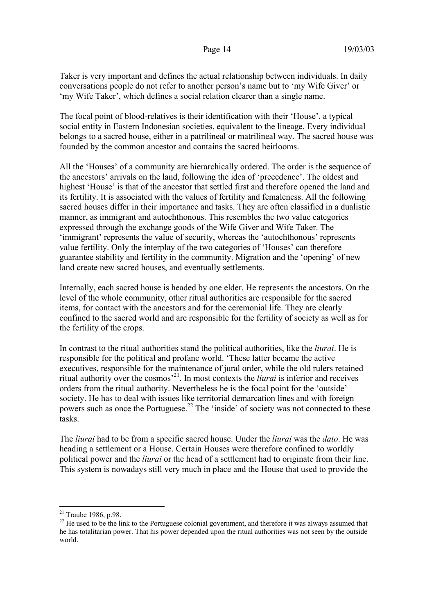Taker is very important and defines the actual relationship between individuals. In daily conversations people do not refer to another person's name but to 'my Wife Giver' or 'my Wife Taker', which defines a social relation clearer than a single name.

The focal point of blood-relatives is their identification with their 'House', a typical social entity in Eastern Indonesian societies, equivalent to the lineage. Every individual belongs to a sacred house, either in a patrilineal or matrilineal way. The sacred house was founded by the common ancestor and contains the sacred heirlooms.

All the 'Houses' of a community are hierarchically ordered. The order is the sequence of the ancestors' arrivals on the land, following the idea of 'precedence'. The oldest and highest 'House' is that of the ancestor that settled first and therefore opened the land and its fertility. It is associated with the values of fertility and femaleness. All the following sacred houses differ in their importance and tasks. They are often classified in a dualistic manner, as immigrant and autochthonous. This resembles the two value categories expressed through the exchange goods of the Wife Giver and Wife Taker. The 'immigrant' represents the value of security, whereas the 'autochthonous' represents value fertility. Only the interplay of the two categories of 'Houses' can therefore guarantee stability and fertility in the community. Migration and the 'opening' of new land create new sacred houses, and eventually settlements.

Internally, each sacred house is headed by one elder. He represents the ancestors. On the level of the whole community, other ritual authorities are responsible for the sacred items, for contact with the ancestors and for the ceremonial life. They are clearly confined to the sacred world and are responsible for the fertility of society as well as for the fertility of the crops.

In contrast to the ritual authorities stand the political authorities, like the *liurai*. He is responsible for the political and profane world. 'These latter became the active executives, responsible for the maintenance of jural order, while the old rulers retained ritual authority over the cosmos'21. In most contexts the *liurai* is inferior and receives orders from the ritual authority. Nevertheless he is the focal point for the 'outside' society. He has to deal with issues like territorial demarcation lines and with foreign powers such as once the Portuguese.<sup>22</sup> The 'inside' of society was not connected to these tasks.

The *liurai* had to be from a specific sacred house. Under the *liurai* was the *dato*. He was heading a settlement or a House. Certain Houses were therefore confined to worldly political power and the *liurai* or the head of a settlement had to originate from their line. This system is nowadays still very much in place and the House that used to provide the

 $21$  Traube 1986, p.98.

 $22$  He used to be the link to the Portuguese colonial government, and therefore it was always assumed that he has totalitarian power. That his power depended upon the ritual authorities was not seen by the outside world.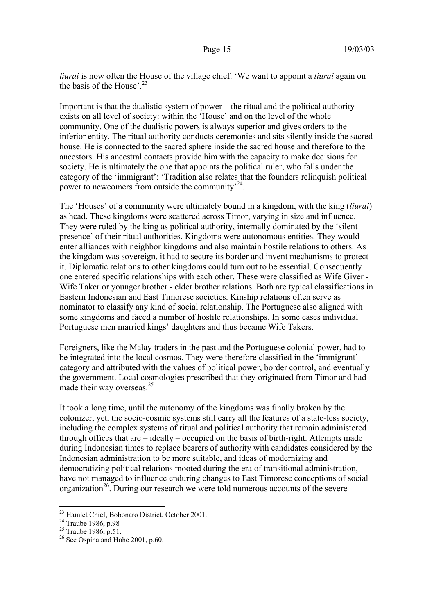*liurai* is now often the House of the village chief. 'We want to appoint a *liurai* again on the basis of the House'.<sup>23</sup>

Important is that the dualistic system of power – the ritual and the political authority – exists on all level of society: within the 'House' and on the level of the whole community. One of the dualistic powers is always superior and gives orders to the inferior entity. The ritual authority conducts ceremonies and sits silently inside the sacred house. He is connected to the sacred sphere inside the sacred house and therefore to the ancestors. His ancestral contacts provide him with the capacity to make decisions for society. He is ultimately the one that appoints the political ruler, who falls under the category of the 'immigrant': 'Tradition also relates that the founders relinquish political power to newcomers from outside the community<sup>24</sup>.

The 'Houses' of a community were ultimately bound in a kingdom, with the king (*liurai*) as head. These kingdoms were scattered across Timor, varying in size and influence. They were ruled by the king as political authority, internally dominated by the 'silent presence' of their ritual authorities. Kingdoms were autonomous entities. They would enter alliances with neighbor kingdoms and also maintain hostile relations to others. As the kingdom was sovereign, it had to secure its border and invent mechanisms to protect it. Diplomatic relations to other kingdoms could turn out to be essential. Consequently one entered specific relationships with each other. These were classified as Wife Giver - Wife Taker or younger brother - elder brother relations. Both are typical classifications in Eastern Indonesian and East Timorese societies. Kinship relations often serve as nominator to classify any kind of social relationship. The Portuguese also aligned with some kingdoms and faced a number of hostile relationships. In some cases individual Portuguese men married kings' daughters and thus became Wife Takers.

Foreigners, like the Malay traders in the past and the Portuguese colonial power, had to be integrated into the local cosmos. They were therefore classified in the 'immigrant' category and attributed with the values of political power, border control, and eventually the government. Local cosmologies prescribed that they originated from Timor and had made their way overseas. $25$ 

It took a long time, until the autonomy of the kingdoms was finally broken by the colonizer, yet, the socio-cosmic systems still carry all the features of a state-less society, including the complex systems of ritual and political authority that remain administered through offices that are – ideally – occupied on the basis of birth-right. Attempts made during Indonesian times to replace bearers of authority with candidates considered by the Indonesian administration to be more suitable, and ideas of modernizing and democratizing political relations mooted during the era of transitional administration, have not managed to influence enduring changes to East Timorese conceptions of social organization<sup>26</sup>. During our research we were told numerous accounts of the severe

 $\overline{a}$ <sup>23</sup> Hamlet Chief, Bobonaro District, October 2001.

 $24$  Traube 1986, p.98

 $25$  Traube 1986, p.51.

 $26$  See Ospina and Hohe 2001, p.60.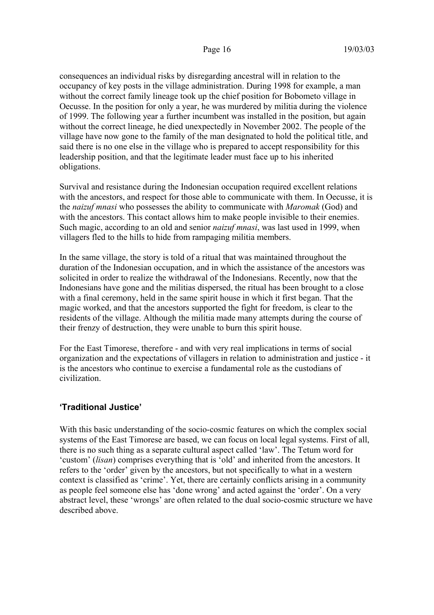consequences an individual risks by disregarding ancestral will in relation to the occupancy of key posts in the village administration. During 1998 for example, a man without the correct family lineage took up the chief position for Bobometo village in Oecusse. In the position for only a year, he was murdered by militia during the violence of 1999. The following year a further incumbent was installed in the position, but again without the correct lineage, he died unexpectedly in November 2002. The people of the village have now gone to the family of the man designated to hold the political title, and said there is no one else in the village who is prepared to accept responsibility for this leadership position, and that the legitimate leader must face up to his inherited obligations.

Survival and resistance during the Indonesian occupation required excellent relations with the ancestors, and respect for those able to communicate with them. In Oecusse, it is the *naizuf mnasi* who possesses the ability to communicate with *Maromak* (God) and with the ancestors. This contact allows him to make people invisible to their enemies. Such magic, according to an old and senior *naizuf mnasi*, was last used in 1999, when villagers fled to the hills to hide from rampaging militia members.

In the same village, the story is told of a ritual that was maintained throughout the duration of the Indonesian occupation, and in which the assistance of the ancestors was solicited in order to realize the withdrawal of the Indonesians. Recently, now that the Indonesians have gone and the militias dispersed, the ritual has been brought to a close with a final ceremony, held in the same spirit house in which it first began. That the magic worked, and that the ancestors supported the fight for freedom, is clear to the residents of the village. Although the militia made many attempts during the course of their frenzy of destruction, they were unable to burn this spirit house.

For the East Timorese, therefore - and with very real implications in terms of social organization and the expectations of villagers in relation to administration and justice - it is the ancestors who continue to exercise a fundamental role as the custodians of civilization.

### **'Traditional Justice'**

With this basic understanding of the socio-cosmic features on which the complex social systems of the East Timorese are based, we can focus on local legal systems. First of all, there is no such thing as a separate cultural aspect called 'law'. The Tetum word for 'custom' (*lisan*) comprises everything that is 'old' and inherited from the ancestors. It refers to the 'order' given by the ancestors, but not specifically to what in a western context is classified as 'crime'. Yet, there are certainly conflicts arising in a community as people feel someone else has 'done wrong' and acted against the 'order'. On a very abstract level, these 'wrongs' are often related to the dual socio-cosmic structure we have described above.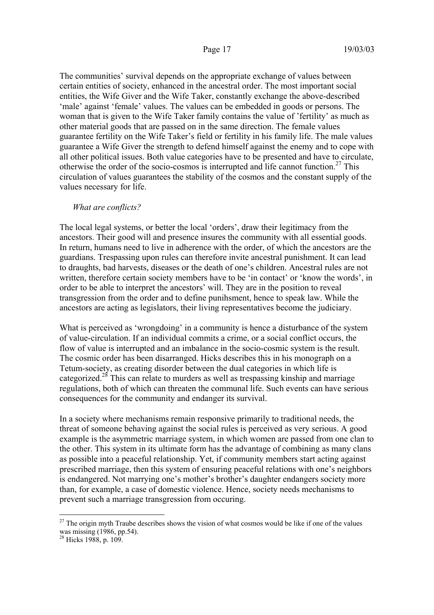The communities' survival depends on the appropriate exchange of values between certain entities of society, enhanced in the ancestral order. The most important social entities, the Wife Giver and the Wife Taker, constantly exchange the above-described 'male' against 'female' values. The values can be embedded in goods or persons. The woman that is given to the Wife Taker family contains the value of 'fertility' as much as other material goods that are passed on in the same direction. The female values guarantee fertility on the Wife Taker's field or fertility in his family life. The male values guarantee a Wife Giver the strength to defend himself against the enemy and to cope with all other political issues. Both value categories have to be presented and have to circulate, otherwise the order of the socio-cosmos is interrupted and life cannot function.<sup>27</sup> This circulation of values guarantees the stability of the cosmos and the constant supply of the values necessary for life.

### *What are conflicts?*

The local legal systems, or better the local 'orders', draw their legitimacy from the ancestors. Their good will and presence insures the community with all essential goods. In return, humans need to live in adherence with the order, of which the ancestors are the guardians. Trespassing upon rules can therefore invite ancestral punishment. It can lead to draughts, bad harvests, diseases or the death of one's children. Ancestral rules are not written, therefore certain society members have to be 'in contact' or 'know the words', in order to be able to interpret the ancestors' will. They are in the position to reveal transgression from the order and to define punihsment, hence to speak law. While the ancestors are acting as legislators, their living representatives become the judiciary.

What is perceived as 'wrongdoing' in a community is hence a disturbance of the system of value-circulation. If an individual commits a crime, or a social conflict occurs, the flow of value is interrupted and an imbalance in the socio-cosmic system is the result. The cosmic order has been disarranged. Hicks describes this in his monograph on a Tetum-society, as creating disorder between the dual categories in which life is categorized.28 This can relate to murders as well as trespassing kinship and marriage regulations, both of which can threaten the communal life. Such events can have serious consequences for the community and endanger its survival.

In a society where mechanisms remain responsive primarily to traditional needs, the threat of someone behaving against the social rules is perceived as very serious. A good example is the asymmetric marriage system, in which women are passed from one clan to the other. This system in its ultimate form has the advantage of combining as many clans as possible into a peaceful relationship. Yet, if community members start acting against prescribed marriage, then this system of ensuring peaceful relations with one's neighbors is endangered. Not marrying one's mother's brother's daughter endangers society more than, for example, a case of domestic violence. Hence, society needs mechanisms to prevent such a marriage transgression from occuring.

 $27$  The origin myth Traube describes shows the vision of what cosmos would be like if one of the values was missing (1986, pp.54).

<sup>&</sup>lt;sup>28</sup> Hicks 1988, p. 109.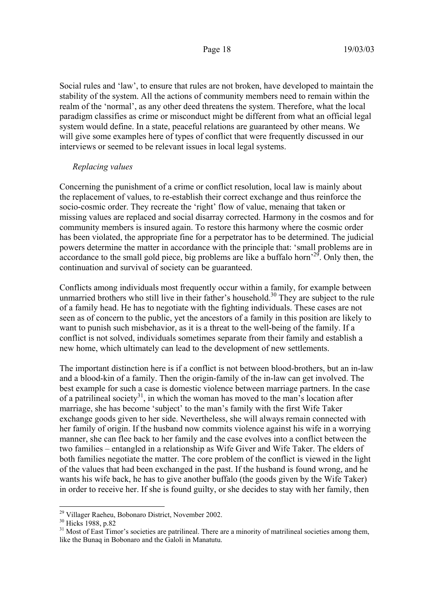Social rules and 'law', to ensure that rules are not broken, have developed to maintain the stability of the system. All the actions of community members need to remain within the realm of the 'normal', as any other deed threatens the system. Therefore, what the local paradigm classifies as crime or misconduct might be different from what an official legal system would define. In a state, peaceful relations are guaranteed by other means. We will give some examples here of types of conflict that were frequently discussed in our interviews or seemed to be relevant issues in local legal systems.

### *Replacing values*

Concerning the punishment of a crime or conflict resolution, local law is mainly about the replacement of values, to re-establish their correct exchange and thus reinforce the socio-cosmic order. They recreate the 'right' flow of value, menaing that taken or missing values are replaced and social disarray corrected. Harmony in the cosmos and for community members is insured again. To restore this harmony where the cosmic order has been violated, the appropriate fine for a perpetrator has to be determined. The judicial powers determine the matter in accordance with the principle that: 'small problems are in accordance to the small gold piece, big problems are like a buffalo horn<sup> $29$ </sup>. Only then, the continuation and survival of society can be guaranteed.

Conflicts among individuals most frequently occur within a family, for example between unmarried brothers who still live in their father's household.<sup>30</sup> They are subject to the rule of a family head. He has to negotiate with the fighting individuals. These cases are not seen as of concern to the public, yet the ancestors of a family in this position are likely to want to punish such misbehavior, as it is a threat to the well-being of the family. If a conflict is not solved, individuals sometimes separate from their family and establish a new home, which ultimately can lead to the development of new settlements.

The important distinction here is if a conflict is not between blood-brothers, but an in-law and a blood-kin of a family. Then the origin-family of the in-law can get involved. The best example for such a case is domestic violence between marriage partners. In the case of a patrilineal society<sup>31</sup>, in which the woman has moved to the man's location after marriage, she has become 'subject' to the man's family with the first Wife Taker exchange goods given to her side. Nevertheless, she will always remain connected with her family of origin. If the husband now commits violence against his wife in a worrying manner, she can flee back to her family and the case evolves into a conflict between the two families – entangled in a relationship as Wife Giver and Wife Taker. The elders of both families negotiate the matter. The core problem of the conflict is viewed in the light of the values that had been exchanged in the past. If the husband is found wrong, and he wants his wife back, he has to give another buffalo (the goods given by the Wife Taker) in order to receive her. If she is found guilty, or she decides to stay with her family, then

 $\overline{a}$ <sup>29</sup> Villager Raeheu, Bobonaro District, November 2002.

<sup>&</sup>lt;sup>30</sup> Hicks 1988, p.82

<sup>&</sup>lt;sup>31</sup> Most of East Timor's societies are patrilineal. There are a minority of matrilineal societies among them, like the Bunaq in Bobonaro and the Galoli in Manatutu.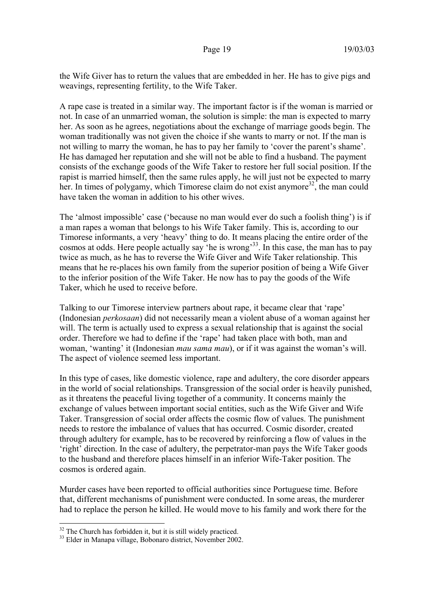the Wife Giver has to return the values that are embedded in her. He has to give pigs and weavings, representing fertility, to the Wife Taker.

A rape case is treated in a similar way. The important factor is if the woman is married or not. In case of an unmarried woman, the solution is simple: the man is expected to marry her. As soon as he agrees, negotiations about the exchange of marriage goods begin. The woman traditionally was not given the choice if she wants to marry or not. If the man is not willing to marry the woman, he has to pay her family to 'cover the parent's shame'. He has damaged her reputation and she will not be able to find a husband. The payment consists of the exchange goods of the Wife Taker to restore her full social position. If the rapist is married himself, then the same rules apply, he will just not be expected to marry her. In times of polygamy, which Timorese claim do not exist anymore<sup>32</sup>, the man could have taken the woman in addition to his other wives.

The 'almost impossible' case ('because no man would ever do such a foolish thing') is if a man rapes a woman that belongs to his Wife Taker family. This is, according to our Timorese informants, a very 'heavy' thing to do. It means placing the entire order of the cosmos at odds. Here people actually say 'he is wrong<sup>333</sup>. In this case, the man has to pay twice as much, as he has to reverse the Wife Giver and Wife Taker relationship. This means that he re-places his own family from the superior position of being a Wife Giver to the inferior position of the Wife Taker. He now has to pay the goods of the Wife Taker, which he used to receive before.

Talking to our Timorese interview partners about rape, it became clear that 'rape' (Indonesian *perkosaan*) did not necessarily mean a violent abuse of a woman against her will. The term is actually used to express a sexual relationship that is against the social order. Therefore we had to define if the 'rape' had taken place with both, man and woman, 'wanting' it (Indonesian *mau sama mau*), or if it was against the woman's will. The aspect of violence seemed less important.

In this type of cases, like domestic violence, rape and adultery, the core disorder appears in the world of social relationships. Transgression of the social order is heavily punished, as it threatens the peaceful living together of a community. It concerns mainly the exchange of values between important social entities, such as the Wife Giver and Wife Taker. Transgression of social order affects the cosmic flow of values. The punishment needs to restore the imbalance of values that has occurred. Cosmic disorder, created through adultery for example, has to be recovered by reinforcing a flow of values in the 'right' direction. In the case of adultery, the perpetrator-man pays the Wife Taker goods to the husband and therefore places himself in an inferior Wife-Taker position. The cosmos is ordered again.

Murder cases have been reported to official authorities since Portuguese time. Before that, different mechanisms of punishment were conducted. In some areas, the murderer had to replace the person he killed. He would move to his family and work there for the

<sup>&</sup>lt;sup>32</sup> The Church has forbidden it, but it is still widely practiced.

<sup>&</sup>lt;sup>33</sup> Elder in Manapa village, Bobonaro district, November 2002.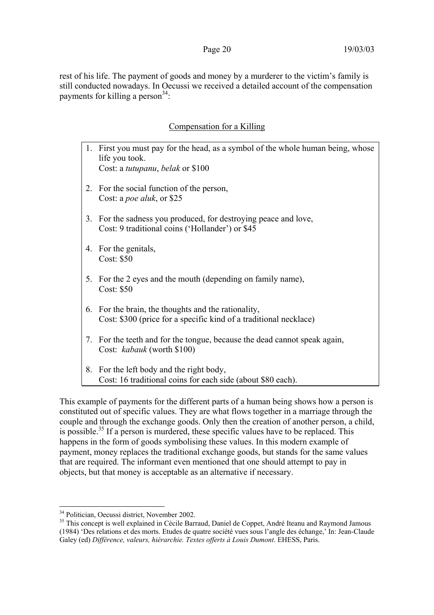rest of his life. The payment of goods and money by a murderer to the victim's family is still conducted nowadays. In Oecussi we received a detailed account of the compensation payments for killing a person $^{34}$ :

### Compensation for a Killing

|    | 1. First you must pay for the head, as a symbol of the whole human being, whose<br>life you took.                     |
|----|-----------------------------------------------------------------------------------------------------------------------|
|    | Cost: a <i>tutupanu</i> , <i>belak</i> or \$100                                                                       |
| 2. | For the social function of the person,<br>Cost: a <i>poe aluk</i> , or \$25                                           |
| 3. | For the sadness you produced, for destroying peace and love,<br>Cost: 9 traditional coins ('Hollander') or \$45       |
| 4. | For the genitals,<br>Cost: \$50                                                                                       |
| 5. | For the 2 eyes and the mouth (depending on family name),<br>Cost: \$50                                                |
| 6. | For the brain, the thoughts and the rationality,<br>Cost: \$300 (price for a specific kind of a traditional necklace) |
| 7. | For the teeth and for the tongue, because the dead cannot speak again,<br>Cost: kabauk (worth \$100)                  |
| 8. | For the left body and the right body,<br>Cost: 16 traditional coins for each side (about \$80 each).                  |

This example of payments for the different parts of a human being shows how a person is constituted out of specific values. They are what flows together in a marriage through the couple and through the exchange goods. Only then the creation of another person, a child, is possible.<sup>35</sup> If a person is murdered, these specific values have to be replaced. This happens in the form of goods symbolising these values. In this modern example of payment, money replaces the traditional exchange goods, but stands for the same values that are required. The informant even mentioned that one should attempt to pay in objects, but that money is acceptable as an alternative if necessary.

 $\overline{a}$ <sup>34</sup> Politician, Oecussi district, November 2002.

<sup>&</sup>lt;sup>35</sup> This concept is well explained in Cécile Barraud, Daniel de Coppet, André Iteanu and Raymond Jamous (1984) 'Des relations et des morts. Etudes de quatre société vues sous l'angle des échange,' In: Jean-Claude Galey (ed) *Différence, valeurs, hiérarchie. Textes offerts à Louis Dumont*. EHESS, Paris.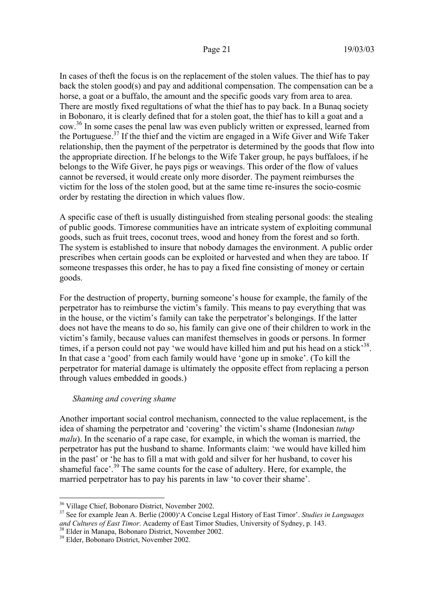In cases of theft the focus is on the replacement of the stolen values. The thief has to pay back the stolen good(s) and pay and additional compensation. The compensation can be a horse, a goat or a buffalo, the amount and the specific goods vary from area to area. There are mostly fixed regultations of what the thief has to pay back. In a Bunaq society in Bobonaro, it is clearly defined that for a stolen goat, the thief has to kill a goat and a cow.36 In some cases the penal law was even publicly written or expressed, learned from the Portuguese.<sup>37</sup> If the thief and the victim are engaged in a Wife Giver and Wife Taker relationship, then the payment of the perpetrator is determined by the goods that flow into the appropriate direction. If he belongs to the Wife Taker group, he pays buffaloes, if he belongs to the Wife Giver, he pays pigs or weavings. This order of the flow of values cannot be reversed, it would create only more disorder. The payment reimburses the victim for the loss of the stolen good, but at the same time re-insures the socio-cosmic order by restating the direction in which values flow.

A specific case of theft is usually distinguished from stealing personal goods: the stealing of public goods. Timorese communities have an intricate system of exploiting communal goods, such as fruit trees, coconut trees, wood and honey from the forest and so forth. The system is established to insure that nobody damages the environment. A public order prescribes when certain goods can be exploited or harvested and when they are taboo. If someone trespasses this order, he has to pay a fixed fine consisting of money or certain goods.

For the destruction of property, burning someone's house for example, the family of the perpetrator has to reimburse the victim's family. This means to pay everything that was in the house, or the victim's family can take the perpetrator's belongings. If the latter does not have the means to do so, his family can give one of their children to work in the victim's family, because values can manifest themselves in goods or persons. In former times, if a person could not pay 'we would have killed him and put his head on a stick<sup>38</sup>. In that case a 'good' from each family would have 'gone up in smoke'. (To kill the perpetrator for material damage is ultimately the opposite effect from replacing a person through values embedded in goods.)

### *Shaming and covering shame*

Another important social control mechanism, connected to the value replacement, is the idea of shaming the perpetrator and 'covering' the victim's shame (Indonesian *tutup malu*). In the scenario of a rape case, for example, in which the woman is married, the perpetrator has put the husband to shame. Informants claim: 'we would have killed him in the past' or 'he has to fill a mat with gold and silver for her husband, to cover his shameful face'.<sup>39</sup> The same counts for the case of adultery. Here, for example, the married perpetrator has to pay his parents in law 'to cover their shame'.

<sup>36</sup> Village Chief, Bobonaro District, November 2002.

<sup>37</sup> See for example Jean A. Berlie (2000)'A Concise Legal History of East Timor'. *Studies in Languages and Cultures of East Timor*. Academy of East Timor Studies, University of Sydney, p. 143. 38 Elder in Manapa, Bobonaro District, November 2002.

<sup>39</sup> Elder, Bobonaro District, November 2002.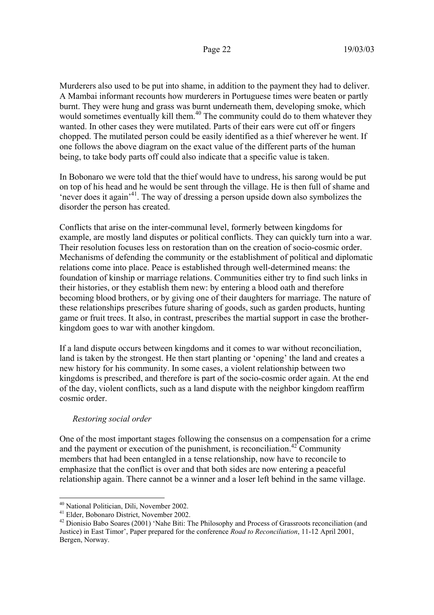Murderers also used to be put into shame, in addition to the payment they had to deliver. A Mambai informant recounts how murderers in Portuguese times were beaten or partly burnt. They were hung and grass was burnt underneath them, developing smoke, which would sometimes eventually kill them.<sup>40</sup> The community could do to them whatever they wanted. In other cases they were mutilated. Parts of their ears were cut off or fingers chopped. The mutilated person could be easily identified as a thief wherever he went. If one follows the above diagram on the exact value of the different parts of the human being, to take body parts off could also indicate that a specific value is taken.

In Bobonaro we were told that the thief would have to undress, his sarong would be put on top of his head and he would be sent through the village. He is then full of shame and 'never does it again'41. The way of dressing a person upside down also symbolizes the disorder the person has created.

Conflicts that arise on the inter-communal level, formerly between kingdoms for example, are mostly land disputes or political conflicts. They can quickly turn into a war. Their resolution focuses less on restoration than on the creation of socio-cosmic order. Mechanisms of defending the community or the establishment of political and diplomatic relations come into place. Peace is established through well-determined means: the foundation of kinship or marriage relations. Communities either try to find such links in their histories, or they establish them new: by entering a blood oath and therefore becoming blood brothers, or by giving one of their daughters for marriage. The nature of these relationships prescribes future sharing of goods, such as garden products, hunting game or fruit trees. It also, in contrast, prescribes the martial support in case the brotherkingdom goes to war with another kingdom.

If a land dispute occurs between kingdoms and it comes to war without reconciliation, land is taken by the strongest. He then start planting or 'opening' the land and creates a new history for his community. In some cases, a violent relationship between two kingdoms is prescribed, and therefore is part of the socio-cosmic order again. At the end of the day, violent conflicts, such as a land dispute with the neighbor kingdom reaffirm cosmic order.

### *Restoring social order*

One of the most important stages following the consensus on a compensation for a crime and the payment or execution of the punishment, is reconciliation.<sup>42</sup> Community members that had been entangled in a tense relationship, now have to reconcile to emphasize that the conflict is over and that both sides are now entering a peaceful relationship again. There cannot be a winner and a loser left behind in the same village.

<sup>40</sup> National Politician, Dili, November 2002.

<sup>41</sup> Elder, Bobonaro District, November 2002.

<sup>&</sup>lt;sup>42</sup> Dionisio Babo Soares (2001) 'Nahe Biti: The Philosophy and Process of Grassroots reconciliation (and Justice) in East Timor', Paper prepared for the conference *Road to Reconciliation*, 11-12 April 2001, Bergen, Norway.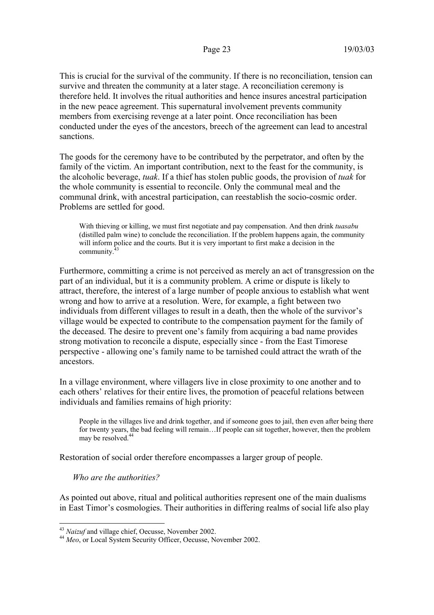This is crucial for the survival of the community. If there is no reconciliation, tension can survive and threaten the community at a later stage. A reconciliation ceremony is therefore held. It involves the ritual authorities and hence insures ancestral participation in the new peace agreement. This supernatural involvement prevents community members from exercising revenge at a later point. Once reconciliation has been conducted under the eyes of the ancestors, breech of the agreement can lead to ancestral sanctions.

The goods for the ceremony have to be contributed by the perpetrator, and often by the family of the victim. An important contribution, next to the feast for the community, is the alcoholic beverage, *tuak*. If a thief has stolen public goods, the provision of *tuak* for the whole community is essential to reconcile. Only the communal meal and the communal drink, with ancestral participation, can reestablish the socio-cosmic order. Problems are settled for good.

With thieving or killing, we must first negotiate and pay compensation. And then drink *tuasabu* (distilled palm wine) to conclude the reconciliation. If the problem happens again, the community will inform police and the courts. But it is very important to first make a decision in the community.<sup>43</sup>

Furthermore, committing a crime is not perceived as merely an act of transgression on the part of an individual, but it is a community problem. A crime or dispute is likely to attract, therefore, the interest of a large number of people anxious to establish what went wrong and how to arrive at a resolution. Were, for example, a fight between two individuals from different villages to result in a death, then the whole of the survivor's village would be expected to contribute to the compensation payment for the family of the deceased. The desire to prevent one's family from acquiring a bad name provides strong motivation to reconcile a dispute, especially since - from the East Timorese perspective - allowing one's family name to be tarnished could attract the wrath of the ancestors.

In a village environment, where villagers live in close proximity to one another and to each others' relatives for their entire lives, the promotion of peaceful relations between individuals and families remains of high priority:

People in the villages live and drink together, and if someone goes to jail, then even after being there for twenty years, the bad feeling will remain…If people can sit together, however, then the problem may be resolved.<sup>44</sup>

Restoration of social order therefore encompasses a larger group of people.

### *Who are the authorities?*

 $\overline{a}$ 

As pointed out above, ritual and political authorities represent one of the main dualisms in East Timor's cosmologies. Their authorities in differing realms of social life also play

<sup>43</sup> *Naizuf* and village chief, Oecusse, November 2002. <sup>44</sup> *Meo*, or Local System Security Officer, Oecusse, November 2002.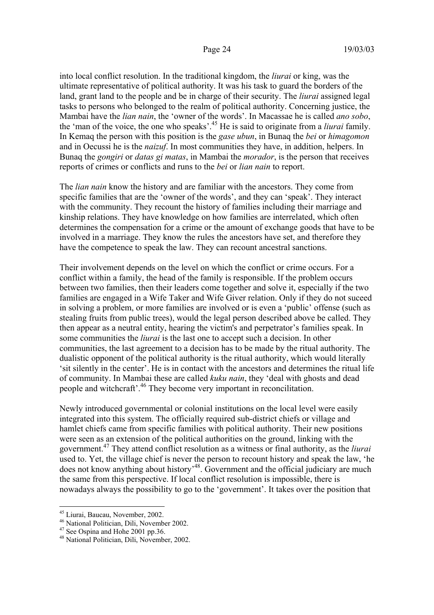into local conflict resolution. In the traditional kingdom, the *liurai* or king, was the ultimate representative of political authority. It was his task to guard the borders of the land, grant land to the people and be in charge of their security. The *liurai* assigned legal tasks to persons who belonged to the realm of political authority. Concerning justice, the Mambai have the *lian nain*, the 'owner of the words'. In Macassae he is called *ano sobo*, the 'man of the voice, the one who speaks'.45 He is said to originate from a *liurai* family. In Kemaq the person with this position is the *gase ubun*, in Bunaq the *bei* or *himagomon* and in Oecussi he is the *naizuf*. In most communities they have, in addition, helpers. In Bunaq the *gongiri* or *datas gi matas*, in Mambai the *morador*, is the person that receives reports of crimes or conflicts and runs to the *bei* or *lian nain* to report.

The *lian nain* know the history and are familiar with the ancestors. They come from specific families that are the 'owner of the words', and they can 'speak'. They interact with the community. They recount the history of families including their marriage and kinship relations. They have knowledge on how families are interrelated, which often determines the compensation for a crime or the amount of exchange goods that have to be involved in a marriage. They know the rules the ancestors have set, and therefore they have the competence to speak the law. They can recount ancestral sanctions.

Their involvement depends on the level on which the conflict or crime occurs. For a conflict within a family, the head of the family is responsible. If the problem occurs between two families, then their leaders come together and solve it, especially if the two families are engaged in a Wife Taker and Wife Giver relation. Only if they do not suceed in solving a problem, or more families are involved or is even a 'public' offense (such as stealing fruits from public trees), would the legal person described above be called. They then appear as a neutral entity, hearing the victim's and perpetrator's families speak. In some communities the *liurai* is the last one to accept such a decision. In other communities, the last agreement to a decision has to be made by the ritual authority. The dualistic opponent of the political authority is the ritual authority, which would literally 'sit silently in the center'. He is in contact with the ancestors and determines the ritual life of community. In Mambai these are called *kuku nain*, they 'deal with ghosts and dead people and witchcraft'.46 They become very important in reconcilitation.

Newly introduced governmental or colonial institutions on the local level were easily integrated into this system. The officially required sub-district chiefs or village and hamlet chiefs came from specific families with political authority. Their new positions were seen as an extension of the political authorities on the ground, linking with the government.47 They attend conflict resolution as a witness or final authority, as the *liurai* used to. Yet, the village chief is never the person to recount history and speak the law, 'he does not know anything about history'48. Government and the official judiciary are much the same from this perspective. If local conflict resolution is impossible, there is nowadays always the possibility to go to the 'government'. It takes over the position that

<sup>45</sup> Liurai, Baucau, November, 2002.

<sup>46</sup> National Politician, Dili, November 2002.

<sup>47</sup> See Ospina and Hohe 2001 pp.36.

<sup>48</sup> National Politician, Dili, November, 2002.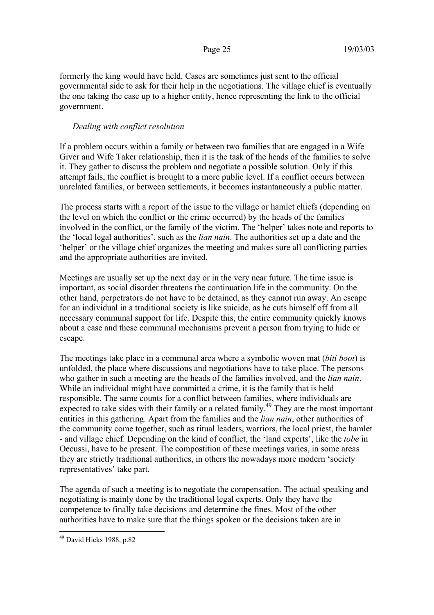formerly the king would have held. Cases are sometimes just sent to the official governmental side to ask for their help in the negotiations. The village chief is eventually the one taking the case up to a higher entity, hence representing the link to the official government.

### *Dealing with conflict resolution*

If a problem occurs within a family or between two families that are engaged in a Wife Giver and Wife Taker relationship, then it is the task of the heads of the families to solve it. They gather to discuss the problem and negotiate a possible solution. Only if this attempt fails, the conflict is brought to a more public level. If a conflict occurs between unrelated families, or between settlements, it becomes instantaneously a public matter.

The process starts with a report of the issue to the village or hamlet chiefs (depending on the level on which the conflict or the crime occurred) by the heads of the families involved in the conflict, or the family of the victim. The 'helper' takes note and reports to the 'local legal authorities', such as the *lian nain*. The authorities set up a date and the 'helper' or the village chief organizes the meeting and makes sure all conflicting parties and the appropriate authorities are invited.

Meetings are usually set up the next day or in the very near future. The time issue is important, as social disorder threatens the continuation life in the community. On the other hand, perpetrators do not have to be detained, as they cannot run away. An escape for an individual in a traditional society is like suicide, as he cuts himself off from all necessary communal support for life. Despite this, the entire community quickly knows about a case and these communal mechanisms prevent a person from trying to hide or escape.

The meetings take place in a communal area where a symbolic woven mat (*biti boot*) is unfolded, the place where discussions and negotiations have to take place. The persons who gather in such a meeting are the heads of the families involved, and the *lian nain*. While an individual might have committed a crime, it is the family that is held responsible. The same counts for a conflict between families, where individuals are expected to take sides with their family or a related family.<sup>49</sup> They are the most important entities in this gathering. Apart from the families and the *lian nain*, other authorities of the community come together, such as ritual leaders, warriors, the local priest, the hamlet - and village chief. Depending on the kind of conflict, the 'land experts', like the *tobe* in Oecussi, have to be present. The compostition of these meetings varies, in some areas they are strictly traditional authorities, in others the nowadays more modern 'society representatives' take part.

The agenda of such a meeting is to negotiate the compensation. The actual speaking and negotiating is mainly done by the traditional legal experts. Only they have the competence to finally take decisions and determine the fines. Most of the other authorities have to make sure that the things spoken or the decisions taken are in

 $\overline{a}$ <sup>49</sup> David Hicks 1988, p.82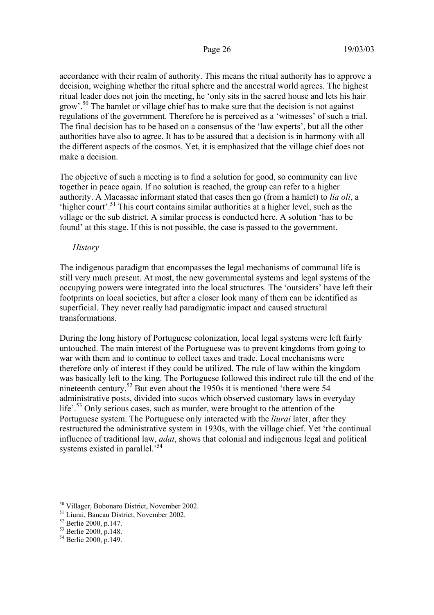accordance with their realm of authority. This means the ritual authority has to approve a decision, weighing whether the ritual sphere and the ancestral world agrees. The highest ritual leader does not join the meeting, he 'only sits in the sacred house and lets his hair grow'.<sup>50</sup> The hamlet or village chief has to make sure that the decision is not against regulations of the government. Therefore he is perceived as a 'witnesses' of such a trial. The final decision has to be based on a consensus of the 'law experts', but all the other authorities have also to agree. It has to be assured that a decision is in harmony with all the different aspects of the cosmos. Yet, it is emphasized that the village chief does not make a decision.

The objective of such a meeting is to find a solution for good, so community can live together in peace again. If no solution is reached, the group can refer to a higher authority. A Macassae informant stated that cases then go (from a hamlet) to *lia oli*, a 'higher court'.51 This court contains similar authorities at a higher level, such as the village or the sub district. A similar process is conducted here. A solution 'has to be found' at this stage. If this is not possible, the case is passed to the government.

### *History*

The indigenous paradigm that encompasses the legal mechanisms of communal life is still very much present. At most, the new governmental systems and legal systems of the occupying powers were integrated into the local structures. The 'outsiders' have left their footprints on local societies, but after a closer look many of them can be identified as superficial. They never really had paradigmatic impact and caused structural transformations.

During the long history of Portuguese colonization, local legal systems were left fairly untouched. The main interest of the Portuguese was to prevent kingdoms from going to war with them and to continue to collect taxes and trade. Local mechanisms were therefore only of interest if they could be utilized. The rule of law within the kingdom was basically left to the king. The Portuguese followed this indirect rule till the end of the nineteenth century.<sup>52</sup> But even about the 1950s it is mentioned 'there were 54 administrative posts, divided into sucos which observed customary laws in everyday life'.<sup>53</sup> Only serious cases, such as murder, were brought to the attention of the Portuguese system. The Portuguese only interacted with the *liurai* later, after they restructured the administrative system in 1930s, with the village chief. Yet 'the continual influence of traditional law, *adat*, shows that colonial and indigenous legal and political systems existed in parallel.<sup>54</sup>

<sup>50</sup> Villager, Bobonaro District, November 2002.

<sup>51</sup> Liurai, Baucau District, November 2002.

<sup>52</sup> Berlie 2000, p.147.

<sup>53</sup> Berlie 2000, p.148.

<sup>54</sup> Berlie 2000, p.149.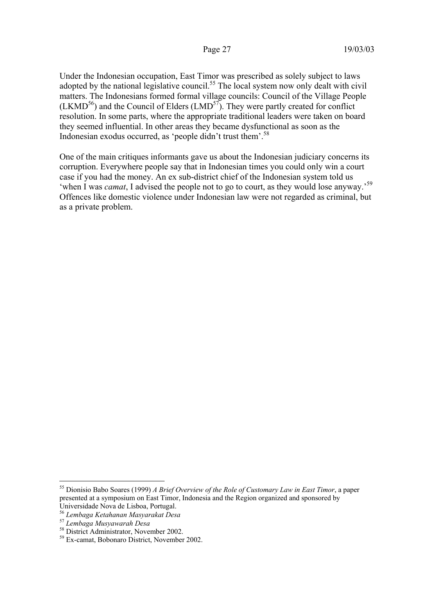Under the Indonesian occupation, East Timor was prescribed as solely subject to laws adopted by the national legislative council.<sup>55</sup> The local system now only dealt with civil matters. The Indonesians formed formal village councils: Council of the Village People  $(LKMD<sup>56</sup>)$  and the Council of Elders  $(LMD<sup>57</sup>)$ . They were partly created for conflict resolution. In some parts, where the appropriate traditional leaders were taken on board they seemed influential. In other areas they became dysfunctional as soon as the Indonesian exodus occurred, as 'people didn't trust them'.58

One of the main critiques informants gave us about the Indonesian judiciary concerns its corruption. Everywhere people say that in Indonesian times you could only win a court case if you had the money. An ex sub-district chief of the Indonesian system told us 'when I was *camat*, I advised the people not to go to court, as they would lose anyway.'<sup>59</sup> Offences like domestic violence under Indonesian law were not regarded as criminal, but as a private problem.

<sup>55</sup> Dionisio Babo Soares (1999) *A Brief Overview of the Role of Customary Law in East Timor*, a paper presented at a symposium on East Timor, Indonesia and the Region organized and sponsored by Universidade Nova de Lisboa, Portugal.

<sup>56</sup> *Lembaga Ketahanan Masyarakat Desa* <sup>57</sup> *Lembaga Musyawarah Desa* 58 District Administrator, November 2002.

<sup>59</sup> Ex-camat, Bobonaro District, November 2002.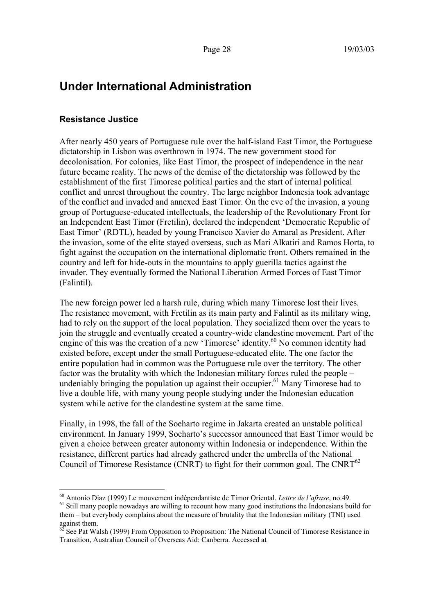## **Under International Administration**

### **Resistance Justice**

 $\overline{a}$ 

After nearly 450 years of Portuguese rule over the half-island East Timor, the Portuguese dictatorship in Lisbon was overthrown in 1974. The new government stood for decolonisation. For colonies, like East Timor, the prospect of independence in the near future became reality. The news of the demise of the dictatorship was followed by the establishment of the first Timorese political parties and the start of internal political conflict and unrest throughout the country. The large neighbor Indonesia took advantage of the conflict and invaded and annexed East Timor. On the eve of the invasion, a young group of Portuguese-educated intellectuals, the leadership of the Revolutionary Front for an Independent East Timor (Fretilin), declared the independent 'Democratic Republic of East Timor' (RDTL), headed by young Francisco Xavier do Amaral as President. After the invasion, some of the elite stayed overseas, such as Mari Alkatiri and Ramos Horta, to fight against the occupation on the international diplomatic front. Others remained in the country and left for hide-outs in the mountains to apply guerilla tactics against the invader. They eventually formed the National Liberation Armed Forces of East Timor (Falintil).

The new foreign power led a harsh rule, during which many Timorese lost their lives. The resistance movement, with Fretilin as its main party and Falintil as its military wing, had to rely on the support of the local population. They socialized them over the years to join the struggle and eventually created a country-wide clandestine movement. Part of the engine of this was the creation of a new 'Timorese' identity.<sup>60</sup> No common identity had existed before, except under the small Portuguese-educated elite. The one factor the entire population had in common was the Portuguese rule over the territory. The other factor was the brutality with which the Indonesian military forces ruled the people – undeniably bringing the population up against their occupier.<sup>61</sup> Many Timorese had to live a double life, with many young people studying under the Indonesian education system while active for the clandestine system at the same time.

Finally, in 1998, the fall of the Soeharto regime in Jakarta created an unstable political environment. In January 1999, Soeharto's successor announced that East Timor would be given a choice between greater autonomy within Indonesia or independence. Within the resistance, different parties had already gathered under the umbrella of the National Council of Timorese Resistance (CNRT) to fight for their common goal. The CNRT<sup>62</sup>

<sup>&</sup>lt;sup>60</sup> Antonio Diaz (1999) Le mouvement indépendantiste de Timor Oriental. *Lettre de l'afrase*, no.49.<br><sup>61</sup> Still many people nowadays are willing to recount how many good institutions the Indonesians build for

them – but everybody complains about the measure of brutality that the Indonesian military (TNI) used against them.

 $^{62}$  See Pat Walsh (1999) From Opposition to Proposition: The National Council of Timorese Resistance in Transition, Australian Council of Overseas Aid: Canberra. Accessed at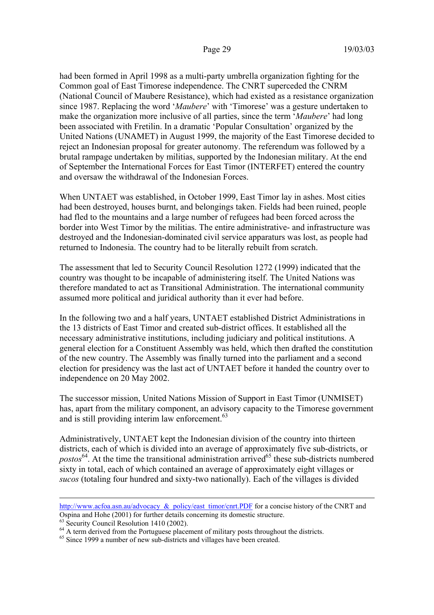had been formed in April 1998 as a multi-party umbrella organization fighting for the Common goal of East Timorese independence. The CNRT superceded the CNRM (National Council of Maubere Resistance), which had existed as a resistance organization since 1987. Replacing the word '*Maubere*' with 'Timorese' was a gesture undertaken to make the organization more inclusive of all parties, since the term '*Maubere*' had long been associated with Fretilin. In a dramatic 'Popular Consultation' organized by the United Nations (UNAMET) in August 1999, the majority of the East Timorese decided to reject an Indonesian proposal for greater autonomy. The referendum was followed by a brutal rampage undertaken by militias, supported by the Indonesian military. At the end of September the International Forces for East Timor (INTERFET) entered the country and oversaw the withdrawal of the Indonesian Forces.

When UNTAET was established, in October 1999, East Timor lay in ashes. Most cities had been destroyed, houses burnt, and belongings taken. Fields had been ruined, people had fled to the mountains and a large number of refugees had been forced across the border into West Timor by the militias. The entire administrative- and infrastructure was destroyed and the Indonesian-dominated civil service apparaturs was lost, as people had returned to Indonesia. The country had to be literally rebuilt from scratch.

The assessment that led to Security Council Resolution 1272 (1999) indicated that the country was thought to be incapable of administering itself. The United Nations was therefore mandated to act as Transitional Administration. The international community assumed more political and juridical authority than it ever had before.

In the following two and a half years, UNTAET established District Administrations in the 13 districts of East Timor and created sub-district offices. It established all the necessary administrative institutions, including judiciary and political institutions. A general election for a Constituent Assembly was held, which then drafted the constitution of the new country. The Assembly was finally turned into the parliament and a second election for presidency was the last act of UNTAET before it handed the country over to independence on 20 May 2002.

The successor mission, United Nations Mission of Support in East Timor (UNMISET) has, apart from the military component, an advisory capacity to the Timorese government and is still providing interim law enforcement.<sup>63</sup>

Administratively, UNTAET kept the Indonesian division of the country into thirteen districts, each of which is divided into an average of approximately five sub-districts, or  $\textit{postos}^{64}$ . At the time the transitional administration arrived<sup>65</sup> these sub-districts numbered sixty in total, each of which contained an average of approximately eight villages or *sucos* (totaling four hundred and sixty-two nationally). Each of the villages is divided

http://www.acfoa.asn.au/advocacy & policy/east\_timor/cnrt.PDF for a concise history of the CNRT and Ospina and Hohe (2001) for further details concerning its domestic structure.

<sup>&</sup>lt;sup>63</sup> Security Council Resolution 1410 (2002).

 $^{64}$  A term derived from the Portuguese placement of military posts throughout the districts.  $^{65}$  Since 1999 a number of new sub-districts and villages have been created.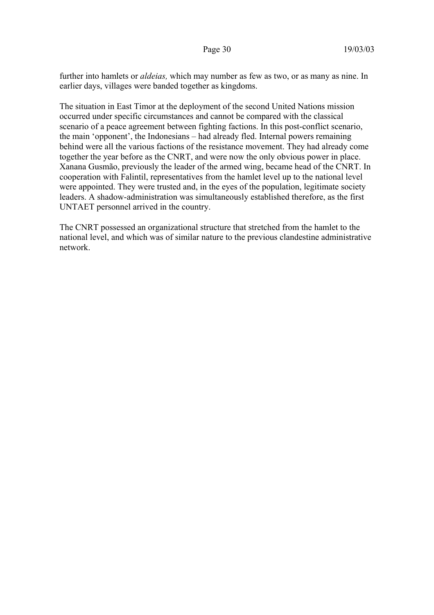further into hamlets or *aldeias,* which may number as few as two, or as many as nine. In earlier days, villages were banded together as kingdoms.

The situation in East Timor at the deployment of the second United Nations mission occurred under specific circumstances and cannot be compared with the classical scenario of a peace agreement between fighting factions. In this post-conflict scenario, the main 'opponent', the Indonesians – had already fled. Internal powers remaining behind were all the various factions of the resistance movement. They had already come together the year before as the CNRT, and were now the only obvious power in place. Xanana Gusmão, previously the leader of the armed wing, became head of the CNRT. In cooperation with Falintil, representatives from the hamlet level up to the national level were appointed. They were trusted and, in the eyes of the population, legitimate society leaders. A shadow-administration was simultaneously established therefore, as the first UNTAET personnel arrived in the country.

The CNRT possessed an organizational structure that stretched from the hamlet to the national level, and which was of similar nature to the previous clandestine administrative network.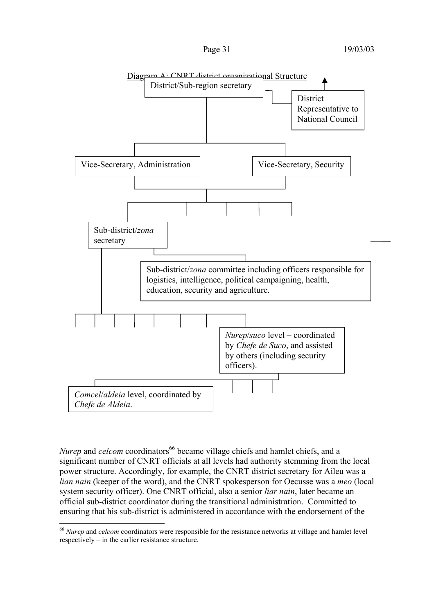

*Nurep* and *celcom* coordinators<sup>66</sup> became village chiefs and hamlet chiefs, and a significant number of CNRT officials at all levels had authority stemming from the local power structure. Accordingly, for example, the CNRT district secretary for Aileu was a *lian nain* (keeper of the word), and the CNRT spokesperson for Oecusse was a *meo* (local system security officer). One CNRT official, also a senior *liar nain*, later became an official sub-district coordinator during the transitional administration. Committed to ensuring that his sub-district is administered in accordance with the endorsement of the

<sup>66</sup> *Nurep* and *celcom* coordinators were responsible for the resistance networks at village and hamlet level – respectively – in the earlier resistance structure.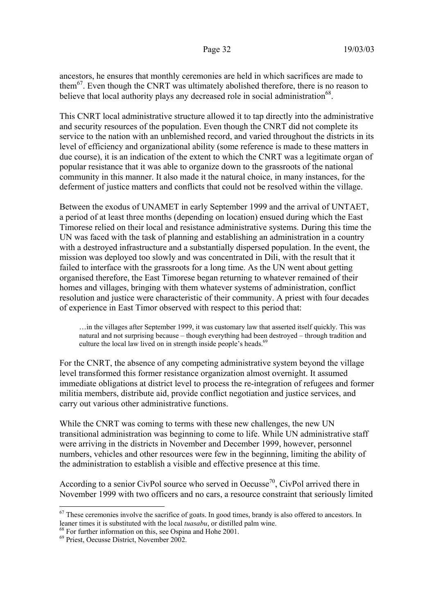ancestors, he ensures that monthly ceremonies are held in which sacrifices are made to them67. Even though the CNRT was ultimately abolished therefore, there is no reason to believe that local authority plays any decreased role in social administration<sup>68</sup>.

This CNRT local administrative structure allowed it to tap directly into the administrative and security resources of the population. Even though the CNRT did not complete its service to the nation with an unblemished record, and varied throughout the districts in its level of efficiency and organizational ability (some reference is made to these matters in due course), it is an indication of the extent to which the CNRT was a legitimate organ of popular resistance that it was able to organize down to the grassroots of the national community in this manner. It also made it the natural choice, in many instances, for the deferment of justice matters and conflicts that could not be resolved within the village.

Between the exodus of UNAMET in early September 1999 and the arrival of UNTAET, a period of at least three months (depending on location) ensued during which the East Timorese relied on their local and resistance administrative systems. During this time the UN was faced with the task of planning and establishing an administration in a country with a destroyed infrastructure and a substantially dispersed population. In the event, the mission was deployed too slowly and was concentrated in Dili, with the result that it failed to interface with the grassroots for a long time. As the UN went about getting organised therefore, the East Timorese began returning to whatever remained of their homes and villages, bringing with them whatever systems of administration, conflict resolution and justice were characteristic of their community. A priest with four decades of experience in East Timor observed with respect to this period that:

…in the villages after September 1999, it was customary law that asserted itself quickly. This was natural and not surprising because – though everything had been destroyed – through tradition and culture the local law lived on in strength inside people's heads.<sup>69</sup>

For the CNRT, the absence of any competing administrative system beyond the village level transformed this former resistance organization almost overnight. It assumed immediate obligations at district level to process the re-integration of refugees and former militia members, distribute aid, provide conflict negotiation and justice services, and carry out various other administrative functions.

While the CNRT was coming to terms with these new challenges, the new UN transitional administration was beginning to come to life. While UN administrative staff were arriving in the districts in November and December 1999, however, personnel numbers, vehicles and other resources were few in the beginning, limiting the ability of the administration to establish a visible and effective presence at this time.

According to a senior CivPol source who served in Oecusse<sup>70</sup>, CivPol arrived there in November 1999 with two officers and no cars, a resource constraint that seriously limited

 $67$  These ceremonies involve the sacrifice of goats. In good times, brandy is also offered to ancestors. In leaner times it is substituted with the local *tuasabu*, or distilled palm wine.

<sup>&</sup>lt;sup>68</sup> For further information on this, see Ospina and Hohe 2001.

<sup>69</sup> Priest, Oecusse District, November 2002.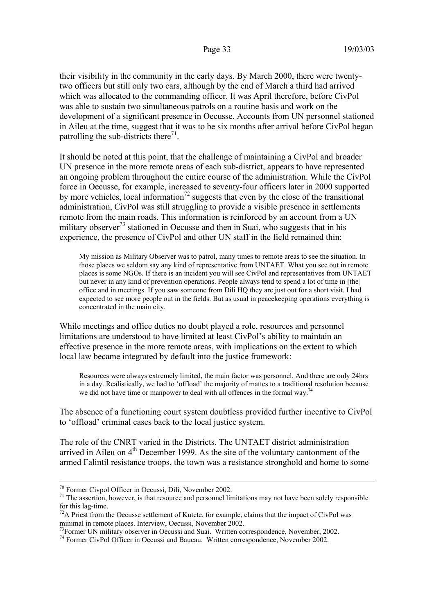their visibility in the community in the early days. By March 2000, there were twentytwo officers but still only two cars, although by the end of March a third had arrived which was allocated to the commanding officer. It was April therefore, before CivPol was able to sustain two simultaneous patrols on a routine basis and work on the development of a significant presence in Oecusse. Accounts from UN personnel stationed in Aileu at the time, suggest that it was to be six months after arrival before CivPol began patrolling the sub-districts there<sup>71</sup>.

It should be noted at this point, that the challenge of maintaining a CivPol and broader UN presence in the more remote areas of each sub-district, appears to have represented an ongoing problem throughout the entire course of the administration. While the CivPol force in Oecusse, for example, increased to seventy-four officers later in 2000 supported by more vehicles, local information<sup>72</sup> suggests that even by the close of the transitional administration, CivPol was still struggling to provide a visible presence in settlements remote from the main roads. This information is reinforced by an account from a UN military observer $^{73}$  stationed in Oecusse and then in Suai, who suggests that in his experience, the presence of CivPol and other UN staff in the field remained thin:

My mission as Military Observer was to patrol, many times to remote areas to see the situation. In those places we seldom say any kind of representative from UNTAET. What you see out in remote places is some NGOs. If there is an incident you will see CivPol and representatives from UNTAET but never in any kind of prevention operations. People always tend to spend a lot of time in [the] office and in meetings. If you saw someone from Dili HQ they are just out for a short visit. I had expected to see more people out in the fields. But as usual in peacekeeping operations everything is concentrated in the main city.

While meetings and office duties no doubt played a role, resources and personnel limitations are understood to have limited at least CivPol's ability to maintain an effective presence in the more remote areas, with implications on the extent to which local law became integrated by default into the justice framework:

Resources were always extremely limited, the main factor was personnel. And there are only 24hrs in a day. Realistically, we had to 'offload' the majority of mattes to a traditional resolution because we did not have time or manpower to deal with all offences in the formal way.<sup>74</sup>

The absence of a functioning court system doubtless provided further incentive to CivPol to 'offload' criminal cases back to the local justice system.

The role of the CNRT varied in the Districts. The UNTAET district administration arrived in Aileu on  $4<sup>th</sup>$  December 1999. As the site of the voluntary cantonment of the armed Falintil resistance troops, the town was a resistance stronghold and home to some

 $70$  Former Civpol Officer in Oecussi, Dili, November 2002.<br><sup>71</sup> The assertion, however, is that resource and personnel limitations may not have been solely responsible for this lag-time.

 $^{72}$ A Priest from the Oecusse settlement of Kutete, for example, claims that the impact of CivPol was minimal in remote places. Interview, Oecussi, November 2002.

 $^{73}$ Former UN military observer in Oecussi and Suai. Written correspondence, November, 2002.<br><sup>74</sup> Former CivPol Officer in Oecussi and Baucau. Written correspondence, November 2002.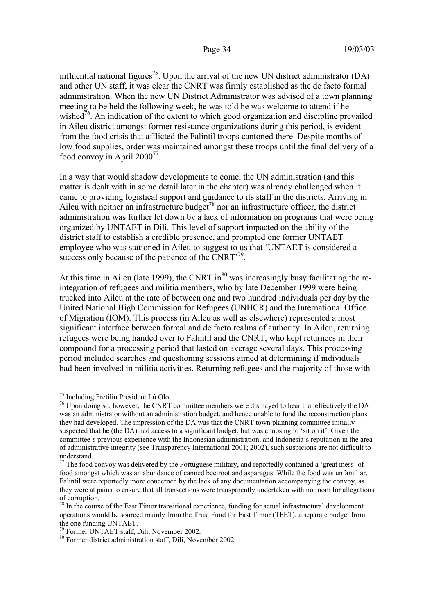influential national figures<sup>75</sup>. Upon the arrival of the new UN district administrator (DA) and other UN staff, it was clear the CNRT was firmly established as the de facto formal administration. When the new UN District Administrator was advised of a town planning meeting to be held the following week, he was told he was welcome to attend if he wished<sup>76</sup>. An indication of the extent to which good organization and discipline prevailed in Aileu district amongst former resistance organizations during this period, is evident from the food crisis that afflicted the Falintil troops cantoned there. Despite months of low food supplies, order was maintained amongst these troops until the final delivery of a food convoy in April  $2000^{77}$ .

In a way that would shadow developments to come, the UN administration (and this matter is dealt with in some detail later in the chapter) was already challenged when it came to providing logistical support and guidance to its staff in the districts. Arriving in Aileu with neither an infrastructure budget<sup>78</sup> nor an infrastructure officer, the district administration was further let down by a lack of information on programs that were being organized by UNTAET in Dili. This level of support impacted on the ability of the district staff to establish a credible presence, and prompted one former UNTAET employee who was stationed in Aileu to suggest to us that 'UNTAET is considered a success only because of the patience of the CNRT'<sup>79</sup>.

At this time in Aileu (late 1999), the CNRT in $^{80}$  was increasingly busy facilitating the reintegration of refugees and militia members, who by late December 1999 were being trucked into Aileu at the rate of between one and two hundred individuals per day by the United National High Commission for Refugees (UNHCR) and the International Office of Migration (IOM). This process (in Aileu as well as elsewhere) represented a most significant interface between formal and de facto realms of authority. In Aileu, returning refugees were being handed over to Falintil and the CNRT, who kept returnees in their compound for a processing period that lasted on average several days. This processing period included searches and questioning sessions aimed at determining if individuals had been involved in militia activities. Returning refugees and the majority of those with

<sup>75</sup> Including Fretilin President Lú Olo.

<sup>&</sup>lt;sup>76</sup> Upon doing so, however, the CNRT committee members were dismayed to hear that effectively the DA was an administrator without an administration budget, and hence unable to fund the reconstruction plans they had developed. The impression of the DA was that the CNRT town planning committee initially suspected that he (the DA) had access to a significant budget, but was choosing to 'sit on it'. Given the committee's previous experience with the Indonesian administration, and Indonesia's reputation in the area of administrative integrity (see Transparency International 2001; 2002), such suspicions are not difficult to understand.

 $77$  The food convoy was delivered by the Portuguese military, and reportedly contained a 'great mess' of food amongst which was an abundance of canned beetroot and asparagus. While the food was unfamiliar, Falintil were reportedly more concerned by the lack of any documentation accompanying the convoy, as they were at pains to ensure that all transactions were transparently undertaken with no room for allegations of corruption.

 $78$  In the course of the East Timor transitional experience, funding for actual infrastructural development operations would be sourced mainly from the Trust Fund for East Timor (TFET), a separate budget from the one funding UNTAET.

<sup>79</sup> Former UNTAET staff, Dili, November 2002.

<sup>80</sup> Former district administration staff, Dili, November 2002.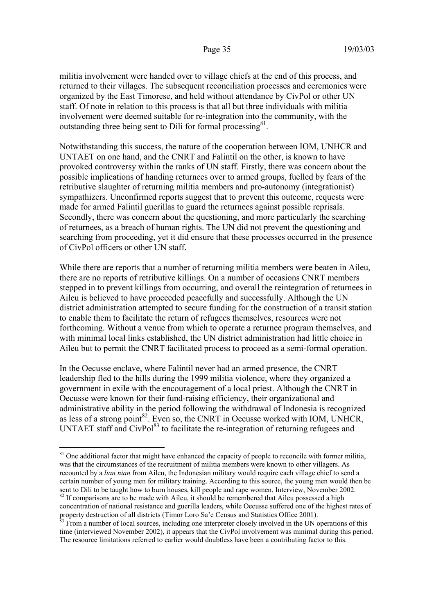militia involvement were handed over to village chiefs at the end of this process, and returned to their villages. The subsequent reconciliation processes and ceremonies were organized by the East Timorese, and held without attendance by CivPol or other UN staff. Of note in relation to this process is that all but three individuals with militia involvement were deemed suitable for re-integration into the community, with the outstanding three being sent to Dili for formal processing $81$ .

Notwithstanding this success, the nature of the cooperation between IOM, UNHCR and UNTAET on one hand, and the CNRT and Falintil on the other, is known to have provoked controversy within the ranks of UN staff. Firstly, there was concern about the possible implications of handing returnees over to armed groups, fuelled by fears of the retributive slaughter of returning militia members and pro-autonomy (integrationist) sympathizers. Unconfirmed reports suggest that to prevent this outcome, requests were made for armed Falintil guerillas to guard the returnees against possible reprisals. Secondly, there was concern about the questioning, and more particularly the searching of returnees, as a breach of human rights. The UN did not prevent the questioning and searching from proceeding, yet it did ensure that these processes occurred in the presence of CivPol officers or other UN staff.

While there are reports that a number of returning militia members were beaten in Aileu, there are no reports of retributive killings. On a number of occasions CNRT members stepped in to prevent killings from occurring, and overall the reintegration of returnees in Aileu is believed to have proceeded peacefully and successfully. Although the UN district administration attempted to secure funding for the construction of a transit station to enable them to facilitate the return of refugees themselves, resources were not forthcoming. Without a venue from which to operate a returnee program themselves, and with minimal local links established, the UN district administration had little choice in Aileu but to permit the CNRT facilitated process to proceed as a semi-formal operation.

In the Oecusse enclave, where Falintil never had an armed presence, the CNRT leadership fled to the hills during the 1999 militia violence, where they organized a government in exile with the encouragement of a local priest. Although the CNRT in Oecusse were known for their fund-raising efficiency, their organizational and administrative ability in the period following the withdrawal of Indonesia is recognized as less of a strong point<sup>82</sup>. Even so, the CNRT in Oecusse worked with IOM, UNHCR, UNTAET staff and  $CivPol<sup>83</sup>$  to facilitate the re-integration of returning refugees and

 $\overline{a}$ 

concentration of national resistance and guerilla leaders, while Oecusse suffered one of the highest rates of property destruction of all districts (Timor Loro Sa'e Census and Statistics Office 2001).

<sup>&</sup>lt;sup>81</sup> One additional factor that might have enhanced the capacity of people to reconcile with former militia, was that the circumstances of the recruitment of militia members were known to other villagers. As recounted by a *lian nian* from Aileu, the Indonesian military would require each village chief to send a certain number of young men for military training. According to this source, the young men would then be sent to Dili to be taught how to burn houses, kill people and rape women. Interview, November 2002. <sup>82</sup> If comparisons are to be made with Aileu, it should be remembered that Aileu possessed a high

 $\frac{1}{83}$  From a number of local sources, including one interpreter closely involved in the UN operations of this time (interviewed November 2002), it appears that the CivPol involvement was minimal during this period. The resource limitations referred to earlier would doubtless have been a contributing factor to this.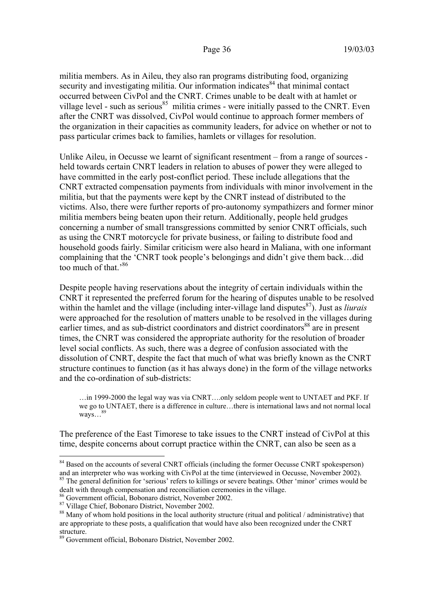militia members. As in Aileu, they also ran programs distributing food, organizing security and investigating militia. Our information indicates  $84$  that minimal contact occurred between CivPol and the CNRT. Crimes unable to be dealt with at hamlet or village level - such as serious<sup>85</sup> militia crimes - were initially passed to the CNRT. Even after the CNRT was dissolved, CivPol would continue to approach former members of the organization in their capacities as community leaders, for advice on whether or not to pass particular crimes back to families, hamlets or villages for resolution.

Unlike Aileu, in Oecusse we learnt of significant resentment – from a range of sources held towards certain CNRT leaders in relation to abuses of power they were alleged to have committed in the early post-conflict period. These include allegations that the CNRT extracted compensation payments from individuals with minor involvement in the militia, but that the payments were kept by the CNRT instead of distributed to the victims. Also, there were further reports of pro-autonomy sympathizers and former minor militia members being beaten upon their return. Additionally, people held grudges concerning a number of small transgressions committed by senior CNRT officials, such as using the CNRT motorcycle for private business, or failing to distribute food and household goods fairly. Similar criticism were also heard in Maliana, with one informant complaining that the 'CNRT took people's belongings and didn't give them back…did too much of that.'<sup>86</sup>

Despite people having reservations about the integrity of certain individuals within the CNRT it represented the preferred forum for the hearing of disputes unable to be resolved within the hamlet and the village (including inter-village land disputes<sup>87</sup>). Just as *liurais* were approached for the resolution of matters unable to be resolved in the villages during earlier times, and as sub-district coordinators and district coordinators<sup>88</sup> are in present times, the CNRT was considered the appropriate authority for the resolution of broader level social conflicts. As such, there was a degree of confusion associated with the dissolution of CNRT, despite the fact that much of what was briefly known as the CNRT structure continues to function (as it has always done) in the form of the village networks and the co-ordination of sub-districts:

…in 1999-2000 the legal way was via CNRT….only seldom people went to UNTAET and PKF. If we go to UNTAET, there is a difference in culture…there is international laws and not normal local ways…89

The preference of the East Timorese to take issues to the CNRT instead of CivPol at this time, despite concerns about corrupt practice within the CNRT, can also be seen as a

dealt with through compensation and reconciliation ceremonies in the village.

<sup>&</sup>lt;sup>84</sup> Based on the accounts of several CNRT officials (including the former Oecusse CNRT spokesperson) and an interpreter who was working with CivPol at the time (interviewed in Oecusse, November 2002). <sup>85</sup> The general definition for 'serious' refers to killings or severe beatings. Other 'minor' crimes would be

<sup>86</sup> Government official, Bobonaro district, November 2002.

<sup>87</sup> Village Chief, Bobonaro District, November 2002.

<sup>&</sup>lt;sup>88</sup> Many of whom hold positions in the local authority structure (ritual and political / administrative) that are appropriate to these posts, a qualification that would have also been recognized under the CNRT structure.

<sup>89</sup> Government official, Bobonaro District, November 2002.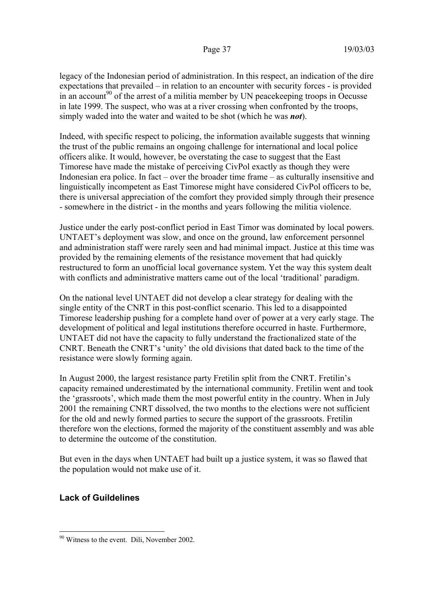legacy of the Indonesian period of administration. In this respect, an indication of the dire expectations that prevailed – in relation to an encounter with security forces - is provided in an account<sup>90</sup> of the arrest of a militia member by UN peace keeping troops in Oecusse in late 1999. The suspect, who was at a river crossing when confronted by the troops, simply waded into the water and waited to be shot (which he was *not*).

Indeed, with specific respect to policing, the information available suggests that winning the trust of the public remains an ongoing challenge for international and local police officers alike. It would, however, be overstating the case to suggest that the East Timorese have made the mistake of perceiving CivPol exactly as though they were Indonesian era police. In fact – over the broader time frame – as culturally insensitive and linguistically incompetent as East Timorese might have considered CivPol officers to be, there is universal appreciation of the comfort they provided simply through their presence - somewhere in the district - in the months and years following the militia violence.

Justice under the early post-conflict period in East Timor was dominated by local powers. UNTAET's deployment was slow, and once on the ground, law enforcement personnel and administration staff were rarely seen and had minimal impact. Justice at this time was provided by the remaining elements of the resistance movement that had quickly restructured to form an unofficial local governance system. Yet the way this system dealt with conflicts and administrative matters came out of the local 'traditional' paradigm.

On the national level UNTAET did not develop a clear strategy for dealing with the single entity of the CNRT in this post-conflict scenario. This led to a disappointed Timorese leadership pushing for a complete hand over of power at a very early stage. The development of political and legal institutions therefore occurred in haste. Furthermore, UNTAET did not have the capacity to fully understand the fractionalized state of the CNRT. Beneath the CNRT's 'unity' the old divisions that dated back to the time of the resistance were slowly forming again.

In August 2000, the largest resistance party Fretilin split from the CNRT. Fretilin's capacity remained underestimated by the international community. Fretilin went and took the 'grassroots', which made them the most powerful entity in the country. When in July 2001 the remaining CNRT dissolved, the two months to the elections were not sufficient for the old and newly formed parties to secure the support of the grassroots. Fretilin therefore won the elections, formed the majority of the constituent assembly and was able to determine the outcome of the constitution.

But even in the days when UNTAET had built up a justice system, it was so flawed that the population would not make use of it.

# **Lack of Guildelines**

<sup>&</sup>lt;sup>90</sup> Witness to the event. Dili, November 2002.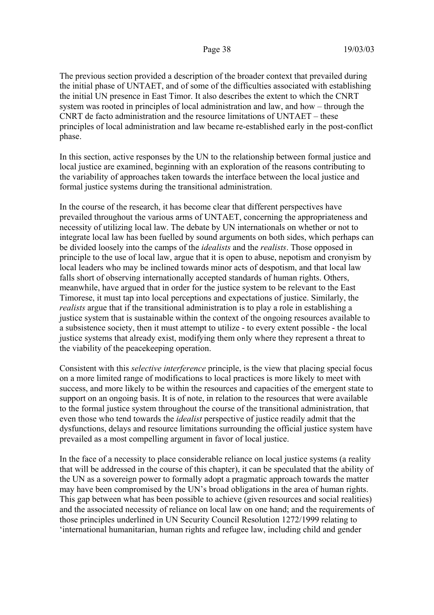The previous section provided a description of the broader context that prevailed during the initial phase of UNTAET, and of some of the difficulties associated with establishing the initial UN presence in East Timor. It also describes the extent to which the CNRT system was rooted in principles of local administration and law, and how – through the CNRT de facto administration and the resource limitations of UNTAET – these principles of local administration and law became re-established early in the post-conflict phase.

In this section, active responses by the UN to the relationship between formal justice and local justice are examined, beginning with an exploration of the reasons contributing to the variability of approaches taken towards the interface between the local justice and formal justice systems during the transitional administration.

In the course of the research, it has become clear that different perspectives have prevailed throughout the various arms of UNTAET, concerning the appropriateness and necessity of utilizing local law. The debate by UN internationals on whether or not to integrate local law has been fuelled by sound arguments on both sides, which perhaps can be divided loosely into the camps of the *idealists* and the *realists*. Those opposed in principle to the use of local law, argue that it is open to abuse, nepotism and cronyism by local leaders who may be inclined towards minor acts of despotism, and that local law falls short of observing internationally accepted standards of human rights. Others, meanwhile, have argued that in order for the justice system to be relevant to the East Timorese, it must tap into local perceptions and expectations of justice. Similarly, the *realists* argue that if the transitional administration is to play a role in establishing a justice system that is sustainable within the context of the ongoing resources available to a subsistence society, then it must attempt to utilize - to every extent possible - the local justice systems that already exist, modifying them only where they represent a threat to the viability of the peacekeeping operation.

Consistent with this *selective interference* principle, is the view that placing special focus on a more limited range of modifications to local practices is more likely to meet with success, and more likely to be within the resources and capacities of the emergent state to support on an ongoing basis. It is of note, in relation to the resources that were available to the formal justice system throughout the course of the transitional administration, that even those who tend towards the *idealist* perspective of justice readily admit that the dysfunctions, delays and resource limitations surrounding the official justice system have prevailed as a most compelling argument in favor of local justice.

In the face of a necessity to place considerable reliance on local justice systems (a reality that will be addressed in the course of this chapter), it can be speculated that the ability of the UN as a sovereign power to formally adopt a pragmatic approach towards the matter may have been compromised by the UN's broad obligations in the area of human rights. This gap between what has been possible to achieve (given resources and social realities) and the associated necessity of reliance on local law on one hand; and the requirements of those principles underlined in UN Security Council Resolution 1272/1999 relating to 'international humanitarian, human rights and refugee law, including child and gender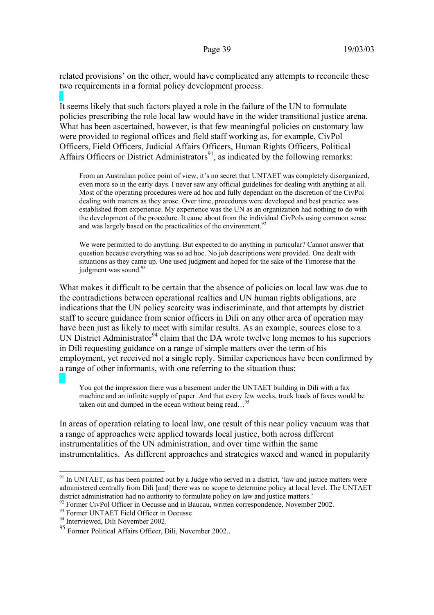related provisions' on the other, would have complicated any attempts to reconcile these two requirements in a formal policy development process.

It seems likely that such factors played a role in the failure of the UN to formulate policies prescribing the role local law would have in the wider transitional justice arena. What has been ascertained, however, is that few meaningful policies on customary law were provided to regional offices and field staff working as, for example, CivPol Officers, Field Officers, Judicial Affairs Officers, Human Rights Officers, Political Affairs Officers or District Administrators<sup>91</sup>, as indicated by the following remarks:

From an Australian police point of view, it's no secret that UNTAET was completely disorganized, even more so in the early days. I never saw any official guidelines for dealing with anything at all. Most of the operating procedures were ad hoc and fully dependant on the discretion of the CivPol dealing with matters as they arose. Over time, procedures were developed and best practice was established from experience. My experience was the UN as an organization had nothing to do with the development of the procedure. It came about from the individual CivPols using common sense and was largely based on the practicalities of the environment.<sup>92</sup>

We were permitted to do anything. But expected to do anything in particular? Cannot answer that question because everything was so ad hoc. No job descriptions were provided. One dealt with situations as they came up. One used judgment and hoped for the sake of the Timorese that the judgment was sound.<sup>93</sup>

What makes it difficult to be certain that the absence of policies on local law was due to the contradictions between operational realties and UN human rights obligations, are indications that the UN policy scarcity was indiscriminate, and that attempts by district staff to secure guidance from senior officers in Dili on any other area of operation may have been just as likely to meet with similar results. As an example, sources close to a UN District Administrator<sup>94</sup> claim that the DA wrote twelve long memos to his superiors in Dili requesting guidance on a range of simple matters over the term of his employment, yet received not a single reply. Similar experiences have been confirmed by a range of other informants, with one referring to the situation thus:

You got the impression there was a basement under the UNTAET building in Dili with a fax machine and an infinite supply of paper. And that every few weeks, truck loads of faxes would be taken out and dumped in the ocean without being read...<sup>95</sup>

In areas of operation relating to local law, one result of this near policy vacuum was that a range of approaches were applied towards local justice, both across different instrumentalities of the UN administration, and over time within the same instrumentalities. As different approaches and strategies waxed and waned in popularity

 $91$  In UNTAET, as has been pointed out by a Judge who served in a district, 'law and justice matters were administered centrally from Dili [and] there was no scope to determine policy at local level. The UNTAET district administration had no authority to formulate policy on law and justice matters.'

<sup>92</sup> Former CivPol Officer in Oecusse and in Baucau, written correspondence, November 2002.<br><sup>93</sup> Former UNTAET Field Officer in Oecusse

<sup>&</sup>lt;sup>94</sup> Interviewed, Dili November 2002.

<sup>95</sup> Former Political Affairs Officer, Dili, November 2002..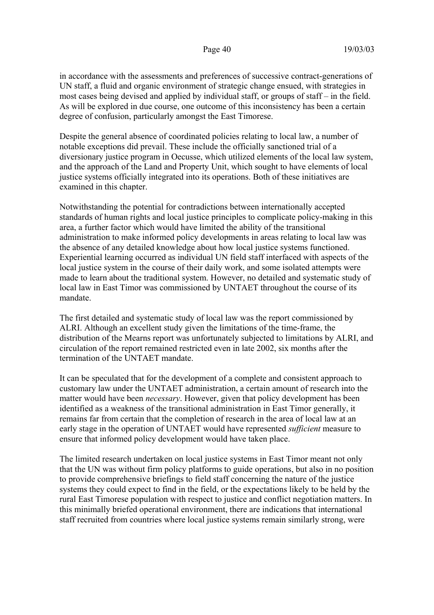in accordance with the assessments and preferences of successive contract-generations of UN staff, a fluid and organic environment of strategic change ensued, with strategies in most cases being devised and applied by individual staff, or groups of staff – in the field. As will be explored in due course, one outcome of this inconsistency has been a certain degree of confusion, particularly amongst the East Timorese.

Despite the general absence of coordinated policies relating to local law, a number of notable exceptions did prevail. These include the officially sanctioned trial of a diversionary justice program in Oecusse, which utilized elements of the local law system, and the approach of the Land and Property Unit, which sought to have elements of local justice systems officially integrated into its operations. Both of these initiatives are examined in this chapter.

Notwithstanding the potential for contradictions between internationally accepted standards of human rights and local justice principles to complicate policy-making in this area, a further factor which would have limited the ability of the transitional administration to make informed policy developments in areas relating to local law was the absence of any detailed knowledge about how local justice systems functioned. Experiential learning occurred as individual UN field staff interfaced with aspects of the local justice system in the course of their daily work, and some isolated attempts were made to learn about the traditional system. However, no detailed and systematic study of local law in East Timor was commissioned by UNTAET throughout the course of its mandate.

The first detailed and systematic study of local law was the report commissioned by ALRI. Although an excellent study given the limitations of the time-frame, the distribution of the Mearns report was unfortunately subjected to limitations by ALRI, and circulation of the report remained restricted even in late 2002, six months after the termination of the UNTAET mandate.

It can be speculated that for the development of a complete and consistent approach to customary law under the UNTAET administration, a certain amount of research into the matter would have been *necessary*. However, given that policy development has been identified as a weakness of the transitional administration in East Timor generally, it remains far from certain that the completion of research in the area of local law at an early stage in the operation of UNTAET would have represented *sufficient* measure to ensure that informed policy development would have taken place.

The limited research undertaken on local justice systems in East Timor meant not only that the UN was without firm policy platforms to guide operations, but also in no position to provide comprehensive briefings to field staff concerning the nature of the justice systems they could expect to find in the field, or the expectations likely to be held by the rural East Timorese population with respect to justice and conflict negotiation matters. In this minimally briefed operational environment, there are indications that international staff recruited from countries where local justice systems remain similarly strong, were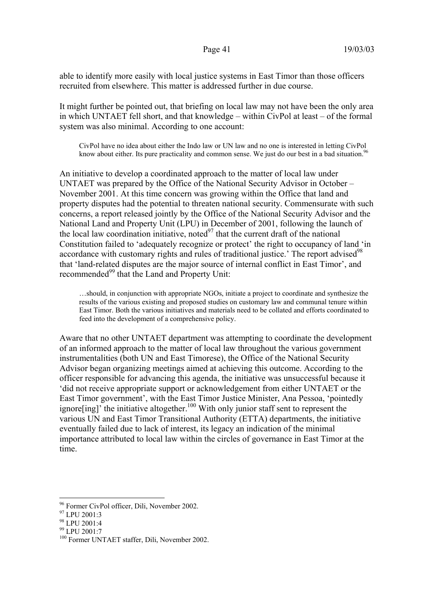able to identify more easily with local justice systems in East Timor than those officers recruited from elsewhere. This matter is addressed further in due course.

It might further be pointed out, that briefing on local law may not have been the only area in which UNTAET fell short, and that knowledge – within CivPol at least – of the formal system was also minimal. According to one account:

CivPol have no idea about either the Indo law or UN law and no one is interested in letting CivPol know about either. Its pure practicality and common sense. We just do our best in a bad situation.<sup>96</sup>

An initiative to develop a coordinated approach to the matter of local law under UNTAET was prepared by the Office of the National Security Advisor in October – November 2001. At this time concern was growing within the Office that land and property disputes had the potential to threaten national security. Commensurate with such concerns, a report released jointly by the Office of the National Security Advisor and the National Land and Property Unit (LPU) in December of 2001, following the launch of the local law coordination initiative, noted $^{97}$  that the current draft of the national Constitution failed to 'adequately recognize or protect' the right to occupancy of land 'in accordance with customary rights and rules of traditional justice.' The report advised  $98$ that 'land-related disputes are the major source of internal conflict in East Timor', and recommended<sup>99</sup> that the Land and Property Unit:

…should, in conjunction with appropriate NGOs, initiate a project to coordinate and synthesize the results of the various existing and proposed studies on customary law and communal tenure within East Timor. Both the various initiatives and materials need to be collated and efforts coordinated to feed into the development of a comprehensive policy.

Aware that no other UNTAET department was attempting to coordinate the development of an informed approach to the matter of local law throughout the various government instrumentalities (both UN and East Timorese), the Office of the National Security Advisor began organizing meetings aimed at achieving this outcome. According to the officer responsible for advancing this agenda, the initiative was unsuccessful because it 'did not receive appropriate support or acknowledgement from either UNTAET or the East Timor government', with the East Timor Justice Minister, Ana Pessoa, 'pointedly ignore<sup>[ing]</sup>' the initiative altogether.<sup>100</sup> With only junior staff sent to represent the various UN and East Timor Transitional Authority (ETTA) departments, the initiative eventually failed due to lack of interest, its legacy an indication of the minimal importance attributed to local law within the circles of governance in East Timor at the time.

<sup>96</sup> Former CivPol officer, Dili, November 2002.

<sup>97</sup> LPU 2001:3

<sup>98</sup> LPU 2001:4

<sup>99</sup> LPU 2001:7

<sup>100</sup> Former UNTAET staffer, Dili, November 2002.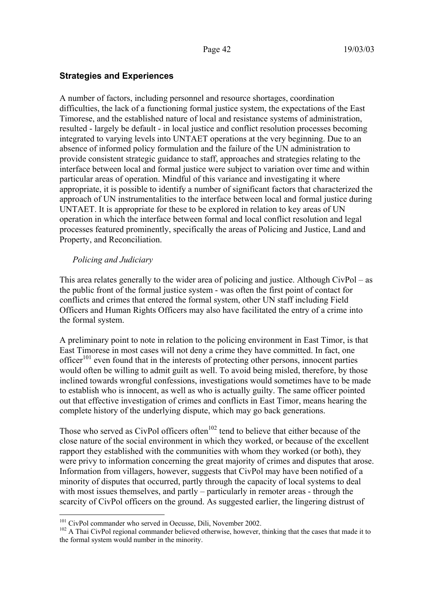# **Strategies and Experiences**

A number of factors, including personnel and resource shortages, coordination difficulties, the lack of a functioning formal justice system, the expectations of the East Timorese, and the established nature of local and resistance systems of administration, resulted - largely be default - in local justice and conflict resolution processes becoming integrated to varying levels into UNTAET operations at the very beginning. Due to an absence of informed policy formulation and the failure of the UN administration to provide consistent strategic guidance to staff, approaches and strategies relating to the interface between local and formal justice were subject to variation over time and within particular areas of operation. Mindful of this variance and investigating it where appropriate, it is possible to identify a number of significant factors that characterized the approach of UN instrumentalities to the interface between local and formal justice during UNTAET. It is appropriate for these to be explored in relation to key areas of UN operation in which the interface between formal and local conflict resolution and legal processes featured prominently, specifically the areas of Policing and Justice, Land and Property, and Reconciliation.

### *Policing and Judiciary*

This area relates generally to the wider area of policing and justice. Although CivPol – as the public front of the formal justice system - was often the first point of contact for conflicts and crimes that entered the formal system, other UN staff including Field Officers and Human Rights Officers may also have facilitated the entry of a crime into the formal system.

A preliminary point to note in relation to the policing environment in East Timor, is that East Timorese in most cases will not deny a crime they have committed. In fact, one officer<sup>101</sup> even found that in the interests of protecting other persons, innocent parties would often be willing to admit guilt as well. To avoid being misled, therefore, by those inclined towards wrongful confessions, investigations would sometimes have to be made to establish who is innocent, as well as who is actually guilty. The same officer pointed out that effective investigation of crimes and conflicts in East Timor, means hearing the complete history of the underlying dispute, which may go back generations.

Those who served as CivPol officers often $102$  tend to believe that either because of the close nature of the social environment in which they worked, or because of the excellent rapport they established with the communities with whom they worked (or both), they were privy to information concerning the great majority of crimes and disputes that arose. Information from villagers, however, suggests that CivPol may have been notified of a minority of disputes that occurred, partly through the capacity of local systems to deal with most issues themselves, and partly – particularly in remoter areas - through the scarcity of CivPol officers on the ground. As suggested earlier, the lingering distrust of

 $101$  CivPol commander who served in Oecusse, Dili, November 2002.<br> $102$  A Thai CivPol regional commander believed otherwise, however, thinking that the cases that made it to the formal system would number in the minority.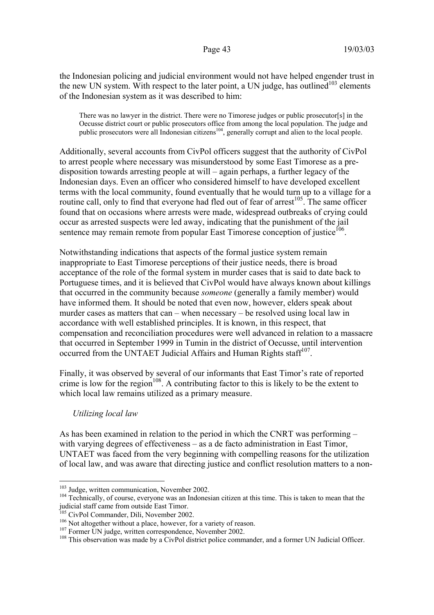the Indonesian policing and judicial environment would not have helped engender trust in the new UN system. With respect to the later point, a UN judge, has outlined<sup>103</sup> elements of the Indonesian system as it was described to him:

There was no lawyer in the district. There were no Timorese judges or public prosecutor[s] in the Oecusse district court or public prosecutors office from among the local population. The judge and public prosecutors were all Indonesian citizens<sup>104</sup>, generally corrupt and alien to the local people.

Additionally, several accounts from CivPol officers suggest that the authority of CivPol to arrest people where necessary was misunderstood by some East Timorese as a predisposition towards arresting people at will – again perhaps, a further legacy of the Indonesian days. Even an officer who considered himself to have developed excellent terms with the local community, found eventually that he would turn up to a village for a routine call, only to find that everyone had fled out of fear of arrest<sup>105</sup>. The same officer found that on occasions where arrests were made, widespread outbreaks of crying could occur as arrested suspects were led away, indicating that the punishment of the jail sentence may remain remote from popular East Timorese conception of justice<sup>106</sup>.

Notwithstanding indications that aspects of the formal justice system remain inappropriate to East Timorese perceptions of their justice needs, there is broad acceptance of the role of the formal system in murder cases that is said to date back to Portuguese times, and it is believed that CivPol would have always known about killings that occurred in the community because *someone* (generally a family member) would have informed them. It should be noted that even now, however, elders speak about murder cases as matters that can – when necessary – be resolved using local law in accordance with well established principles. It is known, in this respect, that compensation and reconciliation procedures were well advanced in relation to a massacre that occurred in September 1999 in Tumin in the district of Oecusse, until intervention occurred from the UNTAET Judicial Affairs and Human Rights staff $107$ .

Finally, it was observed by several of our informants that East Timor's rate of reported crime is low for the region<sup>108</sup>. A contributing factor to this is likely to be the extent to which local law remains utilized as a primary measure.

### *Utilizing local law*

As has been examined in relation to the period in which the CNRT was performing – with varying degrees of effectiveness – as a de facto administration in East Timor, UNTAET was faced from the very beginning with compelling reasons for the utilization of local law, and was aware that directing justice and conflict resolution matters to a non-

<sup>&</sup>lt;sup>103</sup> Judge, written communication, November 2002.

<sup>&</sup>lt;sup>104</sup> Technically, of course, everyone was an Indonesian citizen at this time. This is taken to mean that the judicial staff came from outside East Timor.<br><sup>105</sup> CivPol Commander, Dili, November 2002.

<sup>&</sup>lt;sup>106</sup> Not altogether without a place, however, for a variety of reason.<br><sup>107</sup> Former UN judge, written correspondence, November 2002.<br><sup>108</sup> This observation was made by a CivPol district police commander, and a former UN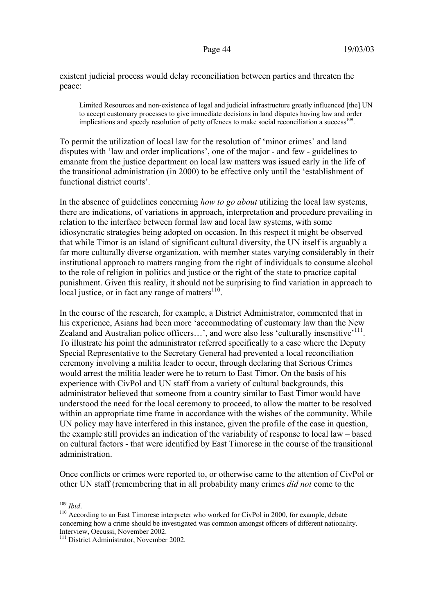existent judicial process would delay reconciliation between parties and threaten the peace:

Limited Resources and non-existence of legal and judicial infrastructure greatly influenced [the] UN to accept customary processes to give immediate decisions in land disputes having law and order implications and speedy resolution of petty offences to make social reconciliation a success<sup>109</sup>.

To permit the utilization of local law for the resolution of 'minor crimes' and land disputes with 'law and order implications', one of the major - and few - guidelines to emanate from the justice department on local law matters was issued early in the life of the transitional administration (in 2000) to be effective only until the 'establishment of functional district courts'.

In the absence of guidelines concerning *how to go about* utilizing the local law systems, there are indications, of variations in approach, interpretation and procedure prevailing in relation to the interface between formal law and local law systems, with some idiosyncratic strategies being adopted on occasion. In this respect it might be observed that while Timor is an island of significant cultural diversity, the UN itself is arguably a far more culturally diverse organization, with member states varying considerably in their institutional approach to matters ranging from the right of individuals to consume alcohol to the role of religion in politics and justice or the right of the state to practice capital punishment. Given this reality, it should not be surprising to find variation in approach to local justice, or in fact any range of matters $110$ .

In the course of the research, for example, a District Administrator, commented that in his experience, Asians had been more 'accommodating of customary law than the New Zealand and Australian police officers...', and were also less 'culturally insensitive'<sup>111</sup>. To illustrate his point the administrator referred specifically to a case where the Deputy Special Representative to the Secretary General had prevented a local reconciliation ceremony involving a militia leader to occur, through declaring that Serious Crimes would arrest the militia leader were he to return to East Timor. On the basis of his experience with CivPol and UN staff from a variety of cultural backgrounds, this administrator believed that someone from a country similar to East Timor would have understood the need for the local ceremony to proceed, to allow the matter to be resolved within an appropriate time frame in accordance with the wishes of the community. While UN policy may have interfered in this instance, given the profile of the case in question, the example still provides an indication of the variability of response to local law – based on cultural factors - that were identified by East Timorese in the course of the transitional administration.

Once conflicts or crimes were reported to, or otherwise came to the attention of CivPol or other UN staff (remembering that in all probability many crimes *did not* come to the

 $109$  Ibid.

<sup>&</sup>lt;sup>110</sup> According to an East Timorese interpreter who worked for CivPol in 2000, for example, debate concerning how a crime should be investigated was common amongst officers of different nationality.

 $111$  District Administrator, November 2002.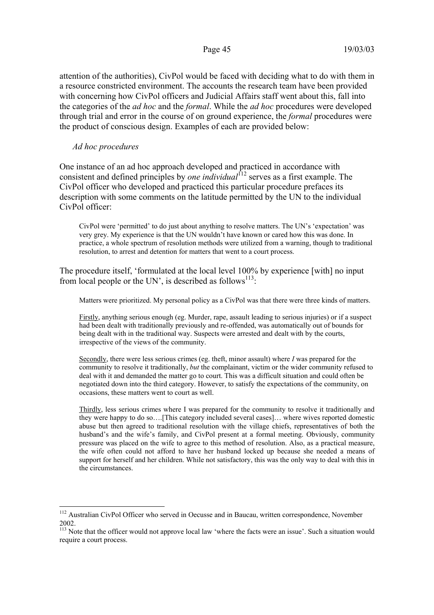attention of the authorities), CivPol would be faced with deciding what to do with them in a resource constricted environment. The accounts the research team have been provided with concerning how CivPol officers and Judicial Affairs staff went about this, fall into the categories of the *ad hoc* and the *formal*. While the *ad hoc* procedures were developed through trial and error in the course of on ground experience, the *formal* procedures were the product of conscious design. Examples of each are provided below:

### *Ad hoc procedures*

One instance of an ad hoc approach developed and practiced in accordance with consistent and defined principles by *one individual*<sup>112</sup> serves as a first example. The CivPol officer who developed and practiced this particular procedure prefaces its description with some comments on the latitude permitted by the UN to the individual CivPol officer:

CivPol were 'permitted' to do just about anything to resolve matters. The UN's 'expectation' was very grey. My experience is that the UN wouldn't have known or cared how this was done. In practice, a whole spectrum of resolution methods were utilized from a warning, though to traditional resolution, to arrest and detention for matters that went to a court process.

The procedure itself, 'formulated at the local level 100% by experience [with] no input from local people or the UN', is described as follows<sup>113</sup>:

Matters were prioritized. My personal policy as a CivPol was that there were three kinds of matters.

Firstly, anything serious enough (eg. Murder, rape, assault leading to serious injuries) or if a suspect had been dealt with traditionally previously and re-offended, was automatically out of bounds for being dealt with in the traditional way. Suspects were arrested and dealt with by the courts, irrespective of the views of the community.

Secondly, there were less serious crimes (eg. theft, minor assault) where *I* was prepared for the community to resolve it traditionally, *but* the complainant, victim or the wider community refused to deal with it and demanded the matter go to court. This was a difficult situation and could often be negotiated down into the third category. However, to satisfy the expectations of the community, on occasions, these matters went to court as well.

Thirdly, less serious crimes where I was prepared for the community to resolve it traditionally and they were happy to do so….[This category included several cases]… where wives reported domestic abuse but then agreed to traditional resolution with the village chiefs, representatives of both the husband's and the wife's family, and CivPol present at a formal meeting. Obviously, community pressure was placed on the wife to agree to this method of resolution. Also, as a practical measure, the wife often could not afford to have her husband locked up because she needed a means of support for herself and her children. While not satisfactory, this was the only way to deal with this in the circumstances.

 $\overline{a}$ <sup>112</sup> Australian CivPol Officer who served in Oecusse and in Baucau, written correspondence, November 2002.

<sup>&</sup>lt;sup>113</sup> Note that the officer would not approve local law 'where the facts were an issue'. Such a situation would require a court process.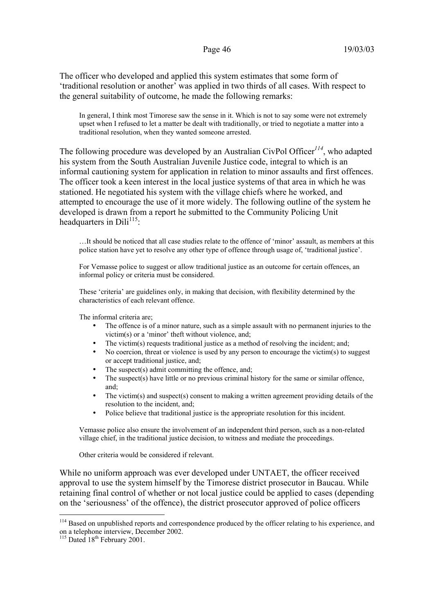The officer who developed and applied this system estimates that some form of 'traditional resolution or another' was applied in two thirds of all cases. With respect to the general suitability of outcome, he made the following remarks:

In general, I think most Timorese saw the sense in it. Which is not to say some were not extremely upset when I refused to let a matter be dealt with traditionally, or tried to negotiate a matter into a traditional resolution, when they wanted someone arrested.

The following procedure was developed by an Australian CivPol Officer*<sup>114</sup>*, who adapted his system from the South Australian Juvenile Justice code, integral to which is an informal cautioning system for application in relation to minor assaults and first offences. The officer took a keen interest in the local justice systems of that area in which he was stationed. He negotiated his system with the village chiefs where he worked, and attempted to encourage the use of it more widely. The following outline of the system he developed is drawn from a report he submitted to the Community Policing Unit headquarters in  $Dili<sup>115</sup>$ :

…It should be noticed that all case studies relate to the offence of 'minor' assault, as members at this police station have yet to resolve any other type of offence through usage of, 'traditional justice'.

For Vemasse police to suggest or allow traditional justice as an outcome for certain offences, an informal policy or criteria must be considered.

These 'criteria' are guidelines only, in making that decision, with flexibility determined by the characteristics of each relevant offence.

The informal criteria are;

- The offence is of a minor nature, such as a simple assault with no permanent injuries to the victim(s) or a 'minor' theft without violence, and;
- The victim(s) requests traditional justice as a method of resolving the incident; and;
- No coercion, threat or violence is used by any person to encourage the victim(s) to suggest or accept traditional justice, and;
- The suspect(s) admit committing the offence, and;
- The suspect(s) have little or no previous criminal history for the same or similar offence, and;
- The victim(s) and suspect(s) consent to making a written agreement providing details of the resolution to the incident, and;
- Police believe that traditional justice is the appropriate resolution for this incident.

Vemasse police also ensure the involvement of an independent third person, such as a non-related village chief, in the traditional justice decision, to witness and mediate the proceedings.

Other criteria would be considered if relevant.

While no uniform approach was ever developed under UNTAET, the officer received approval to use the system himself by the Timorese district prosecutor in Baucau. While retaining final control of whether or not local justice could be applied to cases (depending on the 'seriousness' of the offence), the district prosecutor approved of police officers

<sup>&</sup>lt;sup>114</sup> Based on unpublished reports and correspondence produced by the officer relating to his experience, and on a telephone interview, December 2002.

 $115$  Dated  $18<sup>th</sup>$  February 2001.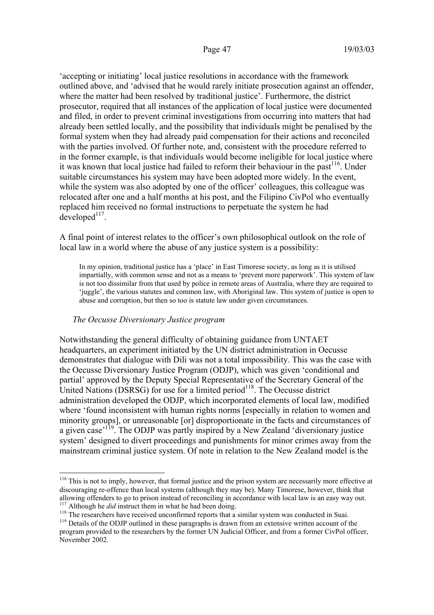'accepting or initiating' local justice resolutions in accordance with the framework outlined above, and 'advised that he would rarely initiate prosecution against an offender, where the matter had been resolved by traditional justice'. Furthermore, the district prosecutor, required that all instances of the application of local justice were documented and filed, in order to prevent criminal investigations from occurring into matters that had already been settled locally, and the possibility that individuals might be penalised by the formal system when they had already paid compensation for their actions and reconciled with the parties involved. Of further note, and, consistent with the procedure referred to in the former example, is that individuals would become ineligible for local justice where it was known that local justice had failed to reform their behaviour in the past<sup>116</sup>. Under suitable circumstances his system may have been adopted more widely. In the event, while the system was also adopted by one of the officer' colleagues, this colleague was relocated after one and a half months at his post, and the Filipino CivPol who eventually replaced him received no formal instructions to perpetuate the system he had  $developed<sup>117</sup>$ .

A final point of interest relates to the officer's own philosophical outlook on the role of local law in a world where the abuse of any justice system is a possibility:

In my opinion, traditional justice has a 'place' in East Timorese society, as long as it is utilised impartially, with common sense and not as a means to 'prevent more paperwork'. This system of law is not too dissimilar from that used by police in remote areas of Australia, where they are required to 'juggle', the various statutes and common law, with Aboriginal law. This system of justice is open to abuse and corruption, but then so too is statute law under given circumstances.

### *The Oecusse Diversionary Justice program*

 $\overline{a}$ 

Notwithstanding the general difficulty of obtaining guidance from UNTAET headquarters, an experiment initiated by the UN district administration in Oecusse demonstrates that dialogue with Dili was not a total impossibility. This was the case with the Oecusse Diversionary Justice Program (ODJP), which was given 'conditional and partial' approved by the Deputy Special Representative of the Secretary General of the United Nations (DSRSG) for use for a limited period<sup>118</sup>. The Oecusse district administration developed the ODJP, which incorporated elements of local law, modified where 'found inconsistent with human rights norms [especially in relation to women and minority groups], or unreasonable [or] disproportionate in the facts and circumstances of a given case<sup>'119</sup>. The ODJP was partly inspired by a New Zealand 'diversionary justice system' designed to divert proceedings and punishments for minor crimes away from the mainstream criminal justice system. Of note in relation to the New Zealand model is the

<sup>&</sup>lt;sup>116</sup> This is not to imply, however, that formal justice and the prison system are necessarily more effective at discouraging re-offence than local systems (although they may be). Many Timorese, however, think that allowing offenders to go to prison instead of reconciling in accordance with local law is an easy way out.<br><sup>117</sup> Although he *did* instruct them in what he had been doing.<br><sup>118</sup> The researchers have received unconfirmed re

program provided to the researchers by the former UN Judicial Officer, and from a former CivPol officer, November 2002.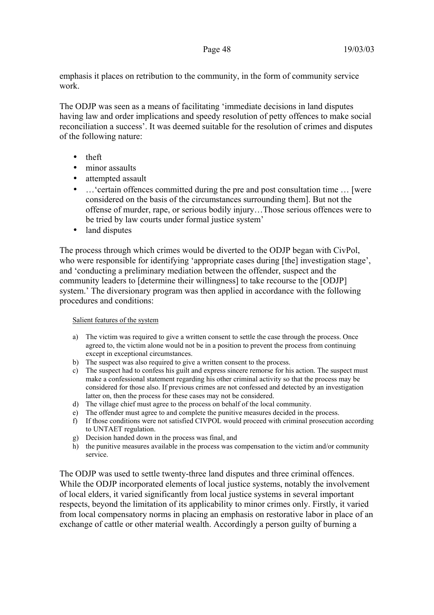emphasis it places on retribution to the community, in the form of community service work.

The ODJP was seen as a means of facilitating 'immediate decisions in land disputes having law and order implications and speedy resolution of petty offences to make social reconciliation a success'. It was deemed suitable for the resolution of crimes and disputes of the following nature:

- theft
- minor assaults
- attempted assault
- …'certain offences committed during the pre and post consultation time … [were considered on the basis of the circumstances surrounding them]. But not the offense of murder, rape, or serious bodily injury…Those serious offences were to be tried by law courts under formal justice system'
- land disputes

The process through which crimes would be diverted to the ODJP began with CivPol, who were responsible for identifying 'appropriate cases during [the] investigation stage', and 'conducting a preliminary mediation between the offender, suspect and the community leaders to [determine their willingness] to take recourse to the [ODJP] system.' The diversionary program was then applied in accordance with the following procedures and conditions:

### Salient features of the system

- a) The victim was required to give a written consent to settle the case through the process. Once agreed to, the victim alone would not be in a position to prevent the process from continuing except in exceptional circumstances.
- b) The suspect was also required to give a written consent to the process.
- c) The suspect had to confess his guilt and express sincere remorse for his action. The suspect must make a confessional statement regarding his other criminal activity so that the process may be considered for those also. If previous crimes are not confessed and detected by an investigation latter on, then the process for these cases may not be considered.
- d) The village chief must agree to the process on behalf of the local community.
- e) The offender must agree to and complete the punitive measures decided in the process.
- f) If those conditions were not satisfied CIVPOL would proceed with criminal prosecution according to UNTAET regulation.
- g) Decision handed down in the process was final, and
- h) the punitive measures available in the process was compensation to the victim and/or community service.

The ODJP was used to settle twenty-three land disputes and three criminal offences. While the ODJP incorporated elements of local justice systems, notably the involvement of local elders, it varied significantly from local justice systems in several important respects, beyond the limitation of its applicability to minor crimes only. Firstly, it varied from local compensatory norms in placing an emphasis on restorative labor in place of an exchange of cattle or other material wealth. Accordingly a person guilty of burning a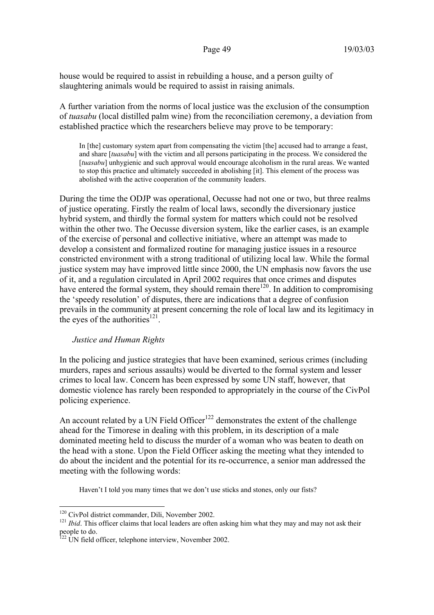house would be required to assist in rebuilding a house, and a person guilty of slaughtering animals would be required to assist in raising animals.

A further variation from the norms of local justice was the exclusion of the consumption of *tuasabu* (local distilled palm wine) from the reconciliation ceremony, a deviation from established practice which the researchers believe may prove to be temporary:

In [the] customary system apart from compensating the victim [the] accused had to arrange a feast, and share [*tuasabu*] with the victim and all persons participating in the process. We considered the [*tuasabu*] unhygienic and such approval would encourage alcoholism in the rural areas. We wanted to stop this practice and ultimately succeeded in abolishing [it]. This element of the process was abolished with the active cooperation of the community leaders.

During the time the ODJP was operational, Oecusse had not one or two, but three realms of justice operating. Firstly the realm of local laws, secondly the diversionary justice hybrid system, and thirdly the formal system for matters which could not be resolved within the other two. The Oecusse diversion system, like the earlier cases, is an example of the exercise of personal and collective initiative, where an attempt was made to develop a consistent and formalized routine for managing justice issues in a resource constricted environment with a strong traditional of utilizing local law. While the formal justice system may have improved little since 2000, the UN emphasis now favors the use of it, and a regulation circulated in April 2002 requires that once crimes and disputes have entered the formal system, they should remain there<sup>120</sup>. In addition to compromising the 'speedy resolution' of disputes, there are indications that a degree of confusion prevails in the community at present concerning the role of local law and its legitimacy in the eyes of the authorities $^{121}$ .

### *Justice and Human Rights*

In the policing and justice strategies that have been examined, serious crimes (including murders, rapes and serious assaults) would be diverted to the formal system and lesser crimes to local law. Concern has been expressed by some UN staff, however, that domestic violence has rarely been responded to appropriately in the course of the CivPol policing experience.

An account related by a UN Field Officer<sup>122</sup> demonstrates the extent of the challenge ahead for the Timorese in dealing with this problem, in its description of a male dominated meeting held to discuss the murder of a woman who was beaten to death on the head with a stone. Upon the Field Officer asking the meeting what they intended to do about the incident and the potential for its re-occurrence, a senior man addressed the meeting with the following words:

Haven't I told you many times that we don't use sticks and stones, only our fists?

 $120$  CivPol district commander. Dili. November 2002.

<sup>&</sup>lt;sup>121</sup> Ibid. This officer claims that local leaders are often asking him what they may and may not ask their people to do.

 $122$  UN field officer, telephone interview, November 2002.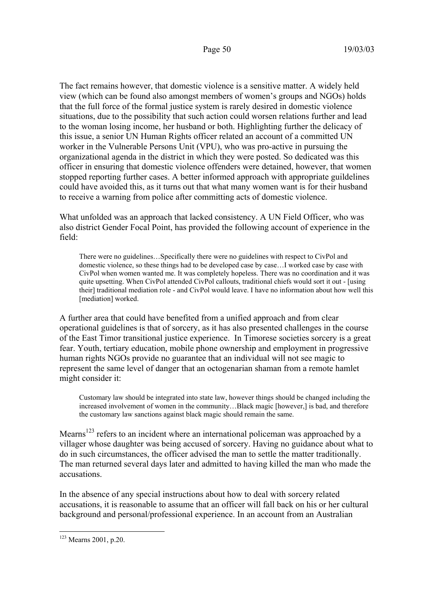The fact remains however, that domestic violence is a sensitive matter. A widely held view (which can be found also amongst members of women's groups and NGOs) holds that the full force of the formal justice system is rarely desired in domestic violence situations, due to the possibility that such action could worsen relations further and lead to the woman losing income, her husband or both. Highlighting further the delicacy of this issue, a senior UN Human Rights officer related an account of a committed UN worker in the Vulnerable Persons Unit (VPU), who was pro-active in pursuing the organizational agenda in the district in which they were posted. So dedicated was this officer in ensuring that domestic violence offenders were detained, however, that women stopped reporting further cases. A better informed approach with appropriate guildelines could have avoided this, as it turns out that what many women want is for their husband to receive a warning from police after committing acts of domestic violence.

What unfolded was an approach that lacked consistency. A UN Field Officer, who was also district Gender Focal Point, has provided the following account of experience in the field:

There were no guidelines…Specifically there were no guidelines with respect to CivPol and domestic violence, so these things had to be developed case by case…I worked case by case with CivPol when women wanted me. It was completely hopeless. There was no coordination and it was quite upsetting. When CivPol attended CivPol callouts, traditional chiefs would sort it out - [using their] traditional mediation role - and CivPol would leave. I have no information about how well this [mediation] worked.

A further area that could have benefited from a unified approach and from clear operational guidelines is that of sorcery, as it has also presented challenges in the course of the East Timor transitional justice experience. In Timorese societies sorcery is a great fear. Youth, tertiary education, mobile phone ownership and employment in progressive human rights NGOs provide no guarantee that an individual will not see magic to represent the same level of danger that an octogenarian shaman from a remote hamlet might consider it:

Customary law should be integrated into state law, however things should be changed including the increased involvement of women in the community…Black magic [however,] is bad, and therefore the customary law sanctions against black magic should remain the same.

Mearns<sup>123</sup> refers to an incident where an international policeman was approached by a villager whose daughter was being accused of sorcery. Having no guidance about what to do in such circumstances, the officer advised the man to settle the matter traditionally. The man returned several days later and admitted to having killed the man who made the accusations.

In the absence of any special instructions about how to deal with sorcery related accusations, it is reasonable to assume that an officer will fall back on his or her cultural background and personal/professional experience. In an account from an Australian

<sup>&</sup>lt;sup>123</sup> Mearns 2001, p.20.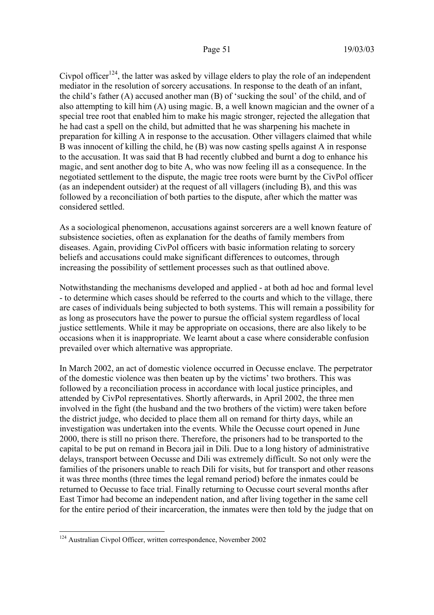Civpol officer<sup>124</sup>, the latter was asked by village elders to play the role of an independent mediator in the resolution of sorcery accusations. In response to the death of an infant, the child's father (A) accused another man (B) of 'sucking the soul' of the child, and of also attempting to kill him (A) using magic. B, a well known magician and the owner of a special tree root that enabled him to make his magic stronger, rejected the allegation that he had cast a spell on the child, but admitted that he was sharpening his machete in preparation for killing A in response to the accusation. Other villagers claimed that while B was innocent of killing the child, he (B) was now casting spells against A in response to the accusation. It was said that B had recently clubbed and burnt a dog to enhance his magic, and sent another dog to bite A, who was now feeling ill as a consequence. In the negotiated settlement to the dispute, the magic tree roots were burnt by the CivPol officer (as an independent outsider) at the request of all villagers (including B), and this was followed by a reconciliation of both parties to the dispute, after which the matter was considered settled.

As a sociological phenomenon, accusations against sorcerers are a well known feature of subsistence societies, often as explanation for the deaths of family members from diseases. Again, providing CivPol officers with basic information relating to sorcery beliefs and accusations could make significant differences to outcomes, through increasing the possibility of settlement processes such as that outlined above.

Notwithstanding the mechanisms developed and applied - at both ad hoc and formal level - to determine which cases should be referred to the courts and which to the village, there are cases of individuals being subjected to both systems. This will remain a possibility for as long as prosecutors have the power to pursue the official system regardless of local justice settlements. While it may be appropriate on occasions, there are also likely to be occasions when it is inappropriate. We learnt about a case where considerable confusion prevailed over which alternative was appropriate.

In March 2002, an act of domestic violence occurred in Oecusse enclave. The perpetrator of the domestic violence was then beaten up by the victims' two brothers. This was followed by a reconciliation process in accordance with local justice principles, and attended by CivPol representatives. Shortly afterwards, in April 2002, the three men involved in the fight (the husband and the two brothers of the victim) were taken before the district judge, who decided to place them all on remand for thirty days, while an investigation was undertaken into the events. While the Oecusse court opened in June 2000, there is still no prison there. Therefore, the prisoners had to be transported to the capital to be put on remand in Becora jail in Dili. Due to a long history of administrative delays, transport between Oecusse and Dili was extremely difficult. So not only were the families of the prisoners unable to reach Dili for visits, but for transport and other reasons it was three months (three times the legal remand period) before the inmates could be returned to Oecusse to face trial. Finally returning to Oecusse court several months after East Timor had become an independent nation, and after living together in the same cell for the entire period of their incarceration, the inmates were then told by the judge that on

<sup>&</sup>lt;sup>124</sup> Australian Civpol Officer, written correspondence, November 2002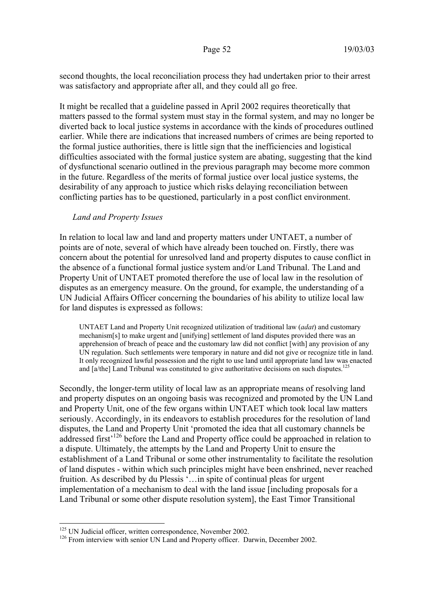second thoughts, the local reconciliation process they had undertaken prior to their arrest was satisfactory and appropriate after all, and they could all go free.

It might be recalled that a guideline passed in April 2002 requires theoretically that matters passed to the formal system must stay in the formal system, and may no longer be diverted back to local justice systems in accordance with the kinds of procedures outlined earlier. While there are indications that increased numbers of crimes are being reported to the formal justice authorities, there is little sign that the inefficiencies and logistical difficulties associated with the formal justice system are abating, suggesting that the kind of dysfunctional scenario outlined in the previous paragraph may become more common in the future. Regardless of the merits of formal justice over local justice systems, the desirability of any approach to justice which risks delaying reconciliation between conflicting parties has to be questioned, particularly in a post conflict environment.

### *Land and Property Issues*

In relation to local law and land and property matters under UNTAET, a number of points are of note, several of which have already been touched on. Firstly, there was concern about the potential for unresolved land and property disputes to cause conflict in the absence of a functional formal justice system and/or Land Tribunal. The Land and Property Unit of UNTAET promoted therefore the use of local law in the resolution of disputes as an emergency measure. On the ground, for example, the understanding of a UN Judicial Affairs Officer concerning the boundaries of his ability to utilize local law for land disputes is expressed as follows:

UNTAET Land and Property Unit recognized utilization of traditional law (*adat*) and customary mechanism[s] to make urgent and [unifying] settlement of land disputes provided there was an apprehension of breach of peace and the customary law did not conflict [with] any provision of any UN regulation. Such settlements were temporary in nature and did not give or recognize title in land. It only recognized lawful possession and the right to use land until appropriate land law was enacted and  $[a/\text{the}]$  Land Tribunal was constituted to give authoritative decisions on such disputes.<sup>125</sup>

Secondly, the longer-term utility of local law as an appropriate means of resolving land and property disputes on an ongoing basis was recognized and promoted by the UN Land and Property Unit, one of the few organs within UNTAET which took local law matters seriously. Accordingly, in its endeavors to establish procedures for the resolution of land disputes, the Land and Property Unit 'promoted the idea that all customary channels be addressed first<sup>'126</sup> before the Land and Property office could be approached in relation to a dispute. Ultimately, the attempts by the Land and Property Unit to ensure the establishment of a Land Tribunal or some other instrumentality to facilitate the resolution of land disputes - within which such principles might have been enshrined, never reached fruition. As described by du Plessis '…in spite of continual pleas for urgent implementation of a mechanism to deal with the land issue [including proposals for a Land Tribunal or some other dispute resolution system], the East Timor Transitional

 $125$  UN Judicial officer, written correspondence, November 2002.<br> $126$  From interview with senior UN Land and Property officer. Darwin, December 2002.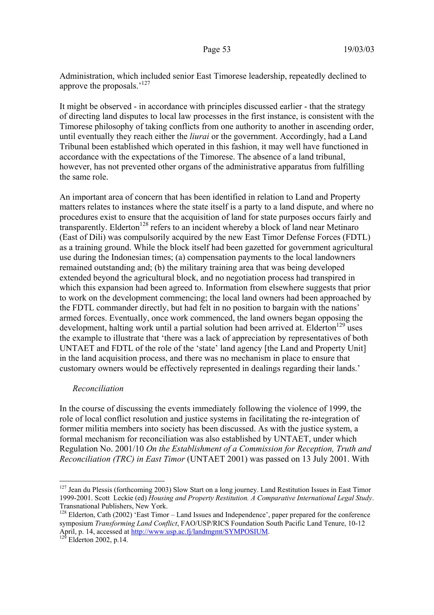Administration, which included senior East Timorese leadership, repeatedly declined to approve the proposals<sup>,127</sup>

It might be observed - in accordance with principles discussed earlier - that the strategy of directing land disputes to local law processes in the first instance, is consistent with the Timorese philosophy of taking conflicts from one authority to another in ascending order, until eventually they reach either the *liurai* or the government. Accordingly, had a Land Tribunal been established which operated in this fashion, it may well have functioned in accordance with the expectations of the Timorese. The absence of a land tribunal, however, has not prevented other organs of the administrative apparatus from fulfilling the same role.

An important area of concern that has been identified in relation to Land and Property matters relates to instances where the state itself is a party to a land dispute, and where no procedures exist to ensure that the acquisition of land for state purposes occurs fairly and transparently. Elderton<sup>128</sup> refers to an incident whereby a block of land near Metinaro (East of Dili) was compulsorily acquired by the new East Timor Defense Forces (FDTL) as a training ground. While the block itself had been gazetted for government agricultural use during the Indonesian times; (a) compensation payments to the local landowners remained outstanding and; (b) the military training area that was being developed extended beyond the agricultural block, and no negotiation process had transpired in which this expansion had been agreed to. Information from elsewhere suggests that prior to work on the development commencing; the local land owners had been approached by the FDTL commander directly, but had felt in no position to bargain with the nations' armed forces. Eventually, once work commenced, the land owners began opposing the development, halting work until a partial solution had been arrived at. Elderton<sup>129</sup> uses the example to illustrate that 'there was a lack of appreciation by representatives of both UNTAET and FDTL of the role of the 'state' land agency [the Land and Property Unit] in the land acquisition process, and there was no mechanism in place to ensure that customary owners would be effectively represented in dealings regarding their lands.'

### *Reconciliation*

In the course of discussing the events immediately following the violence of 1999, the role of local conflict resolution and justice systems in facilitating the re-integration of former militia members into society has been discussed. As with the justice system, a formal mechanism for reconciliation was also established by UNTAET, under which Regulation No. 2001/10 *On the Establishment of a Commission for Reception, Truth and Reconciliation (TRC) in East Timor* (UNTAET 2001) was passed on 13 July 2001. With

 $127$  Jean du Plessis (forthcoming 2003) Slow Start on a long journey. Land Restitution Issues in East Timor 1999-2001. Scott Leckie (ed) *Housing and Property Restitution. A Comparative International Legal Study*. Transnational Publishers, New York.

 $128$  Elderton, Cath (2002) 'East Timor – Land Issues and Independence', paper prepared for the conference symposium *Transforming Land Conflict*, FAO/USP/RICS Foundation South Pacific Land Tenure, 10-12 April, p. 14, accessed at http://www.usp.ac.fj/landmgmt/SYMPOSIUM.<br><sup>129</sup> Elderton 2002, p.14.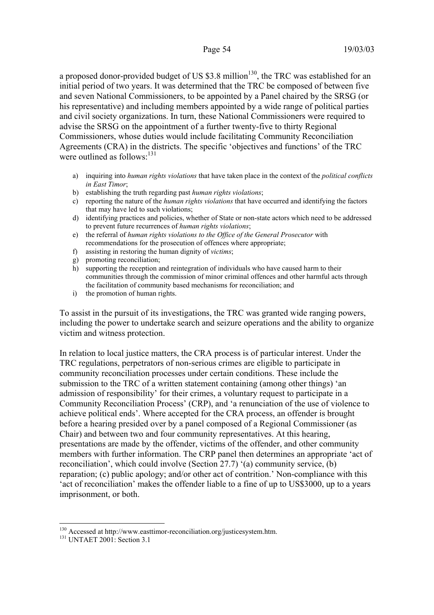a proposed donor-provided budget of US  $$3.8$  million<sup>130</sup>, the TRC was established for an initial period of two years. It was determined that the TRC be composed of between five and seven National Commissioners, to be appointed by a Panel chaired by the SRSG (or his representative) and including members appointed by a wide range of political parties and civil society organizations. In turn, these National Commissioners were required to advise the SRSG on the appointment of a further twenty-five to thirty Regional Commissioners, whose duties would include facilitating Community Reconciliation Agreements (CRA) in the districts. The specific 'objectives and functions' of the TRC were outlined as follows:<sup>131</sup>

- a) inquiring into *human rights violations* that have taken place in the context of the *political conflicts in East Timor*;
- b) establishing the truth regarding past *human rights violations*;
- c) reporting the nature of the *human rights violations* that have occurred and identifying the factors that may have led to such violations;
- d) identifying practices and policies, whether of State or non-state actors which need to be addressed to prevent future recurrences of *human rights violations*;
- e) the referral of *human rights violations to the Office of the General Prosecutor* with recommendations for the prosecution of offences where appropriate;
- f) assisting in restoring the human dignity of *victims*;
- g) promoting reconciliation;
- h) supporting the reception and reintegration of individuals who have caused harm to their communities through the commission of minor criminal offences and other harmful acts through the facilitation of community based mechanisms for reconciliation; and
- i) the promotion of human rights.

To assist in the pursuit of its investigations, the TRC was granted wide ranging powers, including the power to undertake search and seizure operations and the ability to organize victim and witness protection.

In relation to local justice matters, the CRA process is of particular interest. Under the TRC regulations, perpetrators of non-serious crimes are eligible to participate in community reconciliation processes under certain conditions. These include the submission to the TRC of a written statement containing (among other things) 'an admission of responsibility' for their crimes, a voluntary request to participate in a Community Reconciliation Process' (CRP), and 'a renunciation of the use of violence to achieve political ends'. Where accepted for the CRA process, an offender is brought before a hearing presided over by a panel composed of a Regional Commissioner (as Chair) and between two and four community representatives. At this hearing, presentations are made by the offender, victims of the offender, and other community members with further information. The CRP panel then determines an appropriate 'act of reconciliation', which could involve (Section 27.7) '(a) community service, (b) reparation; (c) public apology; and/or other act of contrition.' Non-compliance with this 'act of reconciliation' makes the offender liable to a fine of up to US\$3000, up to a years imprisonment, or both.

<sup>&</sup>lt;sup>130</sup> Accessed at http://www.easttimor-reconciliation.org/justicesystem.htm.<br><sup>131</sup> UNTAET 2001: Section 3.1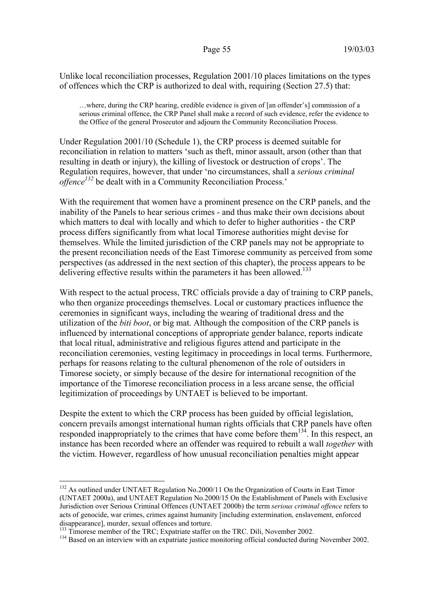Unlike local reconciliation processes, Regulation 2001/10 places limitations on the types of offences which the CRP is authorized to deal with, requiring (Section 27.5) that:

…where, during the CRP hearing, credible evidence is given of [an offender's] commission of a serious criminal offence, the CRP Panel shall make a record of such evidence, refer the evidence to the Office of the general Prosecutor and adjourn the Community Reconciliation Process.

Under Regulation 2001/10 (Schedule 1), the CRP process is deemed suitable for reconciliation in relation to matters 'such as theft, minor assault, arson (other than that resulting in death or injury), the killing of livestock or destruction of crops'. The Regulation requires, however, that under 'no circumstances, shall a *serious criminal offence*<sup>132</sup> be dealt with in a Community Reconciliation Process.'

With the requirement that women have a prominent presence on the CRP panels, and the inability of the Panels to hear serious crimes - and thus make their own decisions about which matters to deal with locally and which to defer to higher authorities - the CRP process differs significantly from what local Timorese authorities might devise for themselves. While the limited jurisdiction of the CRP panels may not be appropriate to the present reconciliation needs of the East Timorese community as perceived from some perspectives (as addressed in the next section of this chapter), the process appears to be delivering effective results within the parameters it has been allowed.<sup>133</sup>

With respect to the actual process. TRC officials provide a day of training to CRP panels. who then organize proceedings themselves. Local or customary practices influence the ceremonies in significant ways, including the wearing of traditional dress and the utilization of the *biti boot*, or big mat. Although the composition of the CRP panels is influenced by international conceptions of appropriate gender balance, reports indicate that local ritual, administrative and religious figures attend and participate in the reconciliation ceremonies, vesting legitimacy in proceedings in local terms. Furthermore, perhaps for reasons relating to the cultural phenomenon of the role of outsiders in Timorese society, or simply because of the desire for international recognition of the importance of the Timorese reconciliation process in a less arcane sense, the official legitimization of proceedings by UNTAET is believed to be important.

Despite the extent to which the CRP process has been guided by official legislation, concern prevails amongst international human rights officials that CRP panels have often responded inappropriately to the crimes that have come before them<sup>134</sup>. In this respect, an instance has been recorded where an offender was required to rebuilt a wall *together* with the victim. However, regardless of how unusual reconciliation penalties might appear

<sup>&</sup>lt;sup>132</sup> As outlined under UNTAET Regulation No.2000/11 On the Organization of Courts in East Timor (UNTAET 2000a), and UNTAET Regulation No.2000/15 On the Establishment of Panels with Exclusive Jurisdiction over Serious Criminal Offences (UNTAET 2000b) the term *serious criminal offence* refers to acts of genocide, war crimes, crimes against humanity [including extermination, enslavement, enforced disappearance], murder, sexual offences and torture.<br><sup>133</sup> Timorese member of the TRC; Expatriate staffer on the TRC. Dili, November 2002.

 $134$  Based on an interview with an expatriate justice monitoring official conducted during November 2002.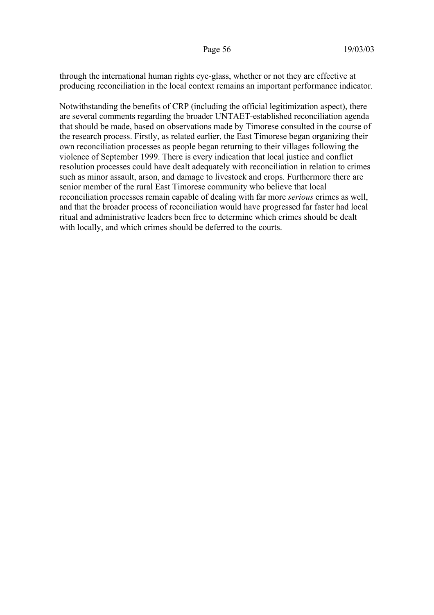through the international human rights eye-glass, whether or not they are effective at producing reconciliation in the local context remains an important performance indicator.

Notwithstanding the benefits of CRP (including the official legitimization aspect), there are several comments regarding the broader UNTAET-established reconciliation agenda that should be made, based on observations made by Timorese consulted in the course of the research process. Firstly, as related earlier, the East Timorese began organizing their own reconciliation processes as people began returning to their villages following the violence of September 1999. There is every indication that local justice and conflict resolution processes could have dealt adequately with reconciliation in relation to crimes such as minor assault, arson, and damage to livestock and crops. Furthermore there are senior member of the rural East Timorese community who believe that local reconciliation processes remain capable of dealing with far more *serious* crimes as well, and that the broader process of reconciliation would have progressed far faster had local ritual and administrative leaders been free to determine which crimes should be dealt with locally, and which crimes should be deferred to the courts.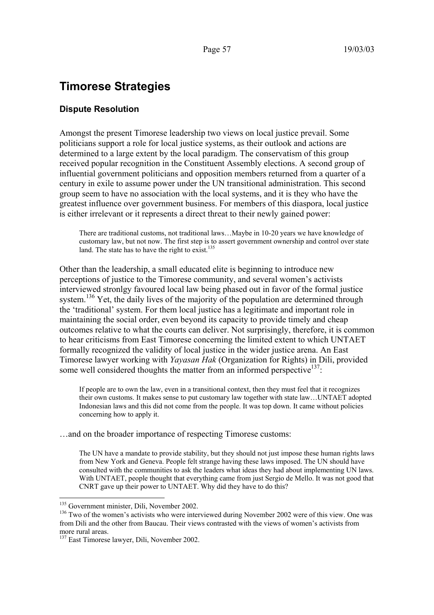# **Timorese Strategies**

# **Dispute Resolution**

Amongst the present Timorese leadership two views on local justice prevail. Some politicians support a role for local justice systems, as their outlook and actions are determined to a large extent by the local paradigm. The conservatism of this group received popular recognition in the Constituent Assembly elections. A second group of influential government politicians and opposition members returned from a quarter of a century in exile to assume power under the UN transitional administration. This second group seem to have no association with the local systems, and it is they who have the greatest influence over government business. For members of this diaspora, local justice is either irrelevant or it represents a direct threat to their newly gained power:

There are traditional customs, not traditional laws…Maybe in 10-20 years we have knowledge of customary law, but not now. The first step is to assert government ownership and control over state land. The state has to have the right to exist. $135$ 

Other than the leadership, a small educated elite is beginning to introduce new perceptions of justice to the Timorese community, and several women's activists interviewed stronlgy favoured local law being phased out in favor of the formal justice system.<sup>136</sup> Yet, the daily lives of the majority of the population are determined through the 'traditional' system. For them local justice has a legitimate and important role in maintaining the social order, even beyond its capacity to provide timely and cheap outcomes relative to what the courts can deliver. Not surprisingly, therefore, it is common to hear criticisms from East Timorese concerning the limited extent to which UNTAET formally recognized the validity of local justice in the wider justice arena. An East Timorese lawyer working with *Yayasan Hak* (Organization for Rights) in Dili, provided some well considered thoughts the matter from an informed perspective $137$ :

If people are to own the law, even in a transitional context, then they must feel that it recognizes their own customs. It makes sense to put customary law together with state law…UNTAET adopted Indonesian laws and this did not come from the people. It was top down. It came without policies concerning how to apply it.

…and on the broader importance of respecting Timorese customs:

The UN have a mandate to provide stability, but they should not just impose these human rights laws from New York and Geneva. People felt strange having these laws imposed. The UN should have consulted with the communities to ask the leaders what ideas they had about implementing UN laws. With UNTAET, people thought that everything came from just Sergio de Mello. It was not good that CNRT gave up their power to UNTAET. Why did they have to do this?

<sup>&</sup>lt;sup>135</sup> Government minister, Dili, November 2002.<br><sup>136</sup> Two of the women's activists who were interviewed during November 2002 were of this view. One was from Dili and the other from Baucau. Their views contrasted with the views of women's activists from more rural areas.

<sup>&</sup>lt;sup>137</sup> East Timorese lawyer, Dili, November 2002.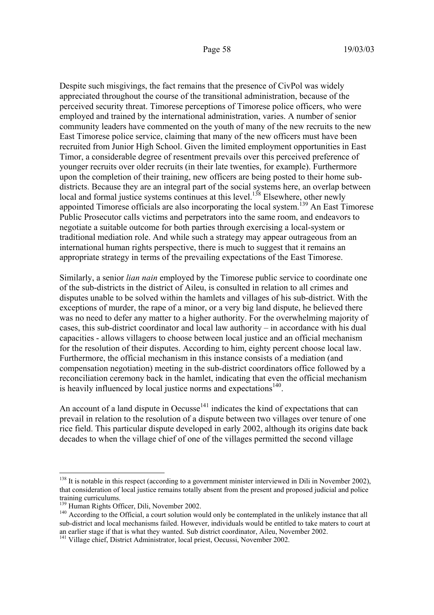Despite such misgivings, the fact remains that the presence of CivPol was widely appreciated throughout the course of the transitional administration, because of the perceived security threat. Timorese perceptions of Timorese police officers, who were employed and trained by the international administration, varies. A number of senior community leaders have commented on the youth of many of the new recruits to the new East Timorese police service, claiming that many of the new officers must have been recruited from Junior High School. Given the limited employment opportunities in East Timor, a considerable degree of resentment prevails over this perceived preference of younger recruits over older recruits (in their late twenties, for example). Furthermore upon the completion of their training, new officers are being posted to their home subdistricts. Because they are an integral part of the social systems here, an overlap between local and formal justice systems continues at this level.<sup>138</sup> Elsewhere, other newly appointed Timorese officials are also incorporating the local system.<sup>139</sup> An East Timorese Public Prosecutor calls victims and perpetrators into the same room, and endeavors to negotiate a suitable outcome for both parties through exercising a local-system or traditional mediation role. And while such a strategy may appear outrageous from an international human rights perspective, there is much to suggest that it remains an appropriate strategy in terms of the prevailing expectations of the East Timorese.

Similarly, a senior *lian nain* employed by the Timorese public service to coordinate one of the sub-districts in the district of Aileu, is consulted in relation to all crimes and disputes unable to be solved within the hamlets and villages of his sub-district. With the exceptions of murder, the rape of a minor, or a very big land dispute, he believed there was no need to defer any matter to a higher authority. For the overwhelming majority of cases, this sub-district coordinator and local law authority – in accordance with his dual capacities - allows villagers to choose between local justice and an official mechanism for the resolution of their disputes. According to him, eighty percent choose local law. Furthermore, the official mechanism in this instance consists of a mediation (and compensation negotiation) meeting in the sub-district coordinators office followed by a reconciliation ceremony back in the hamlet, indicating that even the official mechanism is heavily influenced by local justice norms and expectations<sup>140</sup>.

An account of a land dispute in Oecusse<sup> $141$ </sup> indicates the kind of expectations that can prevail in relation to the resolution of a dispute between two villages over tenure of one rice field. This particular dispute developed in early 2002, although its origins date back decades to when the village chief of one of the villages permitted the second village

 $138$  It is notable in this respect (according to a government minister interviewed in Dili in November 2002), that consideration of local justice remains totally absent from the present and proposed judicial and police training curriculums.<br><sup>139</sup> Human Rights Officer, Dili, November 2002.

 $140$  According to the Official, a court solution would only be contemplated in the unlikely instance that all sub-district and local mechanisms failed. However, individuals would be entitled to take maters to court at an earlier stage if that is what they wanted. Sub district coordinator, Aileu, November 2002. 141 Village chief, District Administrator, local priest, Oecussi, November 2002.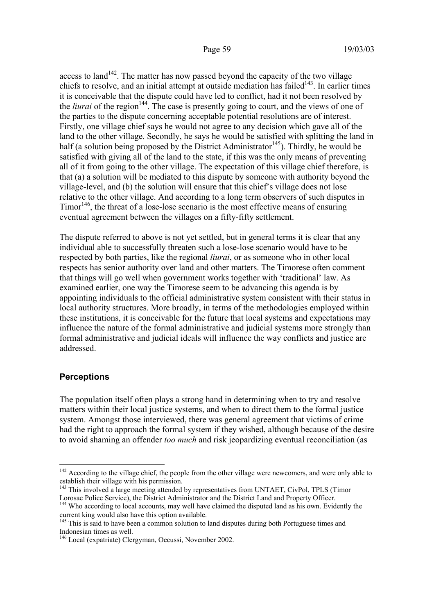access to  $\text{land}^{142}$ . The matter has now passed beyond the capacity of the two village chiefs to resolve, and an initial attempt at outside mediation has failed<sup> $143$ </sup>. In earlier times it is conceivable that the dispute could have led to conflict, had it not been resolved by the *liurai* of the region<sup>144</sup>. The case is presently going to court, and the views of one of the parties to the dispute concerning acceptable potential resolutions are of interest. Firstly, one village chief says he would not agree to any decision which gave all of the land to the other village. Secondly, he says he would be satisfied with splitting the land in half (a solution being proposed by the District Administrator<sup>145</sup>). Thirdly, he would be satisfied with giving all of the land to the state, if this was the only means of preventing all of it from going to the other village. The expectation of this village chief therefore, is that (a) a solution will be mediated to this dispute by someone with authority beyond the village-level, and (b) the solution will ensure that this chief's village does not lose relative to the other village. And according to a long term observers of such disputes in  $T$ imor<sup>146</sup>, the threat of a lose-lose scenario is the most effective means of ensuring eventual agreement between the villages on a fifty-fifty settlement.

The dispute referred to above is not vet settled, but in general terms it is clear that any individual able to successfully threaten such a lose-lose scenario would have to be respected by both parties, like the regional *liurai*, or as someone who in other local respects has senior authority over land and other matters. The Timorese often comment that things will go well when government works together with 'traditional' law. As examined earlier, one way the Timorese seem to be advancing this agenda is by appointing individuals to the official administrative system consistent with their status in local authority structures. More broadly, in terms of the methodologies employed within these institutions, it is conceivable for the future that local systems and expectations may influence the nature of the formal administrative and judicial systems more strongly than formal administrative and judicial ideals will influence the way conflicts and justice are addressed.

# **Perceptions**

 $\overline{a}$ 

The population itself often plays a strong hand in determining when to try and resolve matters within their local justice systems, and when to direct them to the formal justice system. Amongst those interviewed, there was general agreement that victims of crime had the right to approach the formal system if they wished, although because of the desire to avoid shaming an offender *too much* and risk jeopardizing eventual reconciliation (as

 $142$  According to the village chief, the people from the other village were newcomers, and were only able to establish their village with his permission.

<sup>&</sup>lt;sup>143</sup> This involved a large meeting attended by representatives from UNTAET, CivPol, TPLS (Timor Lorosae Police Service), the District Administrator and the District Land and Property Officer.<br><sup>144</sup> Who according to local accounts, may well have claimed the disputed land as his own. Evidently the

current king would also have this option available.

<sup>&</sup>lt;sup>145</sup> This is said to have been a common solution to land disputes during both Portuguese times and Indonesian times as well.

<sup>146</sup> Local (expatriate) Clergyman, Oecussi, November 2002.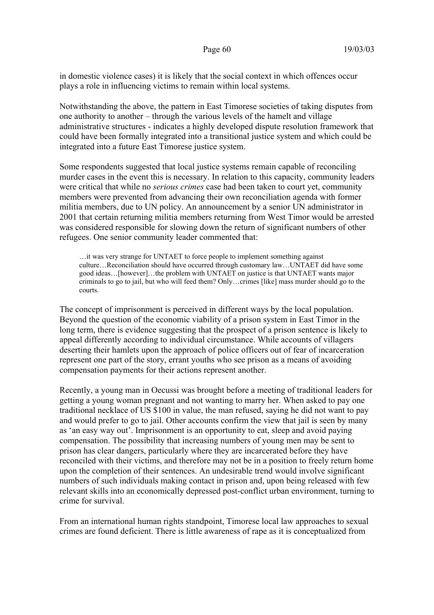in domestic violence cases) it is likely that the social context in which offences occur plays a role in influencing victims to remain within local systems.

Notwithstanding the above, the pattern in East Timorese societies of taking disputes from one authority to another – through the various levels of the hamelt and village administrative structures - indicates a highly developed dispute resolution framework that could have been formally integrated into a transitional justice system and which could be integrated into a future East Timorese justice system.

Some respondents suggested that local justice systems remain capable of reconciling murder cases in the event this is necessary. In relation to this capacity, community leaders were critical that while no *serious crimes* case had been taken to court yet, community members were prevented from advancing their own reconciliation agenda with former militia members, due to UN policy. An announcement by a senior UN administrator in 2001 that certain returning militia members returning from West Timor would be arrested was considered responsible for slowing down the return of significant numbers of other refugees. One senior community leader commented that:

…it was very strange for UNTAET to force people to implement something against culture…Reconciliation should have occurred through customary law…UNTAET did have some good ideas…[however]…the problem with UNTAET on justice is that UNTAET wants major criminals to go to jail, but who will feed them? Only…crimes [like] mass murder should go to the courts.

The concept of imprisonment is perceived in different ways by the local population. Beyond the question of the economic viability of a prison system in East Timor in the long term, there is evidence suggesting that the prospect of a prison sentence is likely to appeal differently according to individual circumstance. While accounts of villagers deserting their hamlets upon the approach of police officers out of fear of incarceration represent one part of the story, errant youths who see prison as a means of avoiding compensation payments for their actions represent another.

Recently, a young man in Oecussi was brought before a meeting of traditional leaders for getting a young woman pregnant and not wanting to marry her. When asked to pay one traditional necklace of US \$100 in value, the man refused, saying he did not want to pay and would prefer to go to jail. Other accounts confirm the view that jail is seen by many as 'an easy way out'. Imprisonment is an opportunity to eat, sleep and avoid paying compensation. The possibility that increasing numbers of young men may be sent to prison has clear dangers, particularly where they are incarcerated before they have reconciled with their victims, and therefore may not be in a position to freely return home upon the completion of their sentences. An undesirable trend would involve significant numbers of such individuals making contact in prison and, upon being released with few relevant skills into an economically depressed post-conflict urban environment, turning to crime for survival.

From an international human rights standpoint, Timorese local law approaches to sexual crimes are found deficient. There is little awareness of rape as it is conceptualized from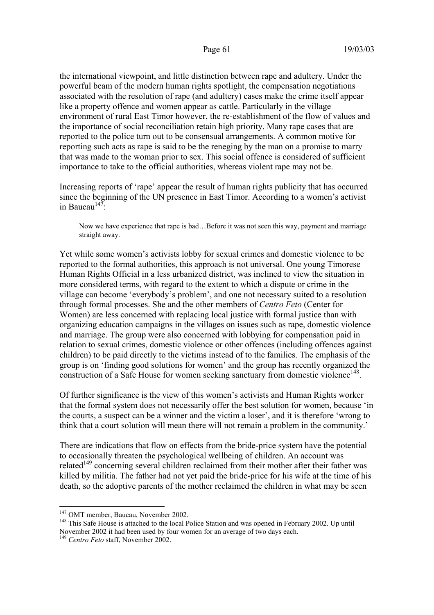the international viewpoint, and little distinction between rape and adultery. Under the powerful beam of the modern human rights spotlight, the compensation negotiations associated with the resolution of rape (and adultery) cases make the crime itself appear like a property offence and women appear as cattle. Particularly in the village environment of rural East Timor however, the re-establishment of the flow of values and the importance of social reconciliation retain high priority. Many rape cases that are reported to the police turn out to be consensual arrangements. A common motive for reporting such acts as rape is said to be the reneging by the man on a promise to marry that was made to the woman prior to sex. This social offence is considered of sufficient importance to take to the official authorities, whereas violent rape may not be.

Increasing reports of 'rape' appear the result of human rights publicity that has occurred since the beginning of the UN presence in East Timor. According to a women's activist in Baucau $^{147}$ .

Now we have experience that rape is bad...Before it was not seen this way, payment and marriage straight away.

Yet while some women's activists lobby for sexual crimes and domestic violence to be reported to the formal authorities, this approach is not universal. One young Timorese Human Rights Official in a less urbanized district, was inclined to view the situation in more considered terms, with regard to the extent to which a dispute or crime in the village can become 'everybody's problem', and one not necessary suited to a resolution through formal processes. She and the other members of *Centro Feto* (Center for Women) are less concerned with replacing local justice with formal justice than with organizing education campaigns in the villages on issues such as rape, domestic violence and marriage. The group were also concerned with lobbying for compensation paid in relation to sexual crimes, domestic violence or other offences (including offences against children) to be paid directly to the victims instead of to the families. The emphasis of the group is on 'finding good solutions for women' and the group has recently organized the construction of a Safe House for women seeking sanctuary from domestic violence<sup>148</sup>.

Of further significance is the view of this women's activists and Human Rights worker that the formal system does not necessarily offer the best solution for women, because 'in the courts, a suspect can be a winner and the victim a loser', and it is therefore 'wrong to think that a court solution will mean there will not remain a problem in the community.'

There are indications that flow on effects from the bride-price system have the potential to occasionally threaten the psychological wellbeing of children. An account was related<sup>149</sup> concerning several children reclaimed from their mother after their father was killed by militia. The father had not yet paid the bride-price for his wife at the time of his death, so the adoptive parents of the mother reclaimed the children in what may be seen

<sup>&</sup>lt;sup>147</sup> OMT member, Baucau, November 2002.

 $148$  This Safe House is attached to the local Police Station and was opened in February 2002. Up until November 2002 it had been used by four women for an average of two days each.

<sup>149</sup> *Centro Feto* staff, November 2002.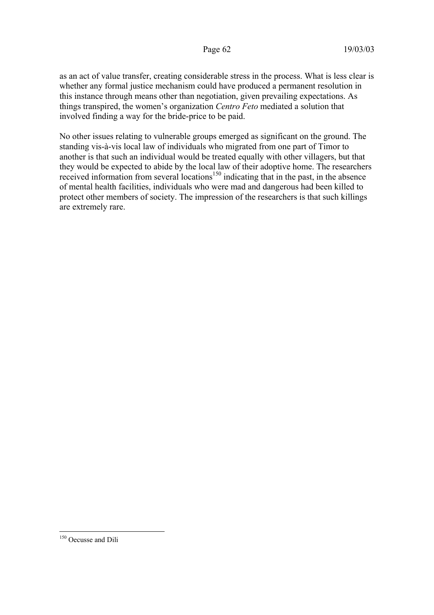as an act of value transfer, creating considerable stress in the process. What is less clear is whether any formal justice mechanism could have produced a permanent resolution in this instance through means other than negotiation, given prevailing expectations. As things transpired, the women's organization *Centro Feto* mediated a solution that involved finding a way for the bride-price to be paid.

No other issues relating to vulnerable groups emerged as significant on the ground. The standing vis-à-vis local law of individuals who migrated from one part of Timor to another is that such an individual would be treated equally with other villagers, but that they would be expected to abide by the local law of their adoptive home. The researchers received information from several locations<sup>150</sup> indicating that in the past, in the absence of mental health facilities, individuals who were mad and dangerous had been killed to protect other members of society. The impression of the researchers is that such killings are extremely rare.

 $\overline{a}$ <sup>150</sup> Oecusse and Dili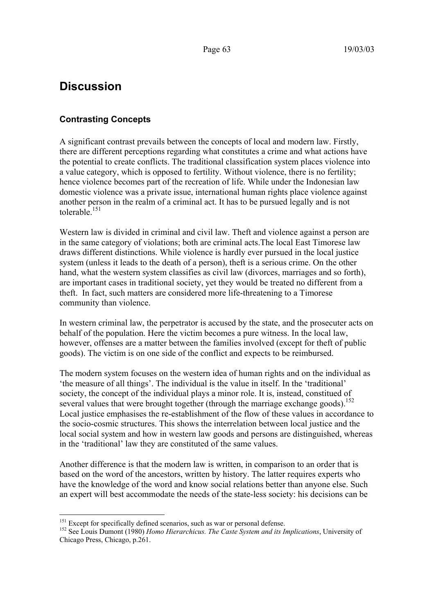# **Discussion**

# **Contrasting Concepts**

A significant contrast prevails between the concepts of local and modern law. Firstly, there are different perceptions regarding what constitutes a crime and what actions have the potential to create conflicts. The traditional classification system places violence into a value category, which is opposed to fertility. Without violence, there is no fertility; hence violence becomes part of the recreation of life. While under the Indonesian law domestic violence was a private issue, international human rights place violence against another person in the realm of a criminal act. It has to be pursued legally and is not tolerable<sup>151</sup>

Western law is divided in criminal and civil law. Theft and violence against a person are in the same category of violations; both are criminal acts.The local East Timorese law draws different distinctions. While violence is hardly ever pursued in the local justice system (unless it leads to the death of a person), theft is a serious crime. On the other hand, what the western system classifies as civil law (divorces, marriages and so forth), are important cases in traditional society, yet they would be treated no different from a theft. In fact, such matters are considered more life-threatening to a Timorese community than violence.

In western criminal law, the perpetrator is accused by the state, and the prosecuter acts on behalf of the population. Here the victim becomes a pure witness. In the local law, however, offenses are a matter between the families involved (except for theft of public goods). The victim is on one side of the conflict and expects to be reimbursed.

The modern system focuses on the western idea of human rights and on the individual as 'the measure of all things'. The individual is the value in itself. In the 'traditional' society, the concept of the individual plays a minor role. It is, instead, constitued of several values that were brought together (through the marriage exchange goods).<sup>152</sup> Local justice emphasises the re-establishment of the flow of these values in accordance to the socio-cosmic structures. This shows the interrelation between local justice and the local social system and how in western law goods and persons are distinguished, whereas in the 'traditional' law they are constituted of the same values.

Another difference is that the modern law is written, in comparison to an order that is based on the word of the ancestors, written by history. The latter requires experts who have the knowledge of the word and know social relations better than anyone else. Such an expert will best accommodate the needs of the state-less society: his decisions can be

<sup>&</sup>lt;sup>151</sup> Except for specifically defined scenarios, such as war or personal defense.<br><sup>152</sup> See Louis Dumont (1980) *Homo Hierarchicus. The Caste System and its Implications*, University of Chicago Press, Chicago, p.261.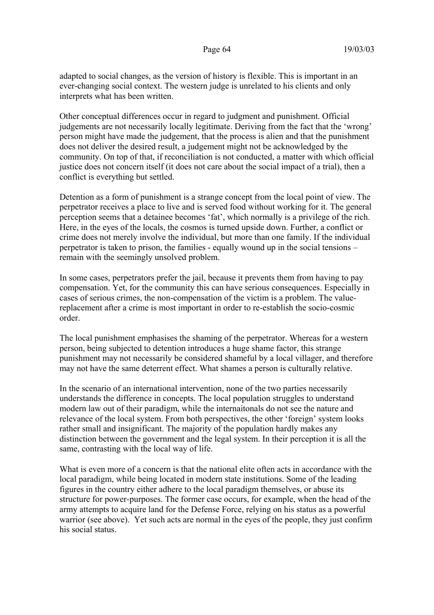adapted to social changes, as the version of history is flexible. This is important in an ever-changing social context. The western judge is unrelated to his clients and only interprets what has been written.

Other conceptual differences occur in regard to judgment and punishment. Official judgements are not necessarily locally legitimate. Deriving from the fact that the 'wrong' person might have made the judgement, that the process is alien and that the punishment does not deliver the desired result, a judgement might not be acknowledged by the community. On top of that, if reconciliation is not conducted, a matter with which official justice does not concern itself (it does not care about the social impact of a trial), then a conflict is everything but settled.

Detention as a form of punishment is a strange concept from the local point of view. The perpetrator receives a place to live and is served food without working for it. The general perception seems that a detainee becomes 'fat', which normally is a privilege of the rich. Here, in the eyes of the locals, the cosmos is turned upside down. Further, a conflict or crime does not merely involve the individual, but more than one family. If the individual perpetrator is taken to prison, the families - equally wound up in the social tensions – remain with the seemingly unsolved problem.

In some cases, perpetrators prefer the jail, because it prevents them from having to pay compensation. Yet, for the community this can have serious consequences. Especially in cases of serious crimes, the non-compensation of the victim is a problem. The valuereplacement after a crime is most important in order to re-establish the socio-cosmic order.

The local punishment emphasises the shaming of the perpetrator. Whereas for a western person, being subjected to detention introduces a huge shame factor, this strange punishment may not necessarily be considered shameful by a local villager, and therefore may not have the same deterrent effect. What shames a person is culturally relative.

In the scenario of an international intervention, none of the two parties necessarily understands the difference in concepts. The local population struggles to understand modern law out of their paradigm, while the internaitonals do not see the nature and relevance of the local system. From both perspectives, the other 'foreign' system looks rather small and insignificant. The majority of the population hardly makes any distinction between the government and the legal system. In their perception it is all the same, contrasting with the local way of life.

What is even more of a concern is that the national elite often acts in accordance with the local paradigm, while being located in modern state institutions. Some of the leading figures in the country either adhere to the local paradigm themselves, or abuse its structure for power-purposes. The former case occurs, for example, when the head of the army attempts to acquire land for the Defense Force, relying on his status as a powerful warrior (see above). Yet such acts are normal in the eyes of the people, they just confirm his social status.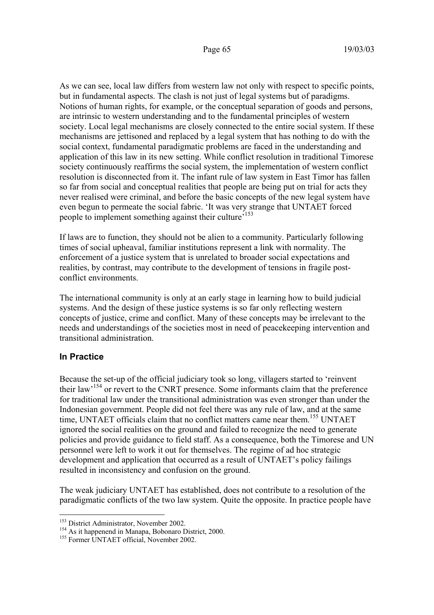As we can see, local law differs from western law not only with respect to specific points, but in fundamental aspects. The clash is not just of legal systems but of paradigms. Notions of human rights, for example, or the conceptual separation of goods and persons, are intrinsic to western understanding and to the fundamental principles of western society. Local legal mechanisms are closely connected to the entire social system. If these mechanisms are jettisoned and replaced by a legal system that has nothing to do with the social context, fundamental paradigmatic problems are faced in the understanding and application of this law in its new setting. While conflict resolution in traditional Timorese society continuously reaffirms the social system, the implementation of western conflict resolution is disconnected from it. The infant rule of law system in East Timor has fallen so far from social and conceptual realities that people are being put on trial for acts they never realised were criminal, and before the basic concepts of the new legal system have even begun to permeate the social fabric. 'It was very strange that UNTAET forced people to implement something against their culture<sup>5153</sup>

If laws are to function, they should not be alien to a community. Particularly following times of social upheaval, familiar institutions represent a link with normality. The enforcement of a justice system that is unrelated to broader social expectations and realities, by contrast, may contribute to the development of tensions in fragile postconflict environments.

The international community is only at an early stage in learning how to build judicial systems. And the design of these justice systems is so far only reflecting western concepts of justice, crime and conflict. Many of these concepts may be irrelevant to the needs and understandings of the societies most in need of peacekeeping intervention and transitional administration.

# **In Practice**

Because the set-up of the official judiciary took so long, villagers started to 'reinvent their law'154 or revert to the CNRT presence. Some informants claim that the preference for traditional law under the transitional administration was even stronger than under the Indonesian government. People did not feel there was any rule of law, and at the same time, UNTAET officials claim that no conflict matters came near them.<sup>155</sup> UNTAET ignored the social realities on the ground and failed to recognize the need to generate policies and provide guidance to field staff. As a consequence, both the Timorese and UN personnel were left to work it out for themselves. The regime of ad hoc strategic development and application that occurred as a result of UNTAET's policy failings resulted in inconsistency and confusion on the ground.

The weak judiciary UNTAET has established, does not contribute to a resolution of the paradigmatic conflicts of the two law system. Quite the opposite. In practice people have

<sup>&</sup>lt;sup>153</sup> District Administrator, November 2002.<br><sup>154</sup> As it happenend in Manapa, Bobonaro District, 2000.<br><sup>155</sup> Former UNTAET official, November 2002.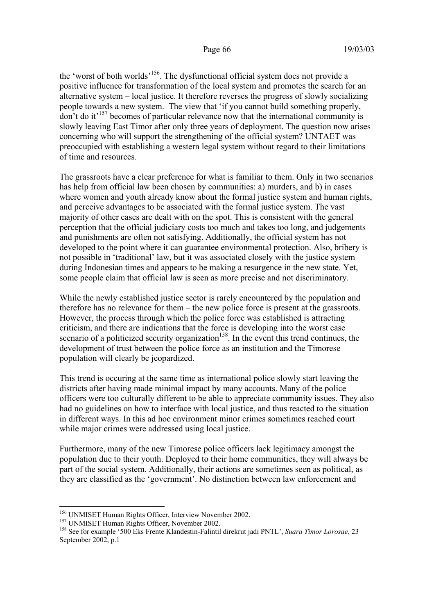the 'worst of both worlds'156. The dysfunctional official system does not provide a positive influence for transformation of the local system and promotes the search for an alternative system – local justice. It therefore reverses the progress of slowly socializing people towards a new system. The view that 'if you cannot build something properly, don't do it'157 becomes of particular relevance now that the international community is slowly leaving East Timor after only three years of deployment. The question now arises concerning who will support the strengthening of the official system? UNTAET was preoccupied with establishing a western legal system without regard to their limitations of time and resources.

The grassroots have a clear preference for what is familiar to them. Only in two scenarios has help from official law been chosen by communities: a) murders, and b) in cases where women and youth already know about the formal justice system and human rights, and perceive advantages to be associated with the formal justice system. The vast majority of other cases are dealt with on the spot. This is consistent with the general perception that the official judiciary costs too much and takes too long, and judgements and punishments are often not satisfying. Additionally, the official system has not developed to the point where it can guarantee environmental protection. Also, bribery is not possible in 'traditional' law, but it was associated closely with the justice system during Indonesian times and appears to be making a resurgence in the new state. Yet, some people claim that official law is seen as more precise and not discriminatory.

While the newly established justice sector is rarely encountered by the population and therefore has no relevance for them – the new police force is present at the grassroots. However, the process through which the police force was established is attracting criticism, and there are indications that the force is developing into the worst case scenario of a politicized security organization<sup>158</sup>. In the event this trend continues, the development of trust between the police force as an institution and the Timorese population will clearly be jeopardized.

This trend is occuring at the same time as international police slowly start leaving the districts after having made minimal impact by many accounts. Many of the police officers were too culturally different to be able to appreciate community issues. They also had no guidelines on how to interface with local justice, and thus reacted to the situation in different ways. In this ad hoc environment minor crimes sometimes reached court while major crimes were addressed using local justice.

Furthermore, many of the new Timorese police officers lack legitimacy amongst the population due to their youth. Deployed to their home communities, they will always be part of the social system. Additionally, their actions are sometimes seen as political, as they are classified as the 'government'. No distinction between law enforcement and

<sup>&</sup>lt;sup>156</sup> UNMISET Human Rights Officer, Interview November 2002.

<sup>&</sup>lt;sup>157</sup> UNMISET Human Rights Officer, November 2002.<br><sup>158</sup> See for example '500 Eks Frente Klandestin-Falintil direkrut jadi PNTL', *Suara Timor Lorosae*, 23 September 2002, p.1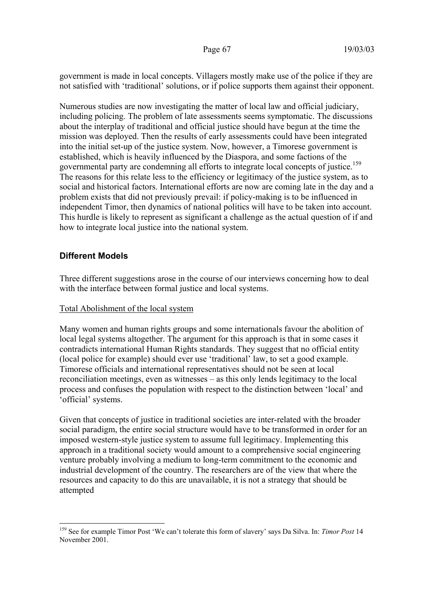government is made in local concepts. Villagers mostly make use of the police if they are not satisfied with 'traditional' solutions, or if police supports them against their opponent.

Numerous studies are now investigating the matter of local law and official judiciary, including policing. The problem of late assessments seems symptomatic. The discussions about the interplay of traditional and official justice should have begun at the time the mission was deployed. Then the results of early assessments could have been integrated into the initial set-up of the justice system. Now, however, a Timorese government is established, which is heavily influenced by the Diaspora, and some factions of the governmental party are condemning all efforts to integrate local concepts of justice.<sup>159</sup> The reasons for this relate less to the efficiency or legitimacy of the justice system, as to social and historical factors. International efforts are now are coming late in the day and a problem exists that did not previously prevail: if policy-making is to be influenced in independent Timor, then dynamics of national politics will have to be taken into account. This hurdle is likely to represent as significant a challenge as the actual question of if and how to integrate local justice into the national system.

## **Different Models**

 $\overline{a}$ 

Three different suggestions arose in the course of our interviews concerning how to deal with the interface between formal justice and local systems.

### Total Abolishment of the local system

Many women and human rights groups and some internationals favour the abolition of local legal systems altogether. The argument for this approach is that in some cases it contradicts international Human Rights standards. They suggest that no official entity (local police for example) should ever use 'traditional' law, to set a good example. Timorese officials and international representatives should not be seen at local reconciliation meetings, even as witnesses – as this only lends legitimacy to the local process and confuses the population with respect to the distinction between 'local' and 'official' systems.

Given that concepts of justice in traditional societies are inter-related with the broader social paradigm, the entire social structure would have to be transformed in order for an imposed western-style justice system to assume full legitimacy. Implementing this approach in a traditional society would amount to a comprehensive social engineering venture probably involving a medium to long-term commitment to the economic and industrial development of the country. The researchers are of the view that where the resources and capacity to do this are unavailable, it is not a strategy that should be attempted

<sup>159</sup> See for example Timor Post 'We can't tolerate this form of slavery' says Da Silva. In: *Timor Post* 14 November 2001.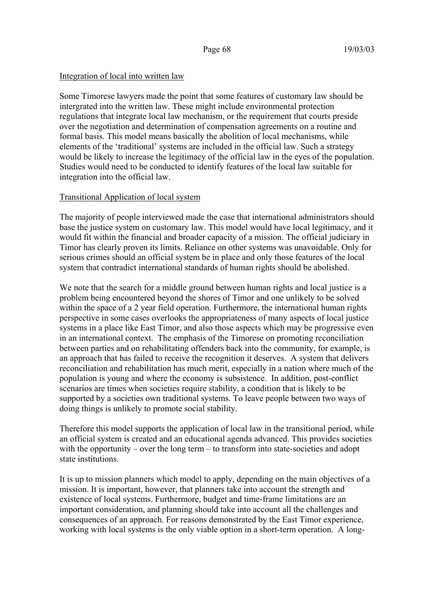### Integration of local into written law

Some Timorese lawyers made the point that some features of customary law should be intergrated into the written law. These might include environmental protection regulations that integrate local law mechanism, or the requirement that courts preside over the negotiation and determination of compensation agreements on a routine and formal basis. This model means basically the abolition of local mechanisms, while elements of the 'traditional' systems are included in the official law. Such a strategy would be likely to increase the legitimacy of the official law in the eyes of the population. Studies would need to be conducted to identify features of the local law suitable for integration into the official law.

## Transitional Application of local system

The majority of people interviewed made the case that international administrators should base the justice system on customary law. This model would have local legitimacy, and it would fit within the financial and broader capacity of a mission. The official judiciary in Timor has clearly proven its limits. Reliance on other systems was unavoidable. Only for serious crimes should an official system be in place and only those features of the local system that contradict international standards of human rights should be abolished.

We note that the search for a middle ground between human rights and local justice is a problem being encountered beyond the shores of Timor and one unlikely to be solved within the space of a 2 year field operation. Furthermore, the international human rights perspective in some cases overlooks the appropriateness of many aspects of local justice systems in a place like East Timor, and also those aspects which may be progressive even in an international context. The emphasis of the Timorese on promoting reconciliation between parties and on rehabilitating offenders back into the community, for example, is an approach that has failed to receive the recognition it deserves. A system that delivers reconciliation and rehabilitation has much merit, especially in a nation where much of the population is young and where the economy is subsistence. In addition, post-conflict scenarios are times when societies require stability, a condition that is likely to be supported by a societies own traditional systems. To leave people between two ways of doing things is unlikely to promote social stability.

Therefore this model supports the application of local law in the transitional period, while an official system is created and an educational agenda advanced. This provides societies with the opportunity – over the long term – to transform into state-societies and adopt state institutions.

It is up to mission planners which model to apply, depending on the main objectives of a mission. It is important, however, that planners take into account the strength and existence of local systems. Furthermore, budget and time-frame limitations are an important consideration, and planning should take into account all the challenges and consequences of an approach. For reasons demonstrated by the East Timor experience, working with local systems is the only viable option in a short-term operation. A long-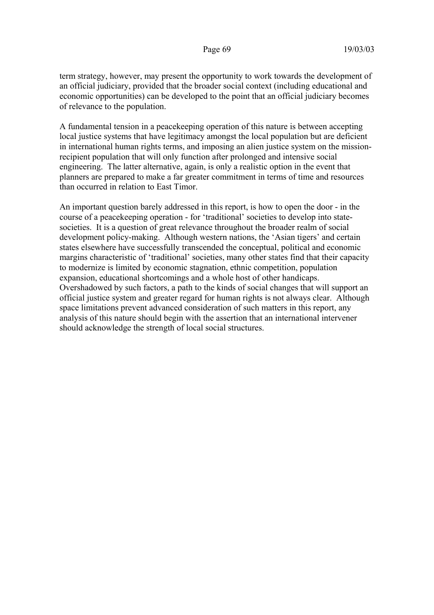term strategy, however, may present the opportunity to work towards the development of an official judiciary, provided that the broader social context (including educational and economic opportunities) can be developed to the point that an official judiciary becomes of relevance to the population.

A fundamental tension in a peacekeeping operation of this nature is between accepting local justice systems that have legitimacy amongst the local population but are deficient in international human rights terms, and imposing an alien justice system on the missionrecipient population that will only function after prolonged and intensive social engineering. The latter alternative, again, is only a realistic option in the event that planners are prepared to make a far greater commitment in terms of time and resources than occurred in relation to East Timor.

An important question barely addressed in this report, is how to open the door - in the course of a peacekeeping operation - for 'traditional' societies to develop into statesocieties. It is a question of great relevance throughout the broader realm of social development policy-making. Although western nations, the 'Asian tigers' and certain states elsewhere have successfully transcended the conceptual, political and economic margins characteristic of 'traditional' societies, many other states find that their capacity to modernize is limited by economic stagnation, ethnic competition, population expansion, educational shortcomings and a whole host of other handicaps. Overshadowed by such factors, a path to the kinds of social changes that will support an official justice system and greater regard for human rights is not always clear. Although space limitations prevent advanced consideration of such matters in this report, any analysis of this nature should begin with the assertion that an international intervener should acknowledge the strength of local social structures.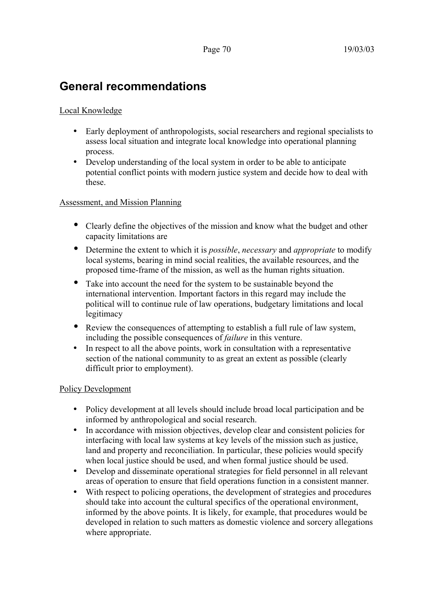# **General recommendations**

# Local Knowledge

- Early deployment of anthropologists, social researchers and regional specialists to assess local situation and integrate local knowledge into operational planning process.
- Develop understanding of the local system in order to be able to anticipate potential conflict points with modern justice system and decide how to deal with these.

## Assessment, and Mission Planning

- Clearly define the objectives of the mission and know what the budget and other capacity limitations are
- Determine the extent to which it is *possible*, *necessary* and *appropriate* to modify local systems, bearing in mind social realities, the available resources, and the proposed time-frame of the mission, as well as the human rights situation.
- Take into account the need for the system to be sustainable beyond the international intervention. Important factors in this regard may include the political will to continue rule of law operations, budgetary limitations and local legitimacy
- Review the consequences of attempting to establish a full rule of law system, including the possible consequences of *failure* in this venture.
- In respect to all the above points, work in consultation with a representative section of the national community to as great an extent as possible (clearly difficult prior to employment).

### Policy Development

- Policy development at all levels should include broad local participation and be informed by anthropological and social research.
- In accordance with mission objectives, develop clear and consistent policies for interfacing with local law systems at key levels of the mission such as justice, land and property and reconciliation. In particular, these policies would specify when local justice should be used, and when formal justice should be used.
- Develop and disseminate operational strategies for field personnel in all relevant areas of operation to ensure that field operations function in a consistent manner.
- With respect to policing operations, the development of strategies and procedures should take into account the cultural specifics of the operational environment, informed by the above points. It is likely, for example, that procedures would be developed in relation to such matters as domestic violence and sorcery allegations where appropriate.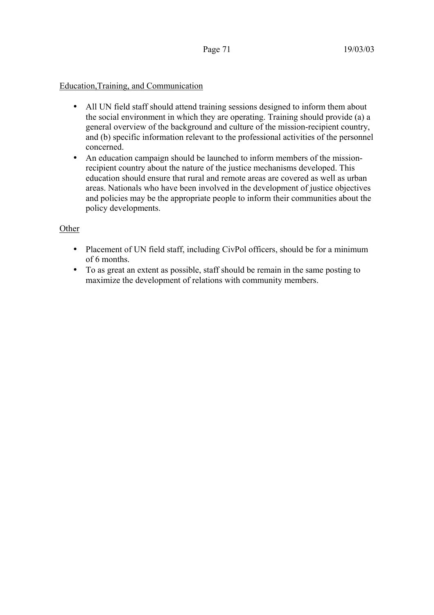# Education,Training, and Communication

- All UN field staff should attend training sessions designed to inform them about the social environment in which they are operating. Training should provide (a) a general overview of the background and culture of the mission-recipient country, and (b) specific information relevant to the professional activities of the personnel concerned.
- An education campaign should be launched to inform members of the missionrecipient country about the nature of the justice mechanisms developed. This education should ensure that rural and remote areas are covered as well as urban areas. Nationals who have been involved in the development of justice objectives and policies may be the appropriate people to inform their communities about the policy developments.

# **Other**

- Placement of UN field staff, including CivPol officers, should be for a minimum of 6 months.
- To as great an extent as possible, staff should be remain in the same posting to maximize the development of relations with community members.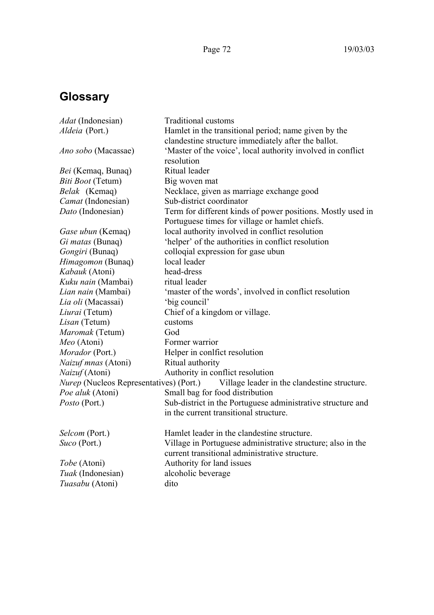# **Glossary**

*Adat* (Indonesian) Traditional customs *Aldeia* (Port.) Hamlet in the transitional period; name given by the clandestine structure immediately after the ballot. *Ano sobo* (Macassae) 'Master of the voice', local authority involved in conflict resolution *Bei* (Kemaq, Bunaq) Ritual leader *Biti Boot* (Tetum) Big woven mat *Belak* (Kemaq) Necklace, given as marriage exchange good *Camat* (Indonesian) Sub-district coordinator *Dato* (Indonesian) Term for different kinds of power positions. Mostly used in Portuguese times for village or hamlet chiefs. *Gase ubun* (Kemaq) local authority involved in conflict resolution *Gi matas* (Bunaq) below the *helper'* of the authorities in conflict resolution *Gongiri* (Bunaq) colloqial expression for gase ubun *Himagomon* (Bunaq) local leader *Kabauk* (Atoni) head-dress *Kuku nain* (Mambai) ritual leader *Lian nain* (Mambai) <sup>'master</sup> of the words', involved in conflict resolution *Lia oli* (Macassai) 'big council' *Liurai* (Tetum) Chief of a kingdom or village. *Lisan* (Tetum) customs *Maromak* (Tetum) God *Meo* (Atoni) Former warrior *Morador* (Port.) Helper in conflict resolution *Naizuf mnas* (Atoni) Ritual authority *Naizuf* (Atoni) Authority in conflict resolution *Nurep* (Nucleos Representatives) (Port.) Village leader in the clandestine structure. *Poe aluk* (Atoni) Small bag for food distribution *Posto* (Port.) Sub-district in the Portuguese administrative structure and in the current transitional structure. *Selcom* (Port.) Hamlet leader in the clandestine structure. *Suco* (Port.) Village in Portuguese administrative structure; also in the current transitional administrative structure. *Tobe* (Atoni) **Authority** for land issues *Tuak* (Indonesian) alcoholic beverage *Tuasabu* (Atoni) dito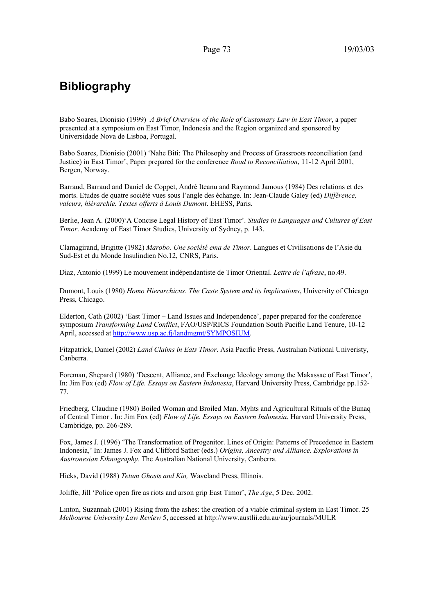## **Bibliography**

Babo Soares, Dionisio (1999) *A Brief Overview of the Role of Customary Law in East Timor*, a paper presented at a symposium on East Timor, Indonesia and the Region organized and sponsored by Universidade Nova de Lisboa, Portugal.

Babo Soares, Dionisio (2001) 'Nahe Biti: The Philosophy and Process of Grassroots reconciliation (and Justice) in East Timor', Paper prepared for the conference *Road to Reconciliation*, 11-12 April 2001, Bergen, Norway.

Barraud, Barraud and Daniel de Coppet, André Iteanu and Raymond Jamous (1984) Des relations et des morts. Etudes de quatre société vues sous l'angle des échange. In: Jean-Claude Galey (ed) *Différence, valeurs, hiérarchie. Textes offerts à Louis Dumont*. EHESS, Paris.

Berlie, Jean A. (2000)'A Concise Legal History of East Timor'. *Studies in Languages and Cultures of East Timor*. Academy of East Timor Studies, University of Sydney, p. 143.

Clamagirand, Brigitte (1982) *Marobo. Une société ema de Timor*. Langues et Civilisations de l'Asie du Sud-Est et du Monde Insulindien No.12, CNRS, Paris.

Diaz, Antonio (1999) Le mouvement indépendantiste de Timor Oriental. *Lettre de l'afrase*, no.49.

Dumont, Louis (1980) *Homo Hierarchicus. The Caste System and its Implications*, University of Chicago Press, Chicago.

Elderton, Cath (2002) 'East Timor – Land Issues and Independence', paper prepared for the conference symposium *Transforming Land Conflict*, FAO/USP/RICS Foundation South Pacific Land Tenure, 10-12 April, accessed at http://www.usp.ac.fj/landmgmt/SYMPOSIUM.

Fitzpatrick, Daniel (2002) *Land Claims in Eats Timor*. Asia Pacific Press, Australian National Univeristy, Canberra.

Foreman, Shepard (1980) 'Descent, Alliance, and Exchange Ideology among the Makassae of East Timor', In: Jim Fox (ed) *Flow of Life. Essays on Eastern Indonesia*, Harvard University Press, Cambridge pp.152- 77.

Friedberg, Claudine (1980) Boiled Woman and Broiled Man. Myhts and Agricultural Rituals of the Bunaq of Central Timor . In: Jim Fox (ed) *Flow of Life. Essays on Eastern Indonesia*, Harvard University Press, Cambridge, pp. 266-289.

Fox, James J. (1996) 'The Transformation of Progenitor. Lines of Origin: Patterns of Precedence in Eastern Indonesia,' In: James J. Fox and Clifford Sather (eds.) *Origins, Ancestry and Alliance. Explorations in Austronesian Ethnography*. The Australian National University, Canberra.

Hicks, David (1988) *Tetum Ghosts and Kin,* Waveland Press, Illinois.

Joliffe, Jill 'Police open fire as riots and arson grip East Timor', *The Age*, 5 Dec. 2002.

Linton, Suzannah (2001) Rising from the ashes: the creation of a viable criminal system in East Timor. 25 *Melbourne University Law Review* 5, accessed at http://www.austlii.edu.au/au/journals/MULR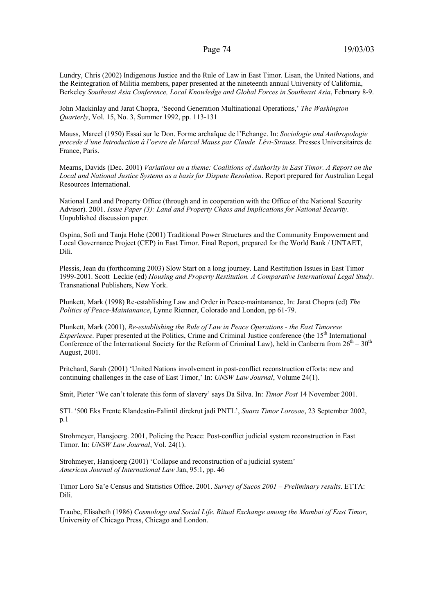Lundry, Chris (2002) Indigenous Justice and the Rule of Law in East Timor. Lisan, the United Nations, and the Reintegration of Militia members, paper presented at the nineteenth annual University of California, Berkeley *Southeast Asia Conference, Local Knowledge and Global Forces in Southeast Asia*, February 8-9.

John Mackinlay and Jarat Chopra, 'Second Generation Multinational Operations,' *The Washington Quarterly*, Vol. 15, No. 3, Summer 1992, pp. 113-131

Mauss, Marcel (1950) Essai sur le Don. Forme archaïque de l'Echange. In: *Sociologie and Anthropologie precede d'une Introduction à l'oevre de Marcal Mauss par Claude Lévi-Strauss*. Presses Universitaires de France, Paris.

Mearns, Davids (Dec. 2001) *Variations on a theme: Coalitions of Authority in East Timor. A Report on the Local and National Justice Systems as a basis for Dispute Resolution*. Report prepared for Australian Legal Resources International.

National Land and Property Office (through and in cooperation with the Office of the National Security Advisor). 2001. *Issue Paper (3): Land and Property Chaos and Implications for National Security*. Unpublished discussion paper.

Ospina, Sofi and Tanja Hohe (2001) Traditional Power Structures and the Community Empowerment and Local Governance Project (CEP) in East Timor. Final Report, prepared for the World Bank / UNTAET, Dili.

Plessis, Jean du (forthcoming 2003) Slow Start on a long journey. Land Restitution Issues in East Timor 1999-2001. Scott Leckie (ed) *Housing and Property Restitution. A Comparative International Legal Study*. Transnational Publishers, New York.

Plunkett, Mark (1998) Re-establishing Law and Order in Peace-maintanance, In: Jarat Chopra (ed) *The Politics of Peace-Maintanance*, Lynne Rienner, Colorado and London, pp 61-79.

Plunkett, Mark (2001), *Re-establishing the Rule of Law in Peace Operations - the East Timorese Experience*. Paper presented at the Politics, Crime and Criminal Justice conference (the 15<sup>th</sup> International Conference of the International Society for the Reform of Criminal Law), held in Canberra from  $26<sup>th</sup> - 30<sup>th</sup>$ August, 2001.

Pritchard, Sarah (2001) 'United Nations involvement in post-conflict reconstruction efforts: new and continuing challenges in the case of East Timor,' In: *UNSW Law Journal*, Volume 24(1).

Smit, Pieter 'We can't tolerate this form of slavery' says Da Silva. In: *Timor Post* 14 November 2001.

STL '500 Eks Frente Klandestin-Falintil direkrut jadi PNTL', *Suara Timor Lorosae*, 23 September 2002, p.1

Strohmeyer, Hansjoerg. 2001, Policing the Peace: Post-conflict judicial system reconstruction in East Timor. In: *UNSW Law Journal*, Vol. 24(1).

Strohmeyer, Hansjoerg (2001) 'Collapse and reconstruction of a judicial system' *American Journal of International Law* Jan, 95:1, pp. 46

Timor Loro Sa'e Census and Statistics Office. 2001. *Survey of Sucos 2001 – Preliminary results*. ETTA: Dili.

Traube, Elisabeth (1986) *Cosmology and Social Life. Ritual Exchange among the Mambai of East Timor*, University of Chicago Press, Chicago and London.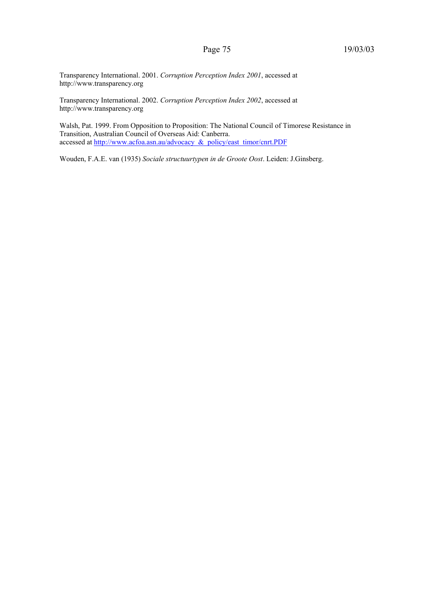Transparency International. 2001. *Corruption Perception Index 2001*, accessed at http://www.transparency.org

Transparency International. 2002. *Corruption Perception Index 2002*, accessed at http://www.transparency.org

Walsh, Pat. 1999. From Opposition to Proposition: The National Council of Timorese Resistance in Transition, Australian Council of Overseas Aid: Canberra. accessed at http://www.acfoa.asn.au/advocacy & policy/east\_timor/cnrt.PDF

Wouden, F.A.E. van (1935) *Sociale structuurtypen in de Groote Oost*. Leiden: J.Ginsberg.